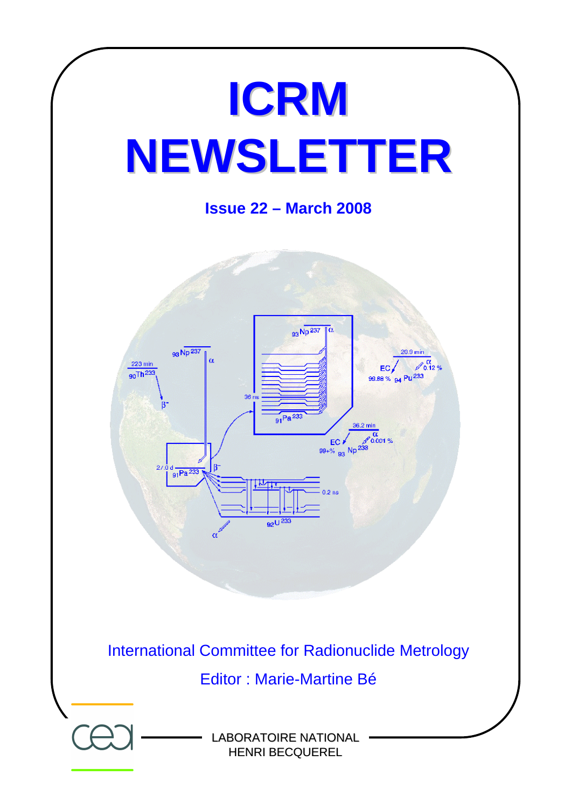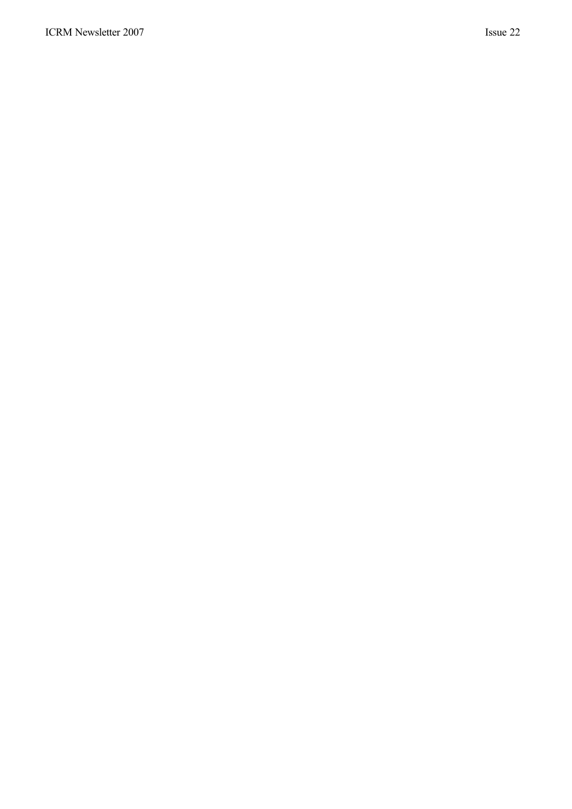ICRM Newsletter 2007 Issue 22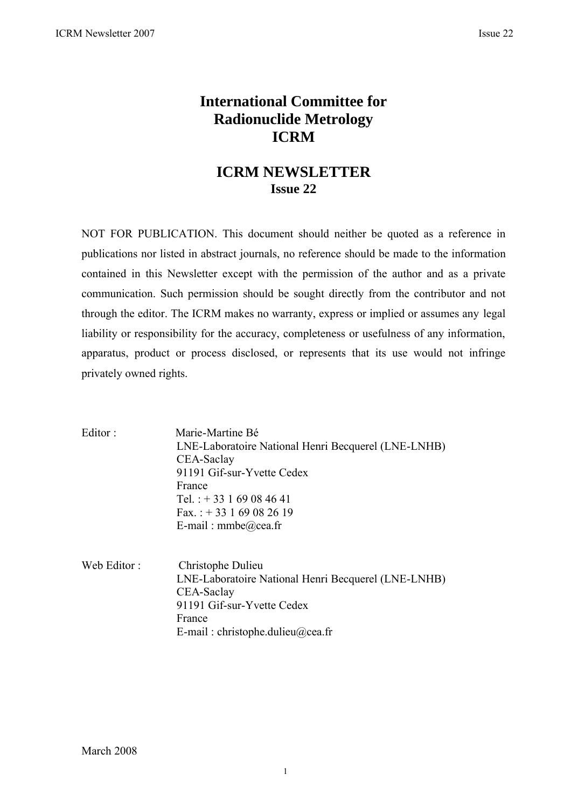# **International Committee for Radionuclide Metrology ICRM**

### **ICRM NEWSLETTER Issue 22**

NOT FOR PUBLICATION. This document should neither be quoted as a reference in publications nor listed in abstract journals, no reference should be made to the information contained in this Newsletter except with the permission of the author and as a private communication. Such permission should be sought directly from the contributor and not through the editor. The ICRM makes no warranty, express or implied or assumes any legal liability or responsibility for the accuracy, completeness or usefulness of any information, apparatus, product or process disclosed, or represents that its use would not infringe privately owned rights.

| Editor:     | Marie-Martine Bé                                    |
|-------------|-----------------------------------------------------|
|             | LNE-Laboratoire National Henri Becquerel (LNE-LNHB) |
|             | CEA-Saclay                                          |
|             | 91191 Gif-sur-Yvette Cedex                          |
|             | France                                              |
|             | Tel.: $+33169084641$                                |
|             | Fax.: $+33169082619$                                |
|             | E-mail: mmbe@cea.fr                                 |
| Web Editor: | Christophe Dulieu                                   |
|             | LNE-Laboratoire National Henri Becquerel (LNE-LNHB) |
|             | CEA-Saclay                                          |
|             | 91191 Gif-sur-Yvette Cedex                          |

E-mail : christophe.dulieu@cea.fr

France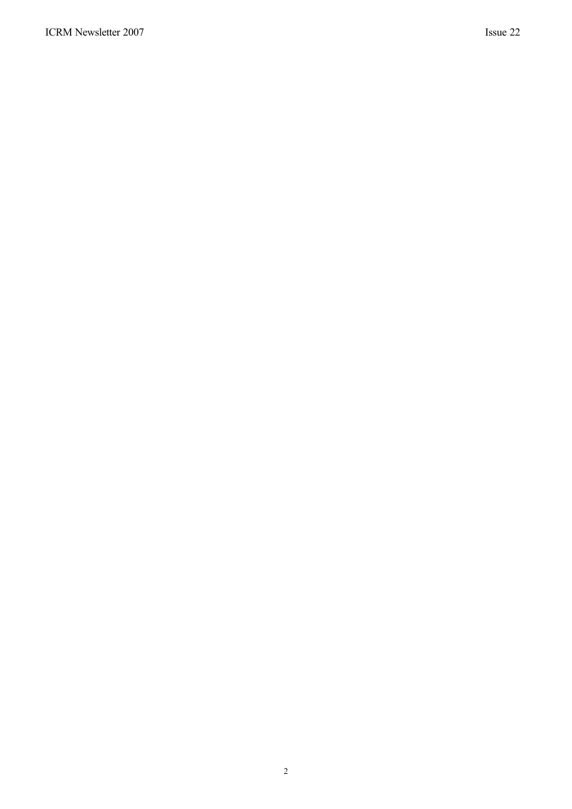ICRM Newsletter 2007 Issue 22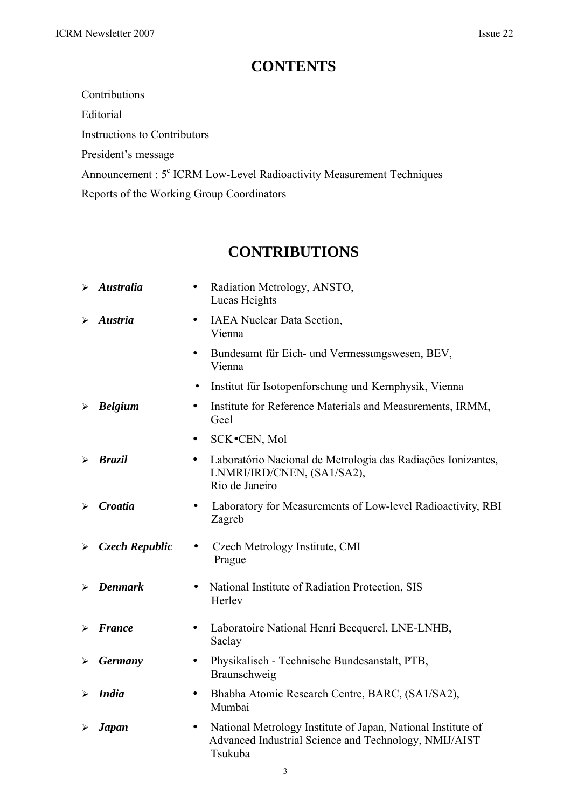# **CONTENTS**

Contributions

Editorial

Instructions to Contributors

President's message

Announcement : 5<sup>e</sup> ICRM Low-Level Radioactivity Measurement Techniques

Reports of the Working Group Coordinators

# **CONTRIBUTIONS**

|   | $\triangleright$ Australia | Radiation Metrology, ANSTO,<br>$\bullet$<br>Lucas Heights                                                                                     |
|---|----------------------------|-----------------------------------------------------------------------------------------------------------------------------------------------|
|   | <b>Austria</b>             | <b>IAEA</b> Nuclear Data Section,<br>$\bullet$<br>Vienna                                                                                      |
|   |                            | Bundesamt für Eich- und Vermessungswesen, BEV,<br>$\bullet$<br>Vienna                                                                         |
|   |                            | Institut für Isotopenforschung und Kernphysik, Vienna<br>$\bullet$                                                                            |
| ➤ | <b>Belgium</b>             | Institute for Reference Materials and Measurements, IRMM,<br>$\bullet$<br>Geel                                                                |
|   |                            | SCK.CEN, Mol<br>$\bullet$                                                                                                                     |
| ➤ | <b>Brazil</b>              | Laboratório Nacional de Metrologia das Radiações Ionizantes,<br>$\bullet$<br>LNMRI/IRD/CNEN, (SA1/SA2),<br>Rio de Janeiro                     |
| ≻ | Croatia                    | Laboratory for Measurements of Low-level Radioactivity, RBI<br>$\bullet$<br>Zagreb                                                            |
| ≻ | <b>Czech Republic</b>      | Czech Metrology Institute, CMI<br>$\bullet$<br>Prague                                                                                         |
| ➤ | <b>Denmark</b>             | National Institute of Radiation Protection, SIS<br>Herley                                                                                     |
|   | <b>France</b>              | Laboratoire National Henri Becquerel, LNE-LNHB,<br>Saclay                                                                                     |
| ≻ | <b>Germany</b>             | Physikalisch - Technische Bundesanstalt, PTB,<br>$\bullet$<br>Braunschweig                                                                    |
|   | <b>India</b>               | Bhabha Atomic Research Centre, BARC, (SA1/SA2),<br>$\bullet$<br>Mumbai                                                                        |
| ≻ | <b>Japan</b>               | National Metrology Institute of Japan, National Institute of<br>$\bullet$<br>Advanced Industrial Science and Technology, NMIJ/AIST<br>Tsukuba |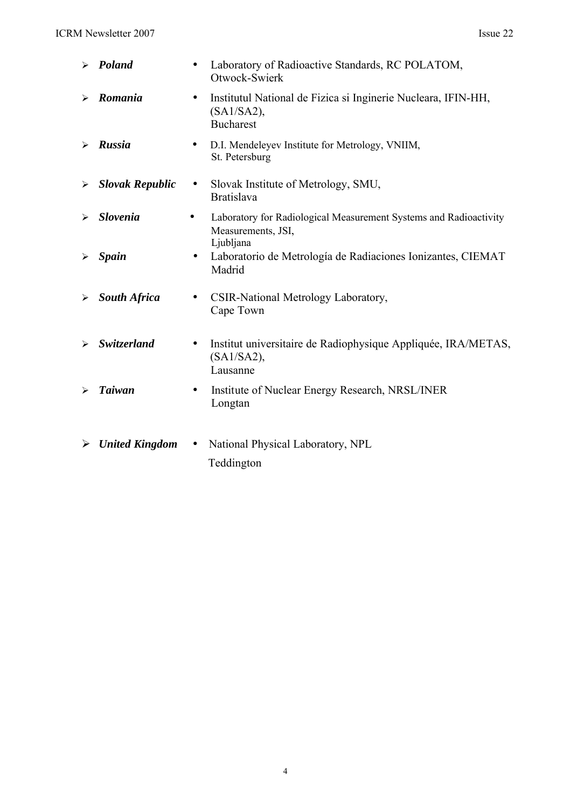|   | $\triangleright$ Poland | Laboratory of Radioactive Standards, RC POLATOM,<br>$\bullet$<br>Otwock-Swierk                               |
|---|-------------------------|--------------------------------------------------------------------------------------------------------------|
| ⋗ | Romania                 | Institutul National de Fizica si Inginerie Nucleara, IFIN-HH,<br>$\bullet$<br>(SA1/SA2),<br><b>Bucharest</b> |
| ⋗ | Russia                  | D.I. Mendeleyev Institute for Metrology, VNIIM,<br>$\bullet$<br>St. Petersburg                               |
| ➤ | <b>Slovak Republic</b>  | Slovak Institute of Metrology, SMU,<br>$\bullet$<br><b>Bratislava</b>                                        |
| ⋗ | <b>Slovenia</b>         | Laboratory for Radiological Measurement Systems and Radioactivity<br>Measurements, JSI,<br>Ljubljana         |
| ➤ | <b>Spain</b>            | Laboratorio de Metrología de Radiaciones Ionizantes, CIEMAT<br>$\bullet$<br>Madrid                           |
| ➤ | <b>South Africa</b>     | CSIR-National Metrology Laboratory,<br>$\bullet$<br>Cape Town                                                |
|   | Switzerland             | Institut universitaire de Radiophysique Appliquée, IRA/METAS,<br>$\bullet$<br>(SA1/SA2),<br>Lausanne         |
| ⋗ | <b>Taiwan</b>           | Institute of Nuclear Energy Research, NRSL/INER<br>Longtan                                                   |
| ➤ | <b>United Kingdom</b>   | National Physical Laboratory, NPL<br>$\bullet$<br>Teddington                                                 |
|   |                         |                                                                                                              |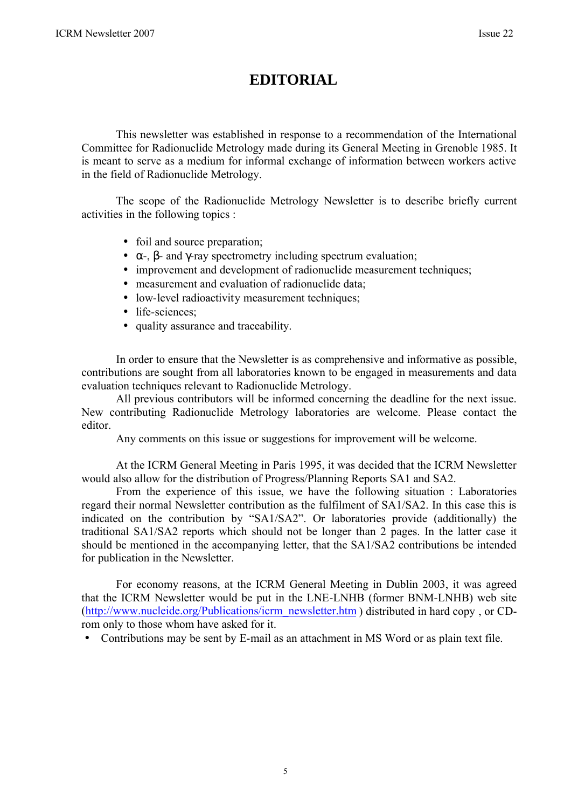# **EDITORIAL**

This newsletter was established in response to a recommendation of the International Committee for Radionuclide Metrology made during its General Meeting in Grenoble 1985. It is meant to serve as a medium for informal exchange of information between workers active in the field of Radionuclide Metrology.

The scope of the Radionuclide Metrology Newsletter is to describe briefly current activities in the following topics :

- foil and source preparation;
- $\alpha$ -, β- and γ-ray spectrometry including spectrum evaluation;
- improvement and development of radionuclide measurement techniques;
- measurement and evaluation of radionuclide data:
- low-level radioactivity measurement techniques;
- life-sciences:
- quality assurance and traceability.

In order to ensure that the Newsletter is as comprehensive and informative as possible, contributions are sought from all laboratories known to be engaged in measurements and data evaluation techniques relevant to Radionuclide Metrology.

All previous contributors will be informed concerning the deadline for the next issue. New contributing Radionuclide Metrology laboratories are welcome. Please contact the editor.

Any comments on this issue or suggestions for improvement will be welcome.

At the ICRM General Meeting in Paris 1995, it was decided that the ICRM Newsletter would also allow for the distribution of Progress/Planning Reports SA1 and SA2.

From the experience of this issue, we have the following situation : Laboratories regard their normal Newsletter contribution as the fulfilment of SA1/SA2. In this case this is indicated on the contribution by "SA1/SA2". Or laboratories provide (additionally) the traditional SA1/SA2 reports which should not be longer than 2 pages. In the latter case it should be mentioned in the accompanying letter, that the SA1/SA2 contributions be intended for publication in the Newsletter.

For economy reasons, at the ICRM General Meeting in Dublin 2003, it was agreed that the ICRM Newsletter would be put in the LNE-LNHB (former BNM-LNHB) web site (http://www.nucleide.org/Publications/icrm\_newsletter.htm ) distributed in hard copy , or CDrom only to those whom have asked for it.

• Contributions may be sent by E-mail as an attachment in MS Word or as plain text file.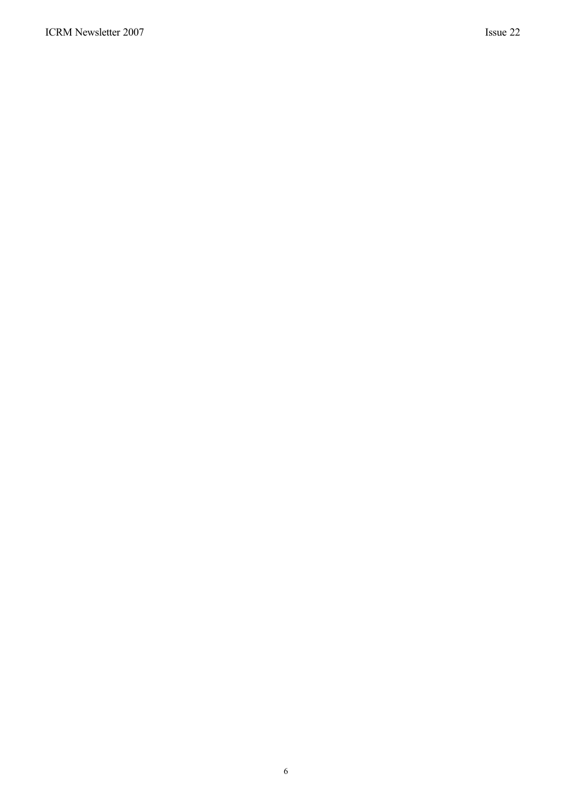ICRM Newsletter 2007 Issue 22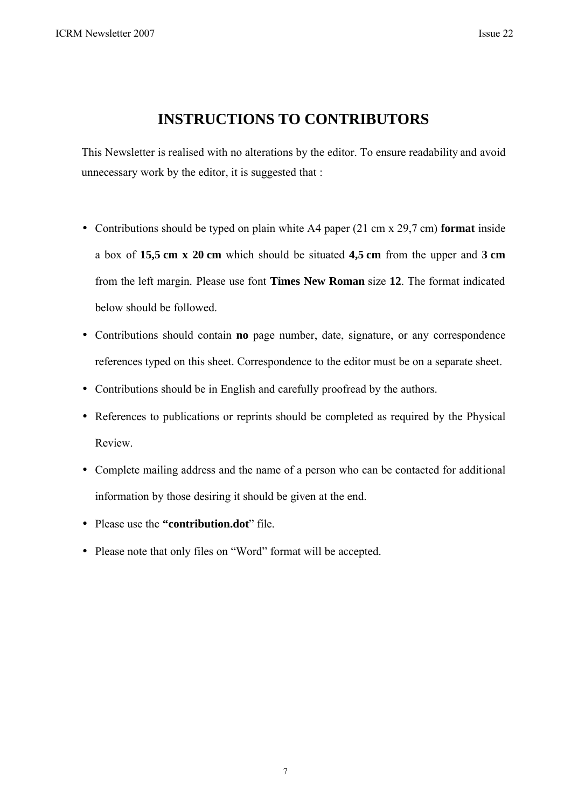# **INSTRUCTIONS TO CONTRIBUTORS**

This Newsletter is realised with no alterations by the editor. To ensure readability and avoid unnecessary work by the editor, it is suggested that :

- Contributions should be typed on plain white A4 paper (21 cm x 29,7 cm) **format** inside a box of **15,5 cm x 20 cm** which should be situated **4,5 cm** from the upper and **3 cm** from the left margin. Please use font **Times New Roman** size **12**. The format indicated below should be followed.
- Contributions should contain **no** page number, date, signature, or any correspondence references typed on this sheet. Correspondence to the editor must be on a separate sheet.
- Contributions should be in English and carefully proofread by the authors.
- References to publications or reprints should be completed as required by the Physical Review.
- Complete mailing address and the name of a person who can be contacted for additional information by those desiring it should be given at the end.
- Please use the **"contribution.dot**" file.
- Please note that only files on "Word" format will be accepted.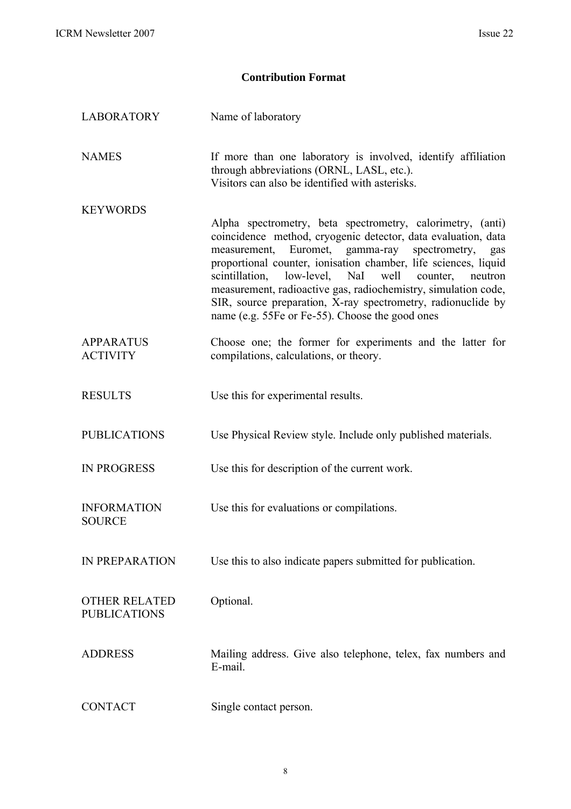#### **Contribution Format**

| <b>LABORATORY</b>                           | Name of laboratory                                                                                                                                                                                                                                                                                                                                                                                                                            |
|---------------------------------------------|-----------------------------------------------------------------------------------------------------------------------------------------------------------------------------------------------------------------------------------------------------------------------------------------------------------------------------------------------------------------------------------------------------------------------------------------------|
| <b>NAMES</b>                                | If more than one laboratory is involved, identify affiliation<br>through abbreviations (ORNL, LASL, etc.).<br>Visitors can also be identified with asterisks.                                                                                                                                                                                                                                                                                 |
| <b>KEYWORDS</b>                             | Alpha spectrometry, beta spectrometry, calorimetry, (anti)                                                                                                                                                                                                                                                                                                                                                                                    |
|                                             | coincidence method, cryogenic detector, data evaluation, data<br>measurement, Euromet, gamma-ray<br>spectrometry,<br>gas<br>proportional counter, ionisation chamber, life sciences, liquid<br>scintillation,<br>low-level, NaI well counter,<br>neutron<br>measurement, radioactive gas, radiochemistry, simulation code,<br>SIR, source preparation, X-ray spectrometry, radionuclide by<br>name (e.g. 55Fe or Fe-55). Choose the good ones |
| <b>APPARATUS</b><br><b>ACTIVITY</b>         | Choose one; the former for experiments and the latter for<br>compilations, calculations, or theory.                                                                                                                                                                                                                                                                                                                                           |
| <b>RESULTS</b>                              | Use this for experimental results.                                                                                                                                                                                                                                                                                                                                                                                                            |
| <b>PUBLICATIONS</b>                         | Use Physical Review style. Include only published materials.                                                                                                                                                                                                                                                                                                                                                                                  |
| <b>IN PROGRESS</b>                          | Use this for description of the current work.                                                                                                                                                                                                                                                                                                                                                                                                 |
| <b>INFORMATION</b><br><b>SOURCE</b>         | Use this for evaluations or compilations.                                                                                                                                                                                                                                                                                                                                                                                                     |
| IN PREPARATION                              | Use this to also indicate papers submitted for publication.                                                                                                                                                                                                                                                                                                                                                                                   |
| <b>OTHER RELATED</b><br><b>PUBLICATIONS</b> | Optional.                                                                                                                                                                                                                                                                                                                                                                                                                                     |
| <b>ADDRESS</b>                              | Mailing address. Give also telephone, telex, fax numbers and<br>E-mail.                                                                                                                                                                                                                                                                                                                                                                       |
| <b>CONTACT</b>                              | Single contact person.                                                                                                                                                                                                                                                                                                                                                                                                                        |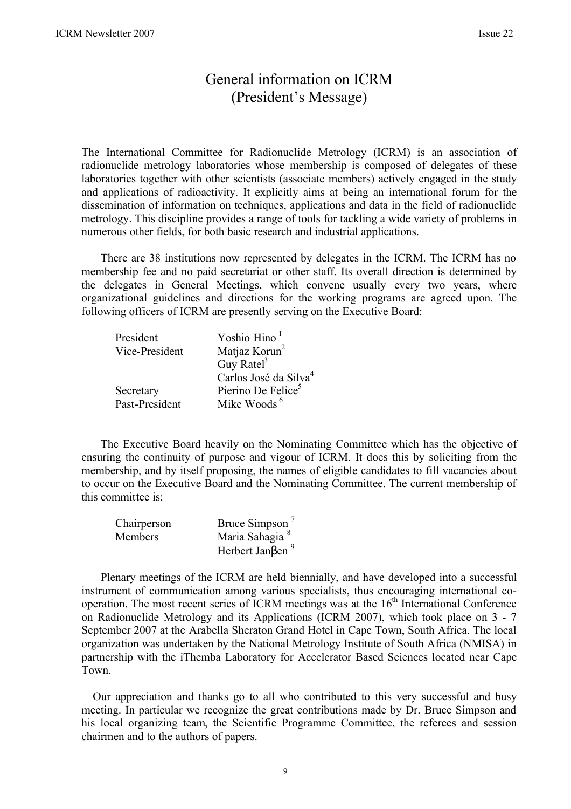## General information on ICRM (President's Message)

The International Committee for Radionuclide Metrology (ICRM) is an association of radionuclide metrology laboratories whose membership is composed of delegates of these laboratories together with other scientists (associate members) actively engaged in the study and applications of radioactivity. It explicitly aims at being an international forum for the dissemination of information on techniques, applications and data in the field of radionuclide metrology. This discipline provides a range of tools for tackling a wide variety of problems in numerous other fields, for both basic research and industrial applications.

There are 38 institutions now represented by delegates in the ICRM. The ICRM has no membership fee and no paid secretariat or other staff. Its overall direction is determined by the delegates in General Meetings, which convene usually every two years, where organizational guidelines and directions for the working programs are agreed upon. The following officers of ICRM are presently serving on the Executive Board:

| Yoshio Hino <sup>1</sup>          |
|-----------------------------------|
| Matjaz Korun <sup>2</sup>         |
| Guy Ratel <sup>3</sup>            |
| Carlos José da Silva <sup>4</sup> |
| Pierino De Felice <sup>5</sup>    |
| Mike Woods <sup>6</sup>           |
|                                   |

The Executive Board heavily on the Nominating Committee which has the objective of ensuring the continuity of purpose and vigour of ICRM. It does this by soliciting from the membership, and by itself proposing, the names of eligible candidates to fill vacancies about to occur on the Executive Board and the Nominating Committee. The current membership of this committee is:

| Chairperson | <b>Bruce Simpson</b>                |
|-------------|-------------------------------------|
| Members     | Maria Sahagia <sup>8</sup>          |
|             | Herbert Jan $\beta$ en <sup>9</sup> |

Plenary meetings of the ICRM are held biennially, and have developed into a successful instrument of communication among various specialists, thus encouraging international cooperation. The most recent series of ICRM meetings was at the  $16<sup>th</sup>$  International Conference on Radionuclide Metrology and its Applications (ICRM 2007), which took place on 3 - 7 September 2007 at the Arabella Sheraton Grand Hotel in Cape Town, South Africa. The local organization was undertaken by the National Metrology Institute of South Africa (NMISA) in partnership with the iThemba Laboratory for Accelerator Based Sciences located near Cape Town.

 Our appreciation and thanks go to all who contributed to this very successful and busy meeting. In particular we recognize the great contributions made by Dr. Bruce Simpson and his local organizing team, the Scientific Programme Committee, the referees and session chairmen and to the authors of papers.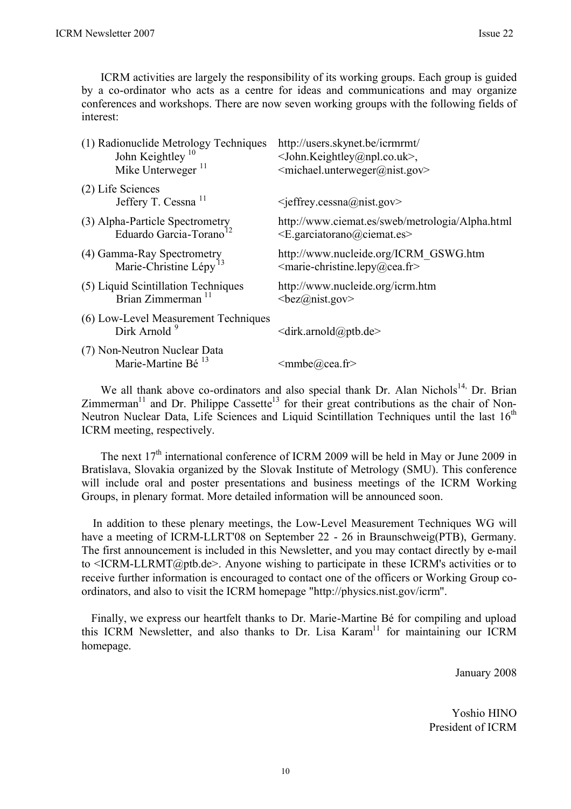ICRM activities are largely the responsibility of its working groups. Each group is guided by a co-ordinator who acts as a centre for ideas and communications and may organize conferences and workshops. There are now seven working groups with the following fields of interest:

| (1) Radionuclide Metrology Techniques<br>John Keightley <sup>10</sup><br>Mike Unterweger <sup>11</sup> | http://users.skynet.be/icrmrmt/<br>$\le$ John.Keightley@npl.co.uk>,<br><michael.unterweger@nist.gov></michael.unterweger@nist.gov> |
|--------------------------------------------------------------------------------------------------------|------------------------------------------------------------------------------------------------------------------------------------|
| (2) Life Sciences<br>Jeffery T. Cessna <sup>11</sup>                                                   | $\leq$ effrey.cessna@nist.gov>                                                                                                     |
| (3) Alpha-Particle Spectrometry<br>Eduardo Garcia-Torano <sup>12</sup>                                 | http://www.ciemat.es/sweb/metrologia/Alpha.html<br>$\leq E$ garciatorano@ciemat.es>                                                |
| (4) Gamma-Ray Spectrometry<br>Marie-Christine Lépy <sup>13</sup>                                       | http://www.nucleide.org/ICRM GSWG.htm<br>$\leq$ marie-christine.lepy@cea.fr>                                                       |
| (5) Liquid Scintillation Techniques<br>Brian Zimmerman <sup>11</sup>                                   | http://www.nucleide.org/icrm.htm<br><br>bez@nist.gov>                                                                              |
| (6) Low-Level Measurement Techniques<br>Dirk Arnold <sup>9</sup>                                       | $\le$ dirk.arnold@ptb.de>                                                                                                          |
| (7) Non-Neutron Nuclear Data<br>Marie-Martine Bé <sup>13</sup>                                         | $\leq$ mmbe $\omega$ cea.fr>                                                                                                       |

We all thank above co-ordinators and also special thank Dr. Alan Nichols<sup>14,</sup> Dr. Brian  $Z$ immerman<sup>11</sup> and Dr. Philippe Cassette<sup>13</sup> for their great contributions as the chair of Non-Neutron Nuclear Data, Life Sciences and Liquid Scintillation Techniques until the last 16<sup>th</sup> ICRM meeting, respectively.

The next  $17<sup>th</sup>$  international conference of ICRM 2009 will be held in May or June 2009 in Bratislava, Slovakia organized by the Slovak Institute of Metrology (SMU). This conference will include oral and poster presentations and business meetings of the ICRM Working Groups, in plenary format. More detailed information will be announced soon.

 In addition to these plenary meetings, the Low-Level Measurement Techniques WG will have a meeting of ICRM-LLRT'08 on September 22 - 26 in Braunschweig(PTB), Germany. The first announcement is included in this Newsletter, and you may contact directly by e-mail to <ICRM-LLRMT@ptb.de>. Anyone wishing to participate in these ICRM's activities or to receive further information is encouraged to contact one of the officers or Working Group coordinators, and also to visit the ICRM homepage "http://physics.nist.gov/icrm".

 Finally, we express our heartfelt thanks to Dr. Marie-Martine Bé for compiling and upload this ICRM Newsletter, and also thanks to Dr. Lisa  $\text{Karam}^{11}$  for maintaining our ICRM homepage.

January 2008

Yoshio HINO President of ICRM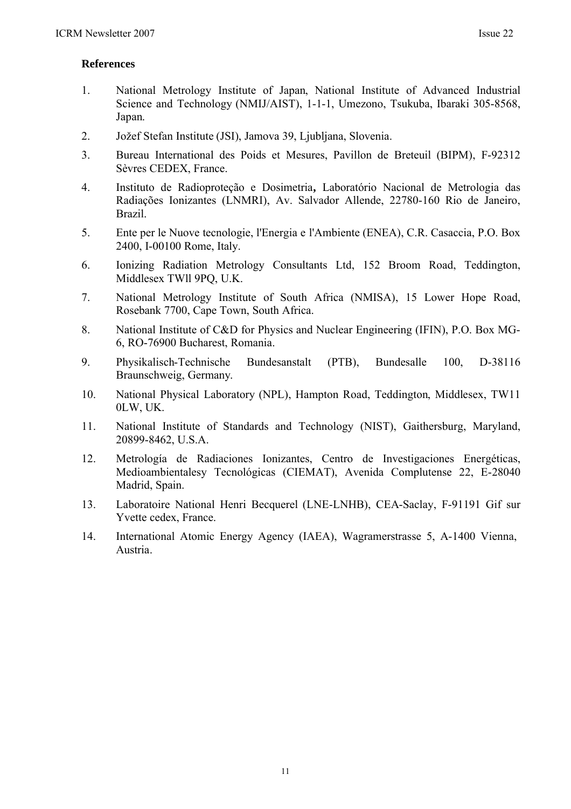- 1. National Metrology Institute of Japan, National Institute of Advanced Industrial Science and Technology (NMIJ/AIST), 1-1-1, Umezono, Tsukuba, Ibaraki 305-8568, Japan.
- 2. Jožef Stefan Institute (JSI), Jamova 39, Ljubljana, Slovenia.
- 3. Bureau International des Poids et Mesures, Pavillon de Breteuil (BIPM), F-92312 Sèvres CEDEX, France.
- 4. Instituto de Radioproteção e Dosimetria**,** Laboratório Nacional de Metrologia das Radiações Ionizantes (LNMRI), Av. Salvador Allende, 22780-160 Rio de Janeiro, Brazil.
- 5. Ente per le Nuove tecnologie, l'Energia e l'Ambiente (ENEA), C.R. Casaccia, P.O. Box 2400, I-00100 Rome, Italy.
- 6. Ionizing Radiation Metrology Consultants Ltd, 152 Broom Road, Teddington, Middlesex TWll 9PQ, U.K.
- 7. National Metrology Institute of South Africa (NMISA), 15 Lower Hope Road, Rosebank 7700, Cape Town, South Africa.
- 8. National Institute of C&D for Physics and Nuclear Engineering (IFIN), P.O. Box MG-6, RO-76900 Bucharest, Romania.
- 9. Physikalisch-Technische Bundesanstalt (PTB), Bundesalle 100, D-38116 Braunschweig, Germany.
- 10. National Physical Laboratory (NPL), Hampton Road, Teddington, Middlesex, TW11 0LW, UK.
- 11. National Institute of Standards and Technology (NIST), Gaithersburg, Maryland, 20899-8462, U.S.A.
- 12. Metrología de Radiaciones Ionizantes, Centro de Investigaciones Energéticas, Medioambientalesy Tecnológicas (CIEMAT), Avenida Complutense 22, E-28040 Madrid, Spain.
- 13. Laboratoire National Henri Becquerel (LNE-LNHB), CEA-Saclay, F-91191 Gif sur Yvette cedex, France.
- 14. International Atomic Energy Agency (IAEA), Wagramerstrasse 5, A-1400 Vienna, Austria.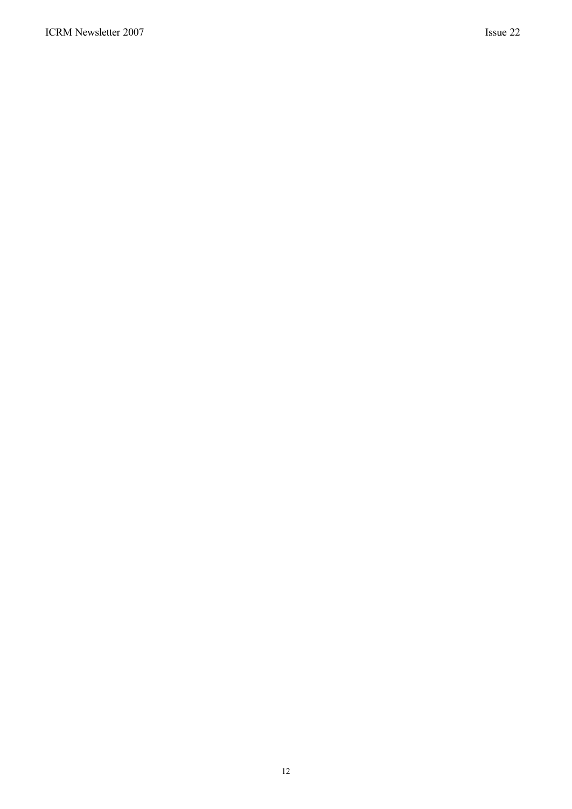ICRM Newsletter 2007 Issue 22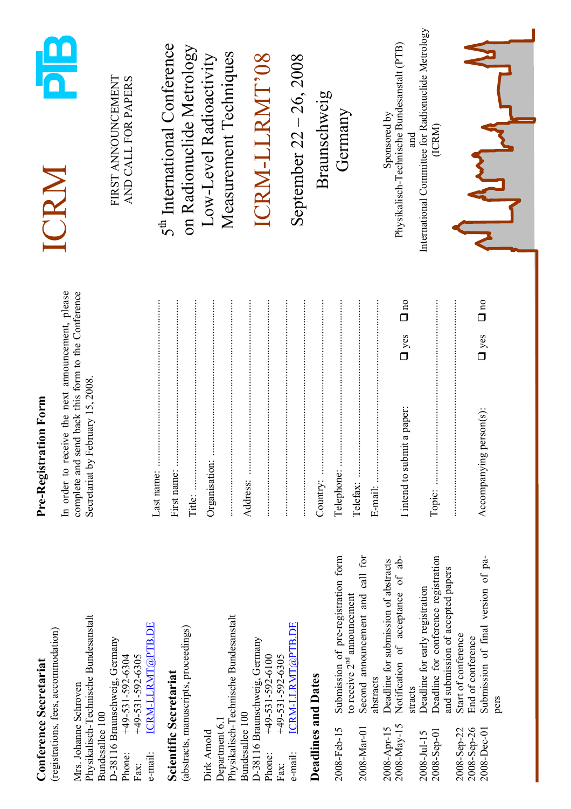| (registrations, fees, accommodation)<br><b>Conference Secretariat</b>                                                                      | <b>Pre-Registration Form</b>                                                                                                                    |                 |                                                                       |  |
|--------------------------------------------------------------------------------------------------------------------------------------------|-------------------------------------------------------------------------------------------------------------------------------------------------|-----------------|-----------------------------------------------------------------------|--|
| Physikalisch-Technische Bundesanstalt<br>Mrs. Johanne Schroven<br>Bundesallee 100                                                          | In order to receive the next announcement, please<br>send back this form to the Conference<br>Secretariat by February 15, 2008.<br>complete and |                 | <u>n</u><br>A<br>ICRM                                                 |  |
| D-38116 Braunschweig, Germany<br>$+49-531-592-6305$<br>$+49-531-592-6304$<br>Phone:<br>Fax:                                                |                                                                                                                                                 |                 | FIRST ANNOUNCEMENT<br>AND CALL FOR PAPERS                             |  |
| ICRM-LLRMT@PTB.DE<br>e-mail:                                                                                                               | Last name:                                                                                                                                      |                 |                                                                       |  |
| (abstracts, manuscripts, proceedings)<br><b>Scientific Secretariat</b>                                                                     | First name:<br>Title:                                                                                                                           |                 | 5 <sup>th</sup> International Conference<br>on Radionuclide Metrology |  |
| Department 6.1<br>Dirk Arnold                                                                                                              | Organisation:                                                                                                                                   |                 | Low-Level Radioactivity                                               |  |
| Physikalisch-Technische Bundesanstalt                                                                                                      |                                                                                                                                                 |                 | Measurement Techniques                                                |  |
| D-38116 Braunschweig, Germany<br>$+49-531-592-6100$<br>Bundesallee 100<br>Phone:                                                           | Address:                                                                                                                                        |                 | ICRM-LLRMT'08                                                         |  |
| ICRM-LLRMT@PTB.DE<br>$+49-531-592-6305$<br>$e$ -mail:<br>Fax:                                                                              |                                                                                                                                                 |                 | September 22 - 26, 2008                                               |  |
| Deadlines and Dates                                                                                                                        | Country:                                                                                                                                        |                 | Braunschweig                                                          |  |
| Submission of pre-registration form<br>to receive $2nd$ announcement<br>2008-Feb-15                                                        | Telephone:                                                                                                                                      |                 | Germany                                                               |  |
| Second announcement and call for<br>abstracts<br>2008-Mar-01                                                                               | E-mail:<br>Telefax:                                                                                                                             |                 |                                                                       |  |
| Notification of acceptance of ab-<br>Deadline for submission of abstracts<br>stracts<br>2008-May-15<br>2008-Apr-15                         | $\Box$ yes<br>I intend to submit a paper:                                                                                                       | $\frac{1}{2}$   | Physikalisch-Technische Bundesanstalt (PTB)<br>Sponsored by<br>and    |  |
| Deadline for conference registration<br>and submission of accepted papers<br>Deadline for early registration<br>2008-Sep-01<br>2008-Jul-15 | :<br>:<br>:<br>:<br>:<br>Topic:                                                                                                                 |                 | International Committee for Radionuclide Metrology<br>(ICRM)          |  |
| Submission of final version of pa-<br>Start of conference<br>End of conference<br>2008-Sep-26<br>2008-Dec-01<br>2008-Sep-22                | $\Box$ yes<br>Accompanying person(s):                                                                                                           | $\frac{10}{10}$ | N AMAL                                                                |  |
| pers                                                                                                                                       |                                                                                                                                                 |                 |                                                                       |  |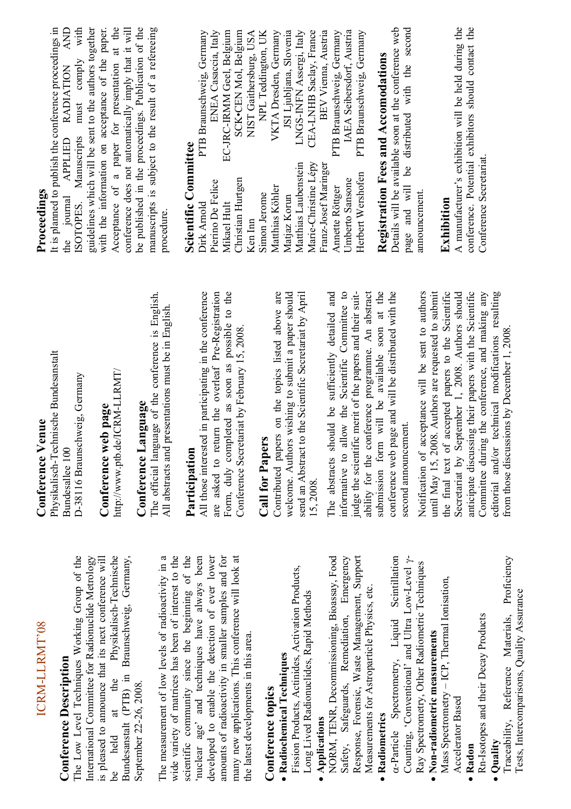| ICRM-LLRMT'08                                                                                              | <b>Conference Venue</b>                                                                                       | Proceedings                                                                                                                  |
|------------------------------------------------------------------------------------------------------------|---------------------------------------------------------------------------------------------------------------|------------------------------------------------------------------------------------------------------------------------------|
| <b>Conference Description</b>                                                                              | Physikalisch-Technische Bundesanstalt<br>Bundesallee 100                                                      | It is planned to publish the conference proceedings in<br><b>AND</b><br><b>RADIATION</b><br><b>APPLIED</b><br>journal<br>the |
| The Low Level Techniques Working Group of the                                                              | D-38116 Braunschweig, Germany                                                                                 | with<br>must comply<br>ISOTOPES. Manuscripts                                                                                 |
| is pleased to announce that its next conference will<br>International Committee for Radionuclide Metrology |                                                                                                               | guidelines which will be sent to the authors together<br>with the information on acceptance of the paper.                    |
| at the Physikalisch-Technische<br>held<br>g                                                                | http://www.ptb.de/ICRM-LLRMT/<br>eb page<br>Conference wo                                                     | Acceptance of a paper for presentation at the                                                                                |
| Bundesanstalt (PTB) in Braunschweig, Germany,<br>September 22-26, 2008.                                    | Conference Language                                                                                           | be published in the proceedings. Publication of the<br>conference does not automatically imply that it will                  |
| The measurement of low levels of radioactivity in a                                                        | The official language of the conference is English.<br>All abstracts and presentations must be in English     | manuscripts is subject to the result of a refereeing<br>procedure.                                                           |
| scientific community since the beginning of the<br>wide variety of matrices has been of interest to the    | Participation                                                                                                 | <b>Scientific Committee</b>                                                                                                  |
| 'nuclear age' and techniques have always been<br>developed to enable the detection of ever lower           | All those interested in participating in the conference<br>are asked to return the overleaf Pre-Registration  | ENEA Casaccia, Italy<br>PTB Braunschweig, Germany<br>Pierino De Felice<br>Dirk Arnold                                        |
| amounts of radioactivity in smaller samples and for<br>many new applications. This conference will look at | Form, duly completed as soon as possible to the                                                               | EC-JRC-IRMM Geel, Belgium<br>Mikael Hult                                                                                     |
| the latest developments in this area.                                                                      | Conference Secretariat by February 15, 2008.                                                                  | SCK.CEN Mol, Belgium<br>NIST Gaithersburg, USA<br>Christian Hurtgen<br>Ken Im                                                |
|                                                                                                            | <b>Call for Papers</b>                                                                                        | NPL Teddington, UK<br>Simon Jerome                                                                                           |
| · Radiochemical Techniques<br>Conference topics                                                            | Contributed papers on the topics listed above are                                                             | VKTA Dresden, Germany<br>Matthias Köhler                                                                                     |
| Fission Products, Actinides, Activation Products,                                                          | welcome. Authors wishing to submit a paper should<br>send an Abstract to the Scientific Secretariat by April  | JSI Ljubljana, Slovenia<br>LNGS-INFN Assergi, Italy<br>Matthias Laubenstein<br>Matjaz Korun                                  |
| Long Lived Radionuclides, Rapid Methods<br>Applications<br>$\bullet$                                       | 15, 2008.                                                                                                     | CEA-LNHB Saclay, France<br>Marie-Christine Lépy                                                                              |
| NORM, TENR, Decommissioning, Bioassay, Food                                                                | The abstracts should be sufficiently detailed and                                                             | BEV Vienna, Austria<br>Franz-Josef Maringer<br>Annette Röttger                                                               |
| Safety, Safeguards, Remediation, Emergency                                                                 | informative to allow the Scientific Committee to                                                              | IAEA Seibersdorf, Austria<br>PTB Braunschweig, Germany<br>Umberto Sansone                                                    |
| Response, Forensic, Waste Management, Support                                                              | ability for the conference programme. An abstract<br>judge the scientific merit of the papers and their suit- | PTB Braunschweig, Germany<br>Herbert Wershofen                                                                               |
| Measurements for Astroparticle Physics, etc.<br>· Radiometrics                                             | submission form will be available soon at the                                                                 | Registration Fees and Accomodations                                                                                          |
| a-Particle Spectrometry, Liquid Scintillation                                                              | conference web page and will be distributed with the                                                          | Details will be available soon at the conference web                                                                         |
| Counting, 'Conventional' and Ultra Low-Level y-                                                            | second announcement.                                                                                          | second<br>and will be distributed with the<br>page                                                                           |
| Ray Spectrometry, Other Radiometric Techniques                                                             | Notification of acceptance will be sent to authors                                                            | announcement.                                                                                                                |
| · Non-radiometric measurements                                                                             | until May 15, 2008. Authors are requested to submit                                                           |                                                                                                                              |
| Mass Spectrometry - ICP, Thermal Ionisation,                                                               | the final text of accepted papers to the Scientific                                                           | Exhibition                                                                                                                   |
| Accelerator Based                                                                                          | Secretariat by September 1, 2008. Authors should                                                              | A manufacturer's exhibition will be held during the                                                                          |
| · Radon                                                                                                    | anticipate discussing their papers with the Scientific                                                        | conference. Potential exhibitors should contact the                                                                          |
| Rn-Isotopes and their Decay Products                                                                       | Committee during the conference, and making any                                                               | Conference Secretariat.                                                                                                      |
| · Quality                                                                                                  | technical modifications resulting<br>editorial and/or                                                         |                                                                                                                              |
| Proficiency<br>Traceability, Reference Materials,                                                          | from those discussions by December 1, 2008.                                                                   |                                                                                                                              |
| Tests, Intercomparisons, Quality Assurance                                                                 |                                                                                                               |                                                                                                                              |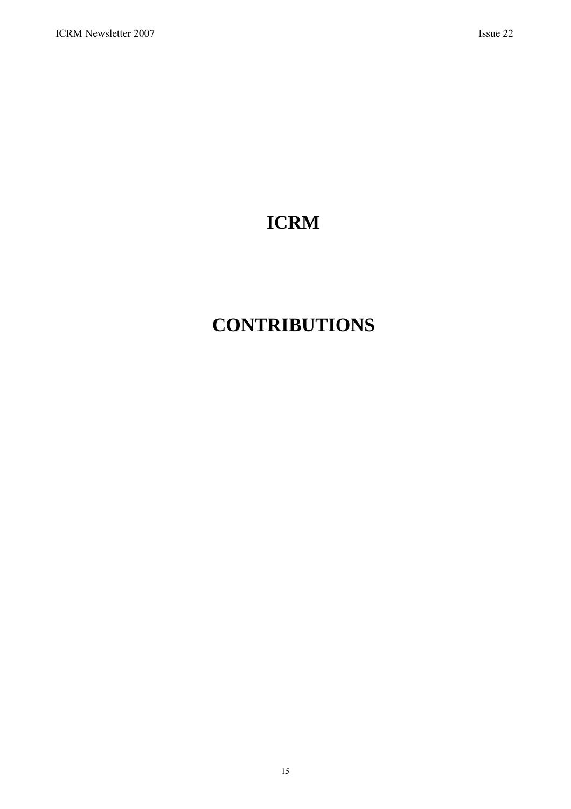# **ICRM**

# **CONTRIBUTIONS**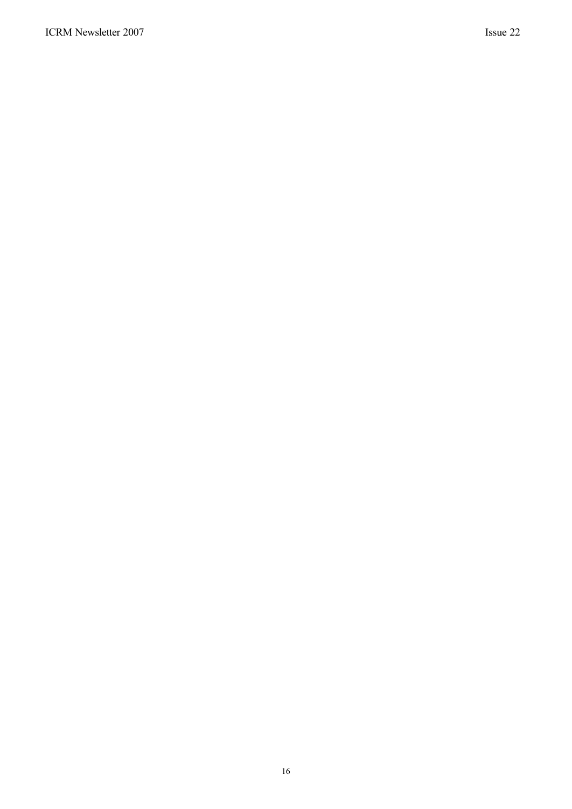ICRM Newsletter 2007 Issue 22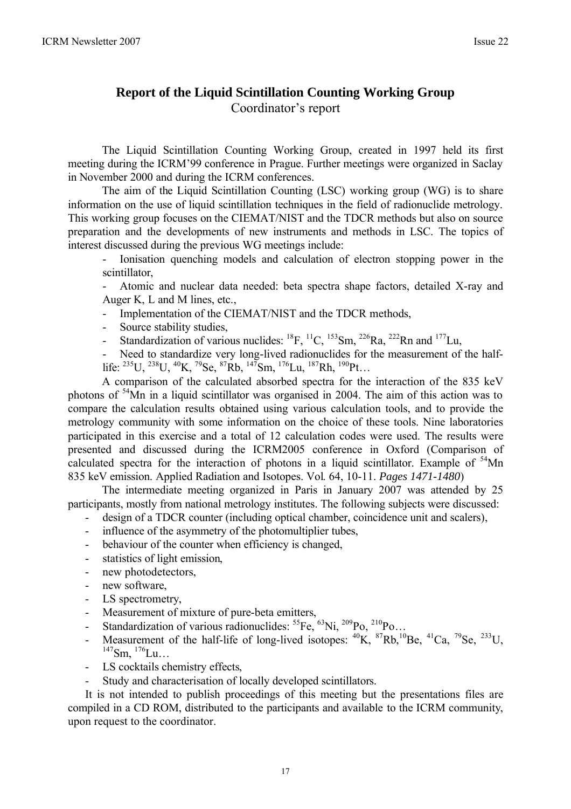### **Report of the Liquid Scintillation Counting Working Group** Coordinator's report

The Liquid Scintillation Counting Working Group, created in 1997 held its first meeting during the ICRM'99 conference in Prague. Further meetings were organized in Saclay in November 2000 and during the ICRM conferences.

The aim of the Liquid Scintillation Counting (LSC) working group (WG) is to share information on the use of liquid scintillation techniques in the field of radionuclide metrology. This working group focuses on the CIEMAT/NIST and the TDCR methods but also on source preparation and the developments of new instruments and methods in LSC. The topics of interest discussed during the previous WG meetings include:

- Ionisation quenching models and calculation of electron stopping power in the scintillator,

- Atomic and nuclear data needed: beta spectra shape factors, detailed X-ray and Auger K, L and M lines, etc.,

- Implementation of the CIEMAT/NIST and the TDCR methods,
- Source stability studies,
- Standardization of various nuclides:  ${}^{18}F, {}^{11}C, {}^{153}Sm, {}^{226}Ra, {}^{222}Rn$  and  ${}^{177}Lu$ .

Need to standardize very long-lived radionuclides for the measurement of the halflife:  $^{235}$ U,  $^{238}$ U,  $^{40}$ K,  $^{79}$ Se,  $^{87}$ Rb,  $^{147}$ Sm,  $^{176}$ Lu,  $^{187}$ Rh,  $^{190}$ Pt...

A comparison of the calculated absorbed spectra for the interaction of the 835 keV photons of <sup>54</sup>Mn in a liquid scintillator was organised in 2004. The aim of this action was to compare the calculation results obtained using various calculation tools, and to provide the metrology community with some information on the choice of these tools. Nine laboratories participated in this exercise and a total of 12 calculation codes were used. The results were presented and discussed during the ICRM2005 conference in Oxford (Comparison of calculated spectra for the interaction of photons in a liquid scintillator. Example of  $54$ Mn 835 keV emission. Applied Radiation and Isotopes. Vol. 64, 10-11. *Pages 1471-1480*)

The intermediate meeting organized in Paris in January 2007 was attended by 25 participants, mostly from national metrology institutes. The following subjects were discussed:

- design of a TDCR counter (including optical chamber, coincidence unit and scalers),
- influence of the asymmetry of the photomultiplier tubes,
- behaviour of the counter when efficiency is changed,
- statistics of light emission,
- new photodetectors,
- new software,
- LS spectrometry,
- Measurement of mixture of pure-beta emitters,
- Standardization of various radionuclides:  ${}^{55}Fe, {}^{63}Ni, {}^{209}Po, {}^{210}Po...$
- Measurement of the half-life of long-lived isotopes:  ${}^{40}$ K,  ${}^{87}Rb, {}^{10}Be, {}^{41}Ca, {}^{79}Se, {}^{233}U,$  $147$ Sm,  $176$ Lu…
- LS cocktails chemistry effects,
- Study and characterisation of locally developed scintillators.

It is not intended to publish proceedings of this meeting but the presentations files are compiled in a CD ROM, distributed to the participants and available to the ICRM community, upon request to the coordinator.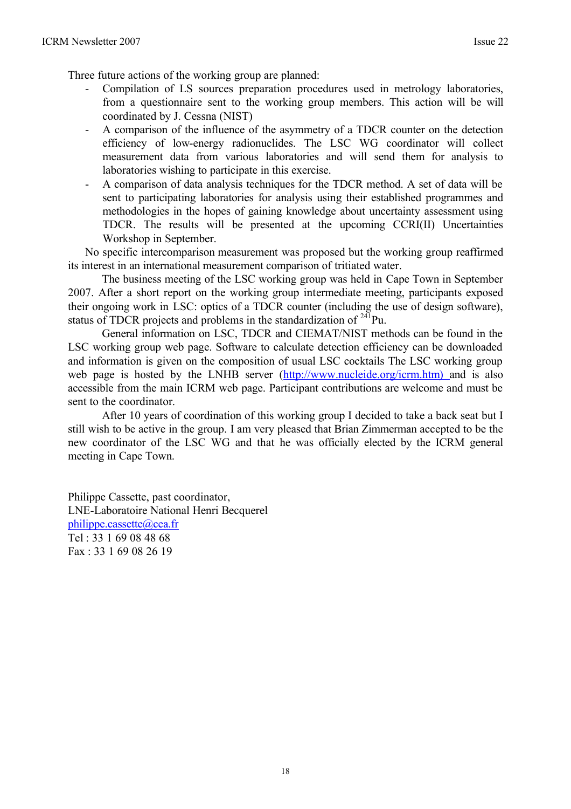Three future actions of the working group are planned:

- Compilation of LS sources preparation procedures used in metrology laboratories, from a questionnaire sent to the working group members. This action will be will coordinated by J. Cessna (NIST)
- A comparison of the influence of the asymmetry of a TDCR counter on the detection efficiency of low-energy radionuclides. The LSC WG coordinator will collect measurement data from various laboratories and will send them for analysis to laboratories wishing to participate in this exercise.
- A comparison of data analysis techniques for the TDCR method. A set of data will be sent to participating laboratories for analysis using their established programmes and methodologies in the hopes of gaining knowledge about uncertainty assessment using TDCR. The results will be presented at the upcoming CCRI(II) Uncertainties Workshop in September.

No specific intercomparison measurement was proposed but the working group reaffirmed its interest in an international measurement comparison of tritiated water.

The business meeting of the LSC working group was held in Cape Town in September 2007. After a short report on the working group intermediate meeting, participants exposed their ongoing work in LSC: optics of a TDCR counter (including the use of design software), status of TDCR projects and problems in the standardization of  $^{241}$ Pu.

General information on LSC, TDCR and CIEMAT/NIST methods can be found in the LSC working group web page. Software to calculate detection efficiency can be downloaded and information is given on the composition of usual LSC cocktails The LSC working group web page is hosted by the LNHB server (http://www.nucleide.org/icrm.htm) and is also accessible from the main ICRM web page. Participant contributions are welcome and must be sent to the coordinator.

After 10 years of coordination of this working group I decided to take a back seat but I still wish to be active in the group. I am very pleased that Brian Zimmerman accepted to be the new coordinator of the LSC WG and that he was officially elected by the ICRM general meeting in Cape Town.

Philippe Cassette, past coordinator, LNE-Laboratoire National Henri Becquerel philippe.cassette@cea.fr Tel : 33 1 69 08 48 68 Fax : 33 1 69 08 26 19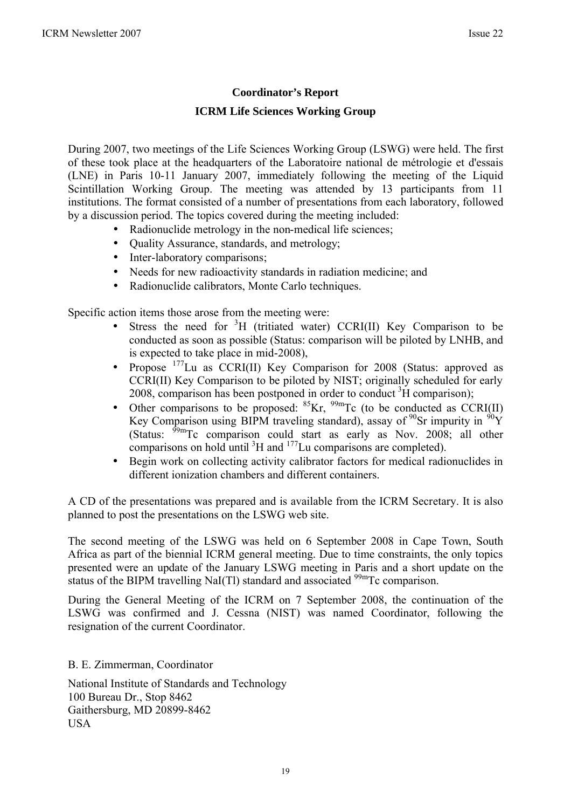# **Coordinator's Report**

### **ICRM Life Sciences Working Group**

During 2007, two meetings of the Life Sciences Working Group (LSWG) were held. The first of these took place at the headquarters of the Laboratoire national de métrologie et d'essais (LNE) in Paris 10-11 January 2007, immediately following the meeting of the Liquid Scintillation Working Group. The meeting was attended by 13 participants from 11 institutions. The format consisted of a number of presentations from each laboratory, followed by a discussion period. The topics covered during the meeting included:

- Radionuclide metrology in the non-medical life sciences;
- Quality Assurance, standards, and metrology;
- Inter-laboratory comparisons;
- Needs for new radioactivity standards in radiation medicine; and
- Radionuclide calibrators, Monte Carlo techniques.

Specific action items those arose from the meeting were:

- Stress the need for  ${}^{3}H$  (tritiated water) CCRI(II) Key Comparison to be conducted as soon as possible (Status: comparison will be piloted by LNHB, and is expected to take place in mid-2008),
- Propose <sup>177</sup>Lu as CCRI(II) Key Comparison for 2008 (Status: approved as CCRI(II) Key Comparison to be piloted by NIST; originally scheduled for early 2008, comparison has been postponed in order to conduct  ${}^{3}$ H comparison);
- Other comparisons to be proposed:  ${}^{85}$ Kr,  ${}^{99m}$ Tc (to be conducted as CCRI(II) Key Comparison using BIPM traveling standard), assay of <sup>90</sup>Sr impurity in  $90Y$ (Status:  $99m$ Tc comparison could start as early as Nov. 2008; all other comparisons on hold until  ${}^{3}H$  and  ${}^{177}Lu$  comparisons are completed).
- Begin work on collecting activity calibrator factors for medical radionuclides in different ionization chambers and different containers.

A CD of the presentations was prepared and is available from the ICRM Secretary. It is also planned to post the presentations on the LSWG web site.

The second meeting of the LSWG was held on 6 September 2008 in Cape Town, South Africa as part of the biennial ICRM general meeting. Due to time constraints, the only topics presented were an update of the January LSWG meeting in Paris and a short update on the status of the BIPM travelling NaI(Tl) standard and associated <sup>99m</sup>Tc comparison.

During the General Meeting of the ICRM on 7 September 2008, the continuation of the LSWG was confirmed and J. Cessna (NIST) was named Coordinator, following the resignation of the current Coordinator.

B. E. Zimmerman, Coordinator

National Institute of Standards and Technology 100 Bureau Dr., Stop 8462 Gaithersburg, MD 20899-8462 **USA**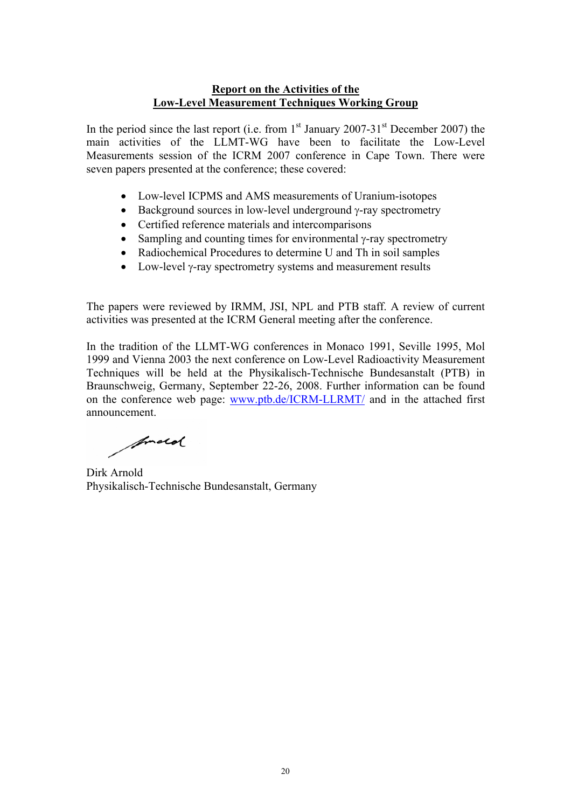#### **Report on the Activities of the Low-Level Measurement Techniques Working Group**

In the period since the last report (i.e. from  $1<sup>st</sup>$  January 2007-31 $<sup>st</sup>$  December 2007) the</sup> main activities of the LLMT-WG have been to facilitate the Low-Level Measurements session of the ICRM 2007 conference in Cape Town. There were seven papers presented at the conference; these covered:

- Low-level ICPMS and AMS measurements of Uranium-isotopes
- Background sources in low-level underground γ-ray spectrometry
- Certified reference materials and intercomparisons
- Sampling and counting times for environmental γ-ray spectrometry
- Radiochemical Procedures to determine U and Th in soil samples
- Low-level γ-ray spectrometry systems and measurement results

The papers were reviewed by IRMM, JSI, NPL and PTB staff. A review of current activities was presented at the ICRM General meeting after the conference.

In the tradition of the LLMT-WG conferences in Monaco 1991, Seville 1995, Mol 1999 and Vienna 2003 the next conference on Low-Level Radioactivity Measurement Techniques will be held at the Physikalisch-Technische Bundesanstalt (PTB) in Braunschweig, Germany, September 22-26, 2008. Further information can be found on the conference web page: www.ptb.de/ICRM-LLRMT/ and in the attached first announcement.

Amold

Dirk Arnold Physikalisch-Technische Bundesanstalt, Germany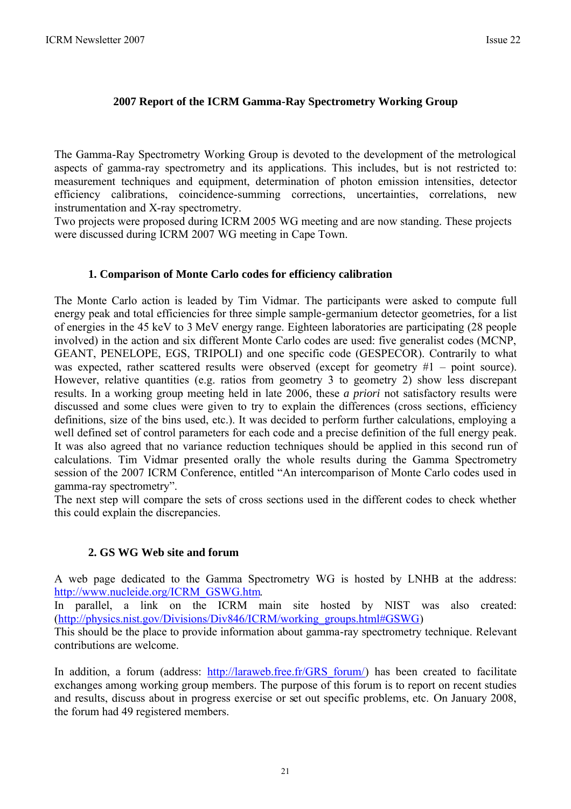#### **2007 Report of the ICRM Gamma-Ray Spectrometry Working Group**

The Gamma-Ray Spectrometry Working Group is devoted to the development of the metrological aspects of gamma-ray spectrometry and its applications. This includes, but is not restricted to: measurement techniques and equipment, determination of photon emission intensities, detector efficiency calibrations, coincidence-summing corrections, uncertainties, correlations, new instrumentation and X-ray spectrometry.

Two projects were proposed during ICRM 2005 WG meeting and are now standing. These projects were discussed during ICRM 2007 WG meeting in Cape Town.

#### **1. Comparison of Monte Carlo codes for efficiency calibration**

The Monte Carlo action is leaded by Tim Vidmar. The participants were asked to compute full energy peak and total efficiencies for three simple sample-germanium detector geometries, for a list of energies in the 45 keV to 3 MeV energy range. Eighteen laboratories are participating (28 people involved) in the action and six different Monte Carlo codes are used: five generalist codes (MCNP, GEANT, PENELOPE, EGS, TRIPOLI) and one specific code (GESPECOR). Contrarily to what was expected, rather scattered results were observed (except for geometry  $#1 -$  point source). However, relative quantities (e.g. ratios from geometry 3 to geometry 2) show less discrepant results. In a working group meeting held in late 2006, these *a priori* not satisfactory results were discussed and some clues were given to try to explain the differences (cross sections, efficiency definitions, size of the bins used, etc.). It was decided to perform further calculations, employing a well defined set of control parameters for each code and a precise definition of the full energy peak. It was also agreed that no variance reduction techniques should be applied in this second run of calculations. Tim Vidmar presented orally the whole results during the Gamma Spectrometry session of the 2007 ICRM Conference, entitled "An intercomparison of Monte Carlo codes used in gamma-ray spectrometry".

The next step will compare the sets of cross sections used in the different codes to check whether this could explain the discrepancies.

#### **2. GS WG Web site and forum**

A web page dedicated to the Gamma Spectrometry WG is hosted by LNHB at the address: http://www.nucleide.org/ICRM\_GSWG.htm.

In parallel, a link on the ICRM main site hosted by NIST was also created: (http://physics.nist.gov/Divisions/Div846/ICRM/working\_groups.html#GSWG)

This should be the place to provide information about gamma-ray spectrometry technique. Relevant contributions are welcome.

In addition, a forum (address: http://laraweb.free.fr/GRS\_forum/) has been created to facilitate exchanges among working group members. The purpose of this forum is to report on recent studies and results, discuss about in progress exercise or set out specific problems, etc. On January 2008, the forum had 49 registered members.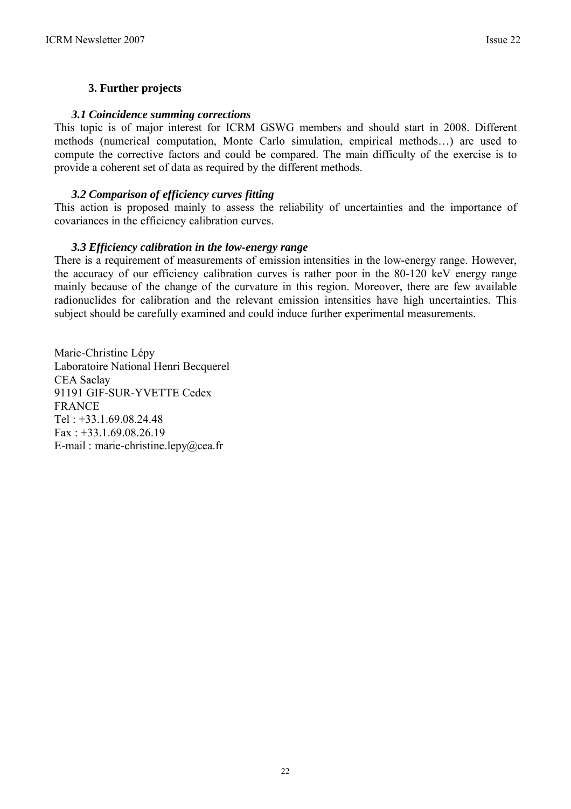#### **3. Further projects**

#### *3.1 Coincidence summing corrections*

This topic is of major interest for ICRM GSWG members and should start in 2008. Different methods (numerical computation, Monte Carlo simulation, empirical methods…) are used to compute the corrective factors and could be compared. The main difficulty of the exercise is to provide a coherent set of data as required by the different methods.

#### *3.2 Comparison of efficiency curves fitting*

This action is proposed mainly to assess the reliability of uncertainties and the importance of covariances in the efficiency calibration curves.

#### *3.3 Efficiency calibration in the low-energy range*

There is a requirement of measurements of emission intensities in the low-energy range. However, the accuracy of our efficiency calibration curves is rather poor in the 80-120 keV energy range mainly because of the change of the curvature in this region. Moreover, there are few available radionuclides for calibration and the relevant emission intensities have high uncertainties. This subject should be carefully examined and could induce further experimental measurements.

Marie-Christine Lépy Laboratoire National Henri Becquerel CEA Saclay 91191 GIF-SUR-YVETTE Cedex FRANCE Tel  $\cdot$  +33.1.69.08.24.48 Fax : +33.1.69.08.26.19 E-mail : marie-christine.lepy@cea.fr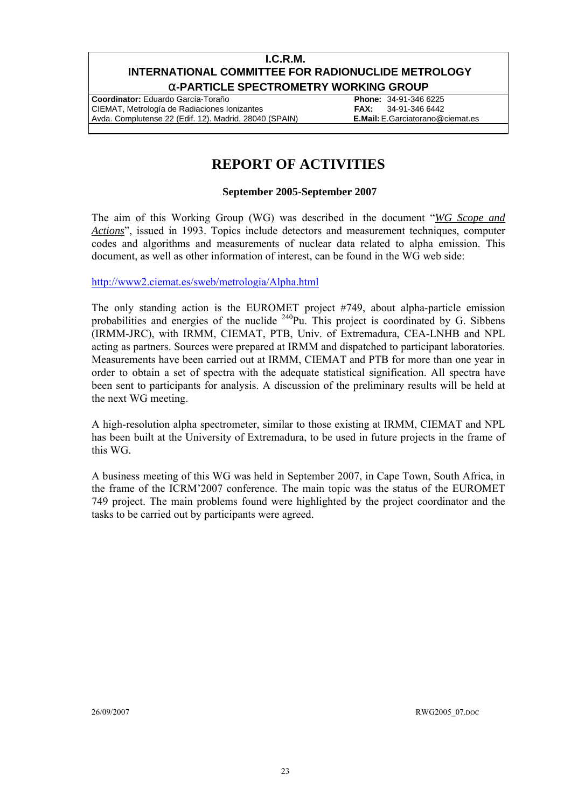#### **I.C.R.M. INTERNATIONAL COMMITTEE FOR RADIONUCLIDE METROLOGY a-PARTICLE SPECTROMETRY WORKING GROUP**

**Coordinator:** Eduardo García-Toraño **Phone:** 34-91-346 6225<br>CIEMAT. Metrología de Radiaciones Ionizantes **Phone:** 84-91-346 6442 **CIEMAT, Metrología de Radiaciones Ionizantes** Avda. Complutense 22 (Edif. 12). Madrid, 28040 (SPAIN) **E.Mail:** E.Garciatorano@ciemat.es

# **REPORT OF ACTIVITIES**

#### **September 2005-September 2007**

The aim of this Working Group (WG) was described in the document "*WG Scope and Actions*", issued in 1993. Topics include detectors and measurement techniques, computer codes and algorithms and measurements of nuclear data related to alpha emission. This document, as well as other information of interest, can be found in the WG web side:

http://www2.ciemat.es/sweb/metrologia/Alpha.html

The only standing action is the EUROMET project #749, about alpha-particle emission probabilities and energies of the nuclide  $240$ Pu. This project is coordinated by G. Sibbens (IRMM-JRC), with IRMM, CIEMAT, PTB, Univ. of Extremadura, CEA-LNHB and NPL acting as partners. Sources were prepared at IRMM and dispatched to participant laboratories. Measurements have been carried out at IRMM, CIEMAT and PTB for more than one year in order to obtain a set of spectra with the adequate statistical signification. All spectra have been sent to participants for analysis. A discussion of the preliminary results will be held at the next WG meeting.

A high-resolution alpha spectrometer, similar to those existing at IRMM, CIEMAT and NPL has been built at the University of Extremadura, to be used in future projects in the frame of this WG.

A business meeting of this WG was held in September 2007, in Cape Town, South Africa, in the frame of the ICRM'2007 conference. The main topic was the status of the EUROMET 749 project. The main problems found were highlighted by the project coordinator and the tasks to be carried out by participants were agreed.

26/09/2007 RWG2005\_07.DOC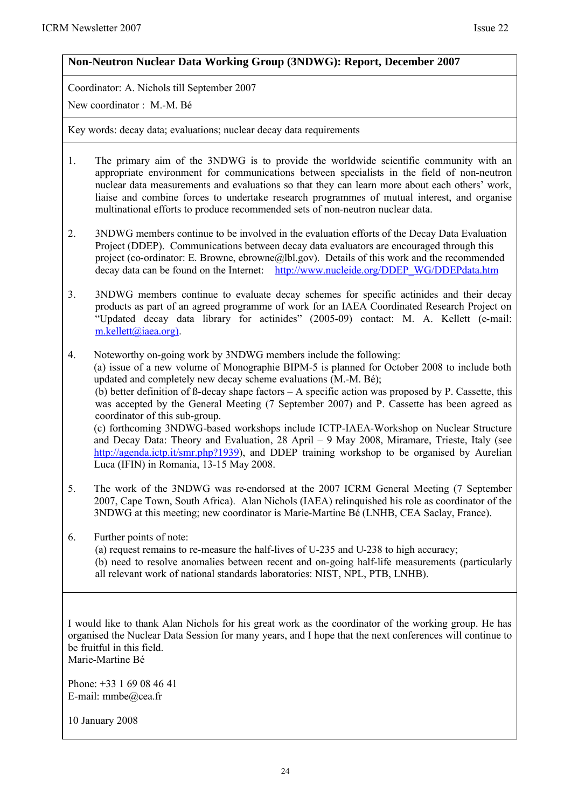#### **Non-Neutron Nuclear Data Working Group (3NDWG): Report, December 2007**

Coordinator: A. Nichols till September 2007

New coordinator : M.-M. Bé

Key words: decay data; evaluations; nuclear decay data requirements

- 1. The primary aim of the 3NDWG is to provide the worldwide scientific community with an appropriate environment for communications between specialists in the field of non-neutron nuclear data measurements and evaluations so that they can learn more about each others' work, liaise and combine forces to undertake research programmes of mutual interest, and organise multinational efforts to produce recommended sets of non-neutron nuclear data.
- 2. 3NDWG members continue to be involved in the evaluation efforts of the Decay Data Evaluation Project (DDEP). Communications between decay data evaluators are encouraged through this project (co-ordinator: E. Browne, ebrowne@lbl.gov). Details of this work and the recommended decay data can be found on the Internet: http://www.nucleide.org/DDEP\_WG/DDEPdata.htm
- 3. 3NDWG members continue to evaluate decay schemes for specific actinides and their decay products as part of an agreed programme of work for an IAEA Coordinated Research Project on "Updated decay data library for actinides" (2005-09) contact: M. A. Kellett (e-mail: m.kellett@iaea.org).
- 4. Noteworthy on-going work by 3NDWG members include the following: (a) issue of a new volume of Monographie BIPM-5 is planned for October 2008 to include both updated and completely new decay scheme evaluations (M.-M. Bé); (b) better definition of ß-decay shape factors – A specific action was proposed by P. Cassette, this was accepted by the General Meeting (7 September 2007) and P. Cassette has been agreed as coordinator of this sub-group. (c) forthcoming 3NDWG-based workshops include ICTP-IAEA-Workshop on Nuclear Structure and Decay Data: Theory and Evaluation, 28 April – 9 May 2008, Miramare, Trieste, Italy (see http://agenda.ictp.it/smr.php?1939), and DDEP training workshop to be organised by Aurelian Luca (IFIN) in Romania, 13-15 May 2008.
- 5. The work of the 3NDWG was re-endorsed at the 2007 ICRM General Meeting (7 September 2007, Cape Town, South Africa). Alan Nichols (IAEA) relinquished his role as coordinator of the 3NDWG at this meeting; new coordinator is Marie-Martine Bé (LNHB, CEA Saclay, France).
- 6. Further points of note:
	- (a) request remains to re-measure the half-lives of U-235 and U-238 to high accuracy;
	- (b) need to resolve anomalies between recent and on-going half-life measurements (particularly all relevant work of national standards laboratories: NIST, NPL, PTB, LNHB).

I would like to thank Alan Nichols for his great work as the coordinator of the working group. He has organised the Nuclear Data Session for many years, and I hope that the next conferences will continue to be fruitful in this field. Marie-Martine Bé

Phone: +33 1 69 08 46 41

E-mail: mmbe@cea.fr

10 January 2008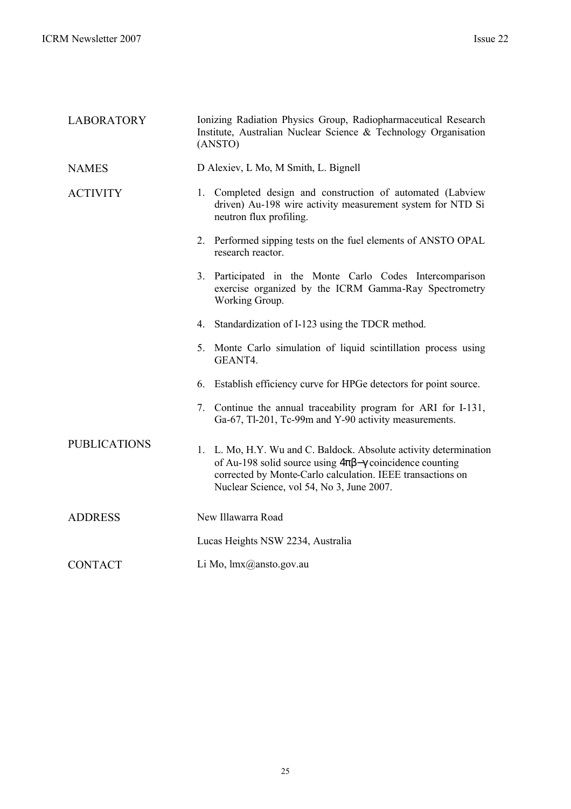| <b>LABORATORY</b>   | Ionizing Radiation Physics Group, Radiopharmaceutical Research<br>Institute, Australian Nuclear Science & Technology Organisation<br>(ANSTO)                                                                                                         |
|---------------------|------------------------------------------------------------------------------------------------------------------------------------------------------------------------------------------------------------------------------------------------------|
| <b>NAMES</b>        | D Alexiev, L Mo, M Smith, L. Bignell                                                                                                                                                                                                                 |
| <b>ACTIVITY</b>     | 1. Completed design and construction of automated (Labview<br>driven) Au-198 wire activity measurement system for NTD Si<br>neutron flux profiling.                                                                                                  |
|                     | 2. Performed sipping tests on the fuel elements of ANSTO OPAL<br>research reactor.                                                                                                                                                                   |
|                     | 3. Participated in the Monte Carlo Codes Intercomparison<br>exercise organized by the ICRM Gamma-Ray Spectrometry<br>Working Group.                                                                                                                  |
|                     | 4. Standardization of I-123 using the TDCR method.                                                                                                                                                                                                   |
|                     | 5. Monte Carlo simulation of liquid scintillation process using<br>GEANT4.                                                                                                                                                                           |
|                     | 6. Establish efficiency curve for HPGe detectors for point source.                                                                                                                                                                                   |
|                     | 7. Continue the annual traceability program for ARI for I-131,<br>Ga-67, Tl-201, Tc-99m and Y-90 activity measurements.                                                                                                                              |
| <b>PUBLICATIONS</b> | 1. L. Mo, H.Y. Wu and C. Baldock. Absolute activity determination<br>of Au-198 solid source using $4\pi\beta-\gamma$ coincidence counting<br>corrected by Monte-Carlo calculation. IEEE transactions on<br>Nuclear Science, vol 54, No 3, June 2007. |
| <b>ADDRESS</b>      | New Illawarra Road                                                                                                                                                                                                                                   |
|                     | Lucas Heights NSW 2234, Australia                                                                                                                                                                                                                    |
| <b>CONTACT</b>      | Li Mo, lmx@ansto.gov.au                                                                                                                                                                                                                              |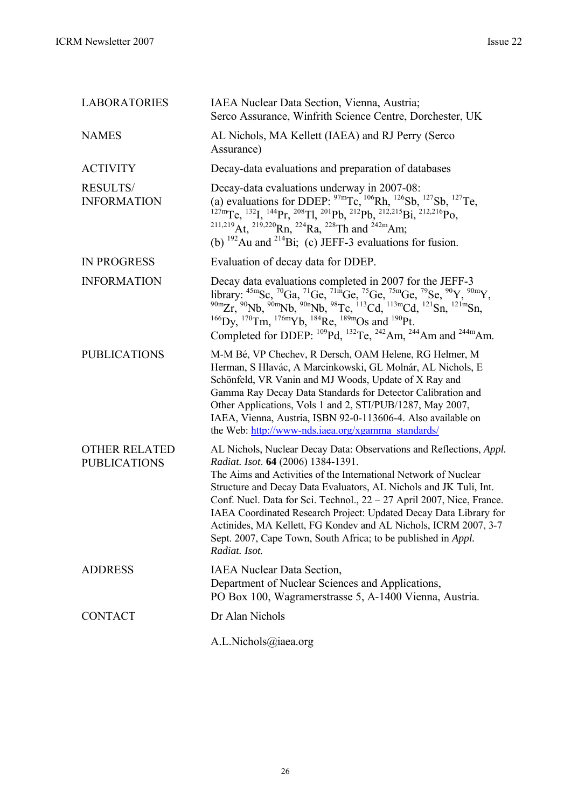| <b>LABORATORIES</b>                         | IAEA Nuclear Data Section, Vienna, Austria;<br>Serco Assurance, Winfrith Science Centre, Dorchester, UK                                                                                                                                                                                                                                                                                                                                                                                                                                              |
|---------------------------------------------|------------------------------------------------------------------------------------------------------------------------------------------------------------------------------------------------------------------------------------------------------------------------------------------------------------------------------------------------------------------------------------------------------------------------------------------------------------------------------------------------------------------------------------------------------|
| <b>NAMES</b>                                | AL Nichols, MA Kellett (IAEA) and RJ Perry (Serco<br>Assurance)                                                                                                                                                                                                                                                                                                                                                                                                                                                                                      |
| <b>ACTIVITY</b>                             | Decay-data evaluations and preparation of databases                                                                                                                                                                                                                                                                                                                                                                                                                                                                                                  |
| <b>RESULTS/</b><br><b>INFORMATION</b>       | Decay-data evaluations underway in 2007-08:<br>(a) evaluations for DDEP: ${}^{97m}$ Tc, ${}^{106}$ Rh, ${}^{126}$ Sb, ${}^{127}$ Sb, ${}^{127}$ Te, ${}^{122m}$ Te, ${}^{122m}$ Te, ${}^{123m}$ Te, ${}^{124}$ Pr, ${}^{208}$ Tl, ${}^{201}$ Pb, ${}^{212}$ Pb, ${}^{212,215}$ Bi, ${}^{212,216}$ Po,<br><sup>211,219</sup> At, <sup>219,220</sup> Rn, <sup>224</sup> Ra, <sup>228</sup> Th and <sup>242m</sup> Am;<br>(b) $^{192}$ Au and $^{214}$ Bi; (c) JEFF-3 evaluations for fusion.                                                           |
| <b>IN PROGRESS</b>                          | Evaluation of decay data for DDEP.                                                                                                                                                                                                                                                                                                                                                                                                                                                                                                                   |
| <b>INFORMATION</b>                          | Decay data evaluations completed in 2007 for the JEFF-3<br>library: $^{45}$ mSc, $^{70}$ Ga, $^{71}$ Ge, $^{71}$ mGe, $^{75}$ Ge, $^{75}$ mGe, $^{79}$ Se, $^{90}$ Y, $^{90m}$ Y, $^{90m}Zr$ , $^{90m}Nb$ , $^{90m}Nb$ , $^{90m}Nb$ , $^{98}Tc$ , $^{113}Cd$ , $^{113m}Cd$ , $^{121}Sn$ , $^{121m}Sn$ , $^{166}Dy$ , $^{170}Tm$ , $^{$<br>Completed for DDEP: $^{109}$ Pd, $^{132}$ Te, $^{242}$ Am, $^{244}$ Am and $^{244}$ mAm.                                                                                                                   |
| <b>PUBLICATIONS</b>                         | M-M Bé, VP Chechev, R Dersch, OAM Helene, RG Helmer, M<br>Herman, S Hlavác, A Marcinkowski, GL Molnár, AL Nichols, E<br>Schönfeld, VR Vanin and MJ Woods, Update of X Ray and<br>Gamma Ray Decay Data Standards for Detector Calibration and<br>Other Applications, Vols 1 and 2, STI/PUB/1287, May 2007,<br>IAEA, Vienna, Austria, ISBN 92-0-113606-4. Also available on<br>the Web: http://www-nds.iaea.org/xgamma_standards/                                                                                                                      |
| <b>OTHER RELATED</b><br><b>PUBLICATIONS</b> | AL Nichols, Nuclear Decay Data: Observations and Reflections, Appl.<br>Radiat. Isot. 64 (2006) 1384-1391.<br>The Aims and Activities of the International Network of Nuclear<br>Structure and Decay Data Evaluators, AL Nichols and JK Tuli, Int.<br>Conf. Nucl. Data for Sci. Technol., 22 – 27 April 2007, Nice, France.<br>IAEA Coordinated Research Project: Updated Decay Data Library for<br>Actinides, MA Kellett, FG Kondev and AL Nichols, ICRM 2007, 3-7<br>Sept. 2007, Cape Town, South Africa; to be published in Appl.<br>Radiat. Isot. |
| <b>ADDRESS</b>                              | <b>IAEA</b> Nuclear Data Section,<br>Department of Nuclear Sciences and Applications,<br>PO Box 100, Wagramerstrasse 5, A-1400 Vienna, Austria.                                                                                                                                                                                                                                                                                                                                                                                                      |
| <b>CONTACT</b>                              | Dr Alan Nichols                                                                                                                                                                                                                                                                                                                                                                                                                                                                                                                                      |
|                                             | A.L.Nichols@iaea.org                                                                                                                                                                                                                                                                                                                                                                                                                                                                                                                                 |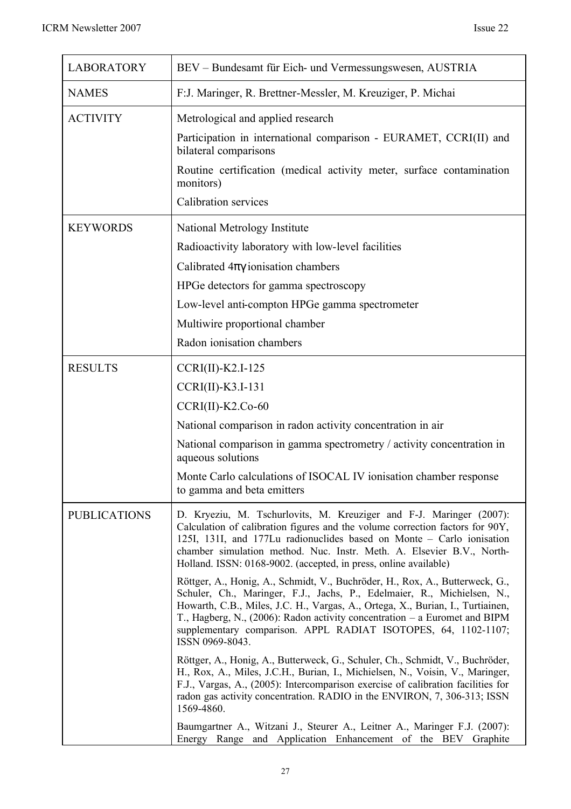| <b>LABORATORY</b>   | BEV - Bundesamt für Eich- und Vermessungswesen, AUSTRIA                                                                                                                                                                                                                                                                                                                                                      |
|---------------------|--------------------------------------------------------------------------------------------------------------------------------------------------------------------------------------------------------------------------------------------------------------------------------------------------------------------------------------------------------------------------------------------------------------|
| <b>NAMES</b>        | F.J. Maringer, R. Brettner-Messler, M. Kreuziger, P. Michai                                                                                                                                                                                                                                                                                                                                                  |
| <b>ACTIVITY</b>     | Metrological and applied research                                                                                                                                                                                                                                                                                                                                                                            |
|                     | Participation in international comparison - EURAMET, CCRI(II) and<br>bilateral comparisons                                                                                                                                                                                                                                                                                                                   |
|                     | Routine certification (medical activity meter, surface contamination<br>monitors)                                                                                                                                                                                                                                                                                                                            |
|                     | Calibration services                                                                                                                                                                                                                                                                                                                                                                                         |
| <b>KEYWORDS</b>     | National Metrology Institute                                                                                                                                                                                                                                                                                                                                                                                 |
|                     | Radioactivity laboratory with low-level facilities                                                                                                                                                                                                                                                                                                                                                           |
|                     | Calibrated $4\pi\gamma$ ionisation chambers                                                                                                                                                                                                                                                                                                                                                                  |
|                     | HPGe detectors for gamma spectroscopy                                                                                                                                                                                                                                                                                                                                                                        |
|                     | Low-level anti-compton HPGe gamma spectrometer                                                                                                                                                                                                                                                                                                                                                               |
|                     | Multiwire proportional chamber                                                                                                                                                                                                                                                                                                                                                                               |
|                     | Radon ionisation chambers                                                                                                                                                                                                                                                                                                                                                                                    |
| <b>RESULTS</b>      | $CCRI(II)-K2.I-125$                                                                                                                                                                                                                                                                                                                                                                                          |
|                     | $CCRI(II)-K3.I-131$                                                                                                                                                                                                                                                                                                                                                                                          |
|                     | $CCRI(II)-K2.Co-60$                                                                                                                                                                                                                                                                                                                                                                                          |
|                     | National comparison in radon activity concentration in air                                                                                                                                                                                                                                                                                                                                                   |
|                     | National comparison in gamma spectrometry / activity concentration in<br>aqueous solutions                                                                                                                                                                                                                                                                                                                   |
|                     | Monte Carlo calculations of ISOCAL IV ionisation chamber response<br>to gamma and beta emitters                                                                                                                                                                                                                                                                                                              |
| <b>PUBLICATIONS</b> | D. Kryeziu, M. Tschurlovits, M. Kreuziger and F-J. Maringer (2007):<br>Calculation of calibration figures and the volume correction factors for 90Y,<br>125I, 131I, and 177Lu radionuclides based on Monte - Carlo ionisation<br>chamber simulation method. Nuc. Instr. Meth. A. Elsevier B.V., North-<br>Holland. ISSN: 0168-9002. (accepted, in press, online available)                                   |
|                     | Röttger, A., Honig, A., Schmidt, V., Buchröder, H., Rox, A., Butterweck, G.,<br>Schuler, Ch., Maringer, F.J., Jachs, P., Edelmaier, R., Michielsen, N.,<br>Howarth, C.B., Miles, J.C. H., Vargas, A., Ortega, X., Burian, I., Turtiainen,<br>T., Hagberg, N., (2006): Radon activity concentration – a Euromet and BIPM<br>supplementary comparison. APPL RADIAT ISOTOPES, 64, 1102-1107;<br>ISSN 0969-8043. |
|                     | Röttger, A., Honig, A., Butterweck, G., Schuler, Ch., Schmidt, V., Buchröder,<br>H., Rox, A., Miles, J.C.H., Burian, I., Michielsen, N., Voisin, V., Maringer,<br>F.J., Vargas, A., (2005): Intercomparison exercise of calibration facilities for<br>radon gas activity concentration. RADIO in the ENVIRON, 7, 306-313; ISSN<br>1569-4860.                                                                 |
|                     | Baumgartner A., Witzani J., Steurer A., Leitner A., Maringer F.J. (2007):<br>Energy Range and Application Enhancement of the BEV Graphite                                                                                                                                                                                                                                                                    |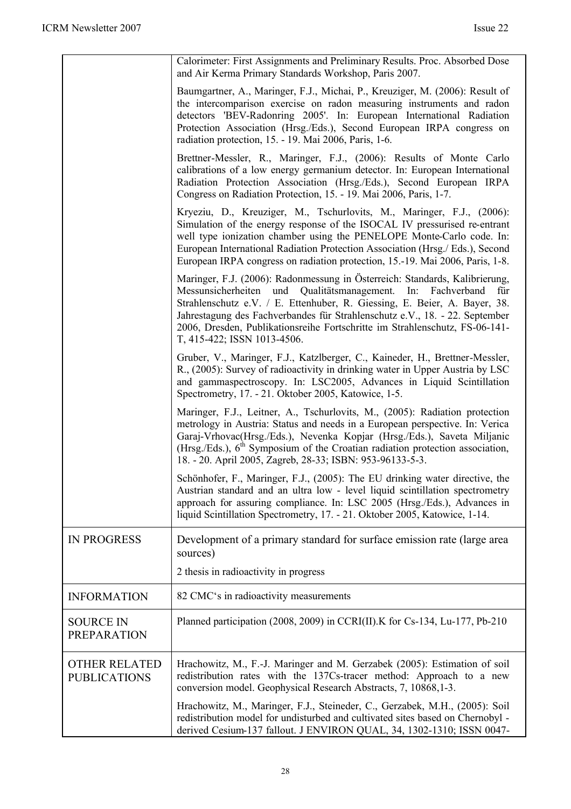|                                             | Calorimeter: First Assignments and Preliminary Results. Proc. Absorbed Dose<br>and Air Kerma Primary Standards Workshop, Paris 2007.                                                                                                                                                                                                                                                                                        |
|---------------------------------------------|-----------------------------------------------------------------------------------------------------------------------------------------------------------------------------------------------------------------------------------------------------------------------------------------------------------------------------------------------------------------------------------------------------------------------------|
|                                             | Baumgartner, A., Maringer, F.J., Michai, P., Kreuziger, M. (2006): Result of<br>the intercomparison exercise on radon measuring instruments and radon<br>detectors 'BEV-Radonring 2005'. In: European International Radiation<br>Protection Association (Hrsg./Eds.), Second European IRPA congress on<br>radiation protection, 15. - 19. Mai 2006, Paris, 1-6.                                                             |
|                                             | Brettner-Messler, R., Maringer, F.J., (2006): Results of Monte Carlo<br>calibrations of a low energy germanium detector. In: European International<br>Radiation Protection Association (Hrsg./Eds.), Second European IRPA<br>Congress on Radiation Protection, 15. - 19. Mai 2006, Paris, 1-7.                                                                                                                             |
|                                             | Kryeziu, D., Kreuziger, M., Tschurlovits, M., Maringer, F.J., (2006):<br>Simulation of the energy response of the ISOCAL IV pressurised re-entrant<br>well type ionization chamber using the PENELOPE Monte-Carlo code. In:<br>European International Radiation Protection Association (Hrsg./ Eds.), Second<br>European IRPA congress on radiation protection, 15.-19. Mai 2006, Paris, 1-8.                               |
|                                             | Maringer, F.J. (2006): Radonmessung in Österreich: Standards, Kalibrierung,<br>Messunsicherheiten und Qualitätsmanagement. In: Fachverband<br>für<br>Strahlenschutz e.V. / E. Ettenhuber, R. Giessing, E. Beier, A. Bayer, 38.<br>Jahrestagung des Fachverbandes für Strahlenschutz e.V., 18. - 22. September<br>2006, Dresden, Publikationsreihe Fortschritte im Strahlenschutz, FS-06-141-<br>T, 415-422; ISSN 1013-4506. |
|                                             | Gruber, V., Maringer, F.J., Katzlberger, C., Kaineder, H., Brettner-Messler,<br>R., (2005): Survey of radioactivity in drinking water in Upper Austria by LSC<br>and gammaspectroscopy. In: LSC2005, Advances in Liquid Scintillation<br>Spectrometry, 17. - 21. Oktober 2005, Katowice, 1-5.                                                                                                                               |
|                                             | Maringer, F.J., Leitner, A., Tschurlovits, M., (2005): Radiation protection<br>metrology in Austria: Status and needs in a European perspective. In: Verica<br>Garaj-Vrhovac(Hrsg./Eds.), Nevenka Kopjar (Hrsg./Eds.), Saveta Miljanic<br>(Hrsg./Eds.), $6th$ Symposium of the Croatian radiation protection association,<br>18. - 20. April 2005, Zagreb, 28-33; ISBN: 953-96133-5-3.                                      |
|                                             | Schönhofer, F., Maringer, F.J., (2005): The EU drinking water directive, the<br>Austrian standard and an ultra low - level liquid scintillation spectrometry<br>approach for assuring compliance. In: LSC 2005 (Hrsg./Eds.), Advances in<br>liquid Scintillation Spectrometry, 17. - 21. Oktober 2005, Katowice, 1-14.                                                                                                      |
| <b>IN PROGRESS</b>                          | Development of a primary standard for surface emission rate (large area<br>sources)                                                                                                                                                                                                                                                                                                                                         |
|                                             | 2 thesis in radioactivity in progress                                                                                                                                                                                                                                                                                                                                                                                       |
| <b>INFORMATION</b>                          | 82 CMC's in radioactivity measurements                                                                                                                                                                                                                                                                                                                                                                                      |
| <b>SOURCE IN</b><br><b>PREPARATION</b>      | Planned participation (2008, 2009) in CCRI(II).K for Cs-134, Lu-177, Pb-210                                                                                                                                                                                                                                                                                                                                                 |
| <b>OTHER RELATED</b><br><b>PUBLICATIONS</b> | Hrachowitz, M., F.-J. Maringer and M. Gerzabek (2005): Estimation of soil<br>redistribution rates with the 137Cs-tracer method: Approach to a new<br>conversion model. Geophysical Research Abstracts, 7, 10868, 1-3.                                                                                                                                                                                                       |
|                                             | Hrachowitz, M., Maringer, F.J., Steineder, C., Gerzabek, M.H., (2005): Soil<br>redistribution model for undisturbed and cultivated sites based on Chernobyl -<br>derived Cesium-137 fallout. J ENVIRON QUAL, 34, 1302-1310; ISSN 0047-                                                                                                                                                                                      |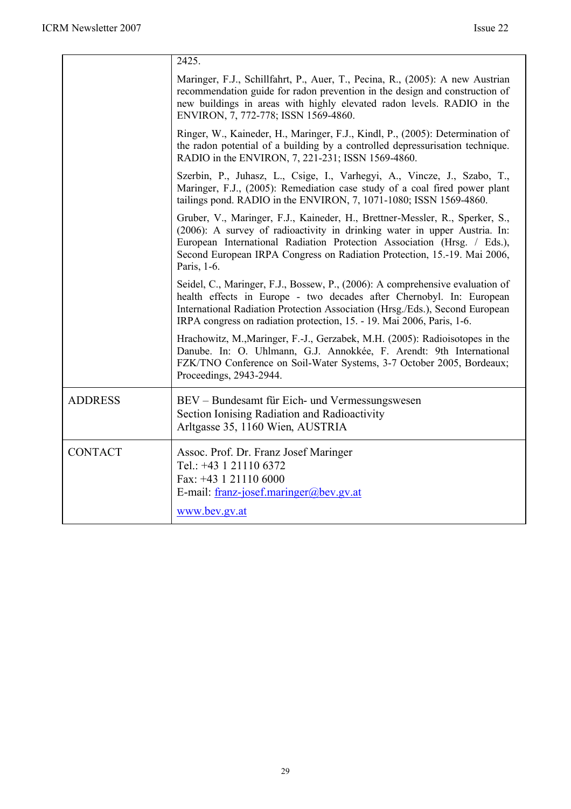|                | 2425.                                                                                                                                                                                                                                                                                                                           |
|----------------|---------------------------------------------------------------------------------------------------------------------------------------------------------------------------------------------------------------------------------------------------------------------------------------------------------------------------------|
|                | Maringer, F.J., Schillfahrt, P., Auer, T., Pecina, R., (2005): A new Austrian<br>recommendation guide for radon prevention in the design and construction of<br>new buildings in areas with highly elevated radon levels. RADIO in the<br>ENVIRON, 7, 772-778; ISSN 1569-4860.                                                  |
|                | Ringer, W., Kaineder, H., Maringer, F.J., Kindl, P., (2005): Determination of<br>the radon potential of a building by a controlled depressurisation technique.<br>RADIO in the ENVIRON, 7, 221-231; ISSN 1569-4860.                                                                                                             |
|                | Szerbin, P., Juhasz, L., Csige, I., Varhegyi, A., Vincze, J., Szabo, T.,<br>Maringer, F.J., (2005): Remediation case study of a coal fired power plant<br>tailings pond. RADIO in the ENVIRON, 7, 1071-1080; ISSN 1569-4860.                                                                                                    |
|                | Gruber, V., Maringer, F.J., Kaineder, H., Brettner-Messler, R., Sperker, S.,<br>(2006): A survey of radioactivity in drinking water in upper Austria. In:<br>European International Radiation Protection Association (Hrsg. / Eds.),<br>Second European IRPA Congress on Radiation Protection, 15.-19. Mai 2006,<br>Paris, 1-6. |
|                | Seidel, C., Maringer, F.J., Bossew, P., (2006): A comprehensive evaluation of<br>health effects in Europe - two decades after Chernobyl. In: European<br>International Radiation Protection Association (Hrsg./Eds.), Second European<br>IRPA congress on radiation protection, 15. - 19. Mai 2006, Paris, 1-6.                 |
|                | Hrachowitz, M., Maringer, F.-J., Gerzabek, M.H. (2005): Radioisotopes in the<br>Danube. In: O. Uhlmann, G.J. Annokkée, F. Arendt: 9th International<br>FZK/TNO Conference on Soil-Water Systems, 3-7 October 2005, Bordeaux;<br>Proceedings, 2943-2944.                                                                         |
| <b>ADDRESS</b> | BEV – Bundesamt für Eich- und Vermessungswesen<br>Section Ionising Radiation and Radioactivity<br>Arltgasse 35, 1160 Wien, AUSTRIA                                                                                                                                                                                              |
| <b>CONTACT</b> | Assoc. Prof. Dr. Franz Josef Maringer<br>Tel.: +43 1 21110 6372<br>Fax: +43 1 21110 6000<br>E-mail: $franz-iosef.maringer(a)bev.gv.at$<br>www.bev.gv.at                                                                                                                                                                         |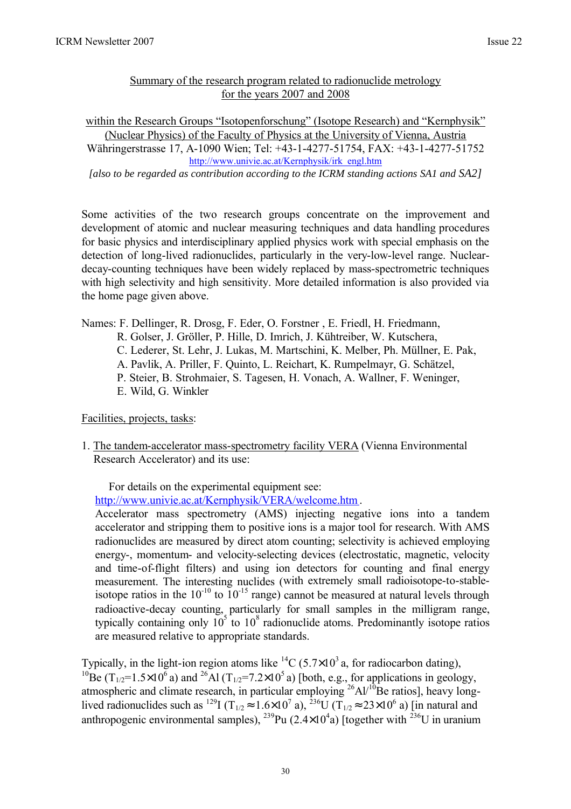#### Summary of the research program related to radionuclide metrology for the years 2007 and 2008

within the Research Groups "Isotopenforschung" (Isotope Research) and "Kernphysik" (Nuclear Physics) of the Faculty of Physics at the University of Vienna, Austria Währingerstrasse 17, A-1090 Wien; Tel: +43-1-4277-51754, FAX: +43-1-4277-51752

http://www.univie.ac.at/Kernphysik/irk\_engl.htm

*[also to be regarded as contribution according to the ICRM standing actions SA1 and SA2]*

Some activities of the two research groups concentrate on the improvement and development of atomic and nuclear measuring techniques and data handling procedures for basic physics and interdisciplinary applied physics work with special emphasis on the detection of long-lived radionuclides, particularly in the very-low-level range. Nucleardecay-counting techniques have been widely replaced by mass-spectrometric techniques with high selectivity and high sensitivity. More detailed information is also provided via the home page given above.

Names: F. Dellinger, R. Drosg, F. Eder, O. Forstner , E. Friedl, H. Friedmann,

R. Golser, J. Gröller, P. Hille, D. Imrich, J. Kühtreiber, W. Kutschera,

C. Lederer, St. Lehr, J. Lukas, M. Martschini, K. Melber, Ph. Müllner, E. Pak,

A. Pavlik, A. Priller, F. Quinto, L. Reichart, K. Rumpelmayr, G. Schätzel,

P. Steier, B. Strohmaier, S. Tagesen, H. Vonach, A. Wallner, F. Weninger,

E. Wild, G. Winkler

Facilities, projects, tasks:

1. The tandem-accelerator mass-spectrometry facility VERA (Vienna Environmental Research Accelerator) and its use:

For details on the experimental equipment see:

http://www.univie.ac.at/Kernphysik/VERA/welcome.htm .

Accelerator mass spectrometry (AMS) injecting negative ions into a tandem accelerator and stripping them to positive ions is a major tool for research. With AMS radionuclides are measured by direct atom counting; selectivity is achieved employing energy-, momentum- and velocity-selecting devices (electrostatic, magnetic, velocity and time-of-flight filters) and using ion detectors for counting and final energy measurement. The interesting nuclides (with extremely small radioisotope-to-stableisotope ratios in the  $10^{-10}$  to  $10^{-15}$  range) cannot be measured at natural levels through radioactive-decay counting, particularly for small samples in the milligram range, typically containing only  $10^5$  to  $10^8$  radionuclide atoms. Predominantly isotope ratios are measured relative to appropriate standards.

Typically, in the light-ion region atoms like  ${}^{14}C$  (5.7×10<sup>3</sup> a, for radiocarbon dating), <sup>10</sup>Be (T<sub>1/2</sub>=1.5×10<sup>6</sup> a) and <sup>26</sup>Al (T<sub>1/2</sub>=7.2×10<sup>5</sup> a) [both, e.g., for applications in geology, atmospheric and climate research, in particular employing  $^{26}$ Al/ $^{10}$ Be ratios], heavy longlived radionuclides such as <sup>129</sup>I (T<sub>1/2</sub>  $\approx$  1.6×10<sup>7</sup> a), <sup>236</sup>U (T<sub>1/2</sub> $\approx$  23×10<sup>6</sup> a) [in natural and anthropogenic environmental samples),  $^{239}$ Pu (2.4×10<sup>4</sup>a) [together with  $^{236}$ U in uranium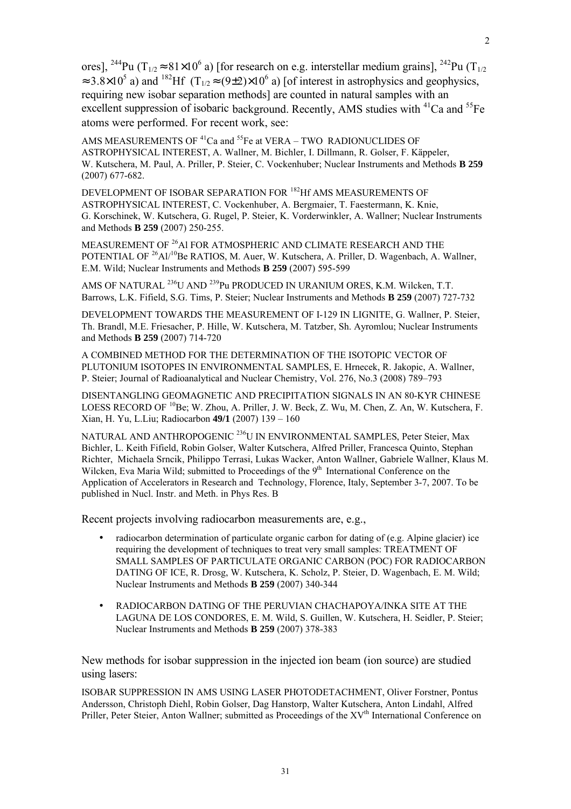ores], <sup>244</sup>Pu (T<sub>1/2</sub>  $\approx 81 \times 10^6$  a) [for research on e.g. interstellar medium grains], <sup>242</sup>Pu (T<sub>1/2</sub>)  $\approx$  3.8×10<sup>5</sup> a) and <sup>182</sup>Hf (T<sub>1/2</sub> $\approx$  (9±2)×10<sup>6</sup> a) [of interest in astrophysics and geophysics, requiring new isobar separation methods] are counted in natural samples with an excellent suppression of isobaric background. Recently, AMS studies with  ${}^{41}Ca$  and  ${}^{55}Fe$ atoms were performed. For recent work, see:

AMS MEASUREMENTS OF <sup>41</sup>Ca and <sup>55</sup>Fe at VERA – TWO RADIONUCLIDES OF ASTROPHYSICAL INTEREST, A. Wallner, M. Bichler, I. Dillmann, R. Golser, F. Käppeler, W. Kutschera, M. Paul, A. Priller, P. Steier, C. Vockenhuber; Nuclear Instruments and Methods **B 259** (2007) 677-682.

DEVELOPMENT OF ISOBAR SEPARATION FOR <sup>182</sup>Hf AMS MEASUREMENTS OF ASTROPHYSICAL INTEREST, C. Vockenhuber, A. Bergmaier, T. Faestermann, K. Knie, G. Korschinek, W. Kutschera, G. Rugel, P. Steier, K. Vorderwinkler, A. Wallner; Nuclear Instruments and Methods **B 259** (2007) 250-255.

MEASUREMENT OF <sup>26</sup>Al FOR ATMOSPHERIC AND CLIMATE RESEARCH AND THE POTENTIAL OF <sup>26</sup>Al/<sup>10</sup>Be RATIOS, M. Auer, W. Kutschera, A. Priller, D. Wagenbach, A. Wallner, E.M. Wild; Nuclear Instruments and Methods **B 259** (2007) 595-599

AMS OF NATURAL <sup>236</sup>U AND <sup>239</sup>Pu PRODUCED IN URANIUM ORES, K.M. Wilcken, T.T. Barrows, L.K. Fifield, S.G. Tims, P. Steier; Nuclear Instruments and Methods **B 259** (2007) 727-732

DEVELOPMENT TOWARDS THE MEASUREMENT OF I-129 IN LIGNITE, G. Wallner, P. Steier, Th. Brandl, M.E. Friesacher, P. Hille, W. Kutschera, M. Tatzber, Sh. Ayromlou; Nuclear Instruments and Methods **B 259** (2007) 714-720

A COMBINED METHOD FOR THE DETERMINATION OF THE ISOTOPIC VECTOR OF PLUTONIUM ISOTOPES IN ENVIRONMENTAL SAMPLES, E. Hrnecek, R. Jakopic, A. Wallner, P. Steier; Journal of Radioanalytical and Nuclear Chemistry, Vol. 276, No.3 (2008) 789–793

DISENTANGLING GEOMAGNETIC AND PRECIPITATION SIGNALS IN AN 80-KYR CHINESE LOESS RECORD OF <sup>10</sup>Be; W. Zhou, A. Priller, J. W. Beck, Z. Wu, M. Chen, Z. An, W. Kutschera, F. Xian, H. Yu, L.Liu; Radiocarbon **49/1** (2007) 139 – 160

NATURAL AND ANTHROPOGENIC<sup>236</sup>U IN ENVIRONMENTAL SAMPLES, Peter Steier, Max Bichler, L. Keith Fifield, Robin Golser, Walter Kutschera, Alfred Priller, Francesca Quinto, Stephan Richter, Michaela Srncik, Philippo Terrasi, Lukas Wacker, Anton Wallner, Gabriele Wallner, Klaus M. Wilcken, Eva Maria Wild; submitted to Proceedings of the 9<sup>th</sup> International Conference on the Application of Accelerators in Research and Technology, Florence, Italy, September 3-7, 2007. To be published in Nucl. Instr. and Meth. in Phys Res. B

Recent projects involving radiocarbon measurements are, e.g.,

- radiocarbon determination of particulate organic carbon for dating of (e.g. Alpine glacier) ice requiring the development of techniques to treat very small samples: TREATMENT OF SMALL SAMPLES OF PARTICULATE ORGANIC CARBON (POC) FOR RADIOCARBON DATING OF ICE, R. Drosg, W. Kutschera, K. Scholz, P. Steier, D. Wagenbach, E. M. Wild; Nuclear Instruments and Methods **B 259** (2007) 340-344
- RADIOCARBON DATING OF THE PERUVIAN CHACHAPOYA/INKA SITE AT THE LAGUNA DE LOS CONDORES, E. M. Wild, S. Guillen, W. Kutschera, H. Seidler, P. Steier; Nuclear Instruments and Methods **B 259** (2007) 378-383

New methods for isobar suppression in the injected ion beam (ion source) are studied using lasers:

ISOBAR SUPPRESSION IN AMS USING LASER PHOTODETACHMENT, Oliver Forstner, Pontus Andersson, Christoph Diehl, Robin Golser, Dag Hanstorp, Walter Kutschera, Anton Lindahl, Alfred Priller, Peter Steier, Anton Wallner; submitted as Proceedings of the XV<sup>th</sup> International Conference on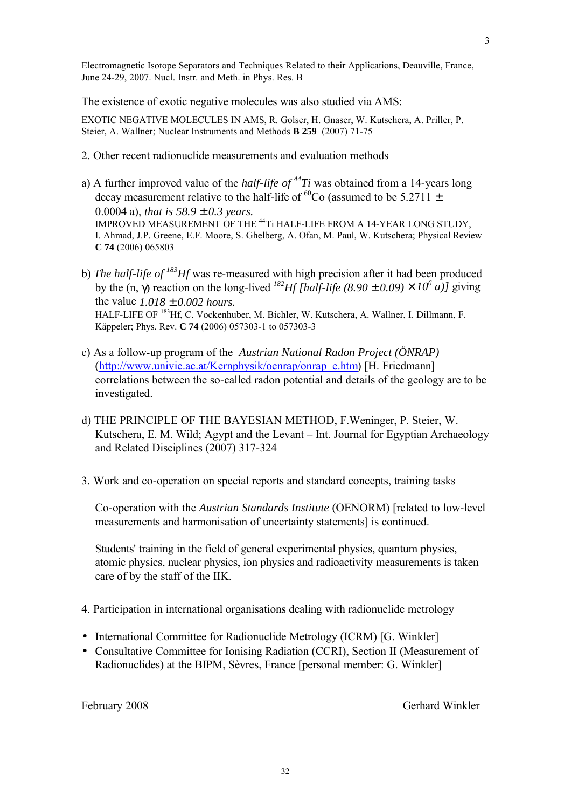Electromagnetic Isotope Separators and Techniques Related to their Applications, Deauville, France, June 24-29, 2007. Nucl. Instr. and Meth. in Phys. Res. B

The existence of exotic negative molecules was also studied via AMS:

EXOTIC NEGATIVE MOLECULES IN AMS, R. Golser, H. Gnaser, W. Kutschera, A. Priller, P. Steier, A. Wallner; Nuclear Instruments and Methods **B 259** (2007) 71-75

- 2. Other recent radionuclide measurements and evaluation methods
- a) A further improved value of the *half-life of <sup>44</sup>Ti* was obtained from a 14-years long decay measurement relative to the half-life of  ${}^{60}Co$  (assumed to be 5.2711  $\pm$ 0.0004 a), *that is*  $58.9 \pm 0.3$  *years.* IMPROVED MEASUREMENT OF THE <sup>44</sup>Ti HALF-LIFE FROM A 14-YEAR LONG STUDY, I. Ahmad, J.P. Greene, E.F. Moore, S. Ghelberg, A. Ofan, M. Paul, W. Kutschera; Physical Review **C 74** (2006) 065803
- b) *The half-life of <sup>183</sup>Hf* was re-measured with high precision after it had been produced by the (n, γ) reaction on the long-lived <sup>182</sup>*Hf [half-life (8.90 ± 0.09)*  $\hat{10}^6$  *a)]* giving the value  $1.018 \pm 0.002$  hours. HALF-LIFE OF <sup>183</sup>Hf, C. Vockenhuber, M. Bichler, W. Kutschera, A. Wallner, I. Dillmann, F. Käppeler; Phys. Rev. **C 74** (2006) 057303-1 to 057303-3
- c) As a follow-up program of the *Austrian National Radon Project (ÖNRAP)* (http://www.univie.ac.at/Kernphysik/oenrap/onrap\_e.htm) [H. Friedmann] correlations between the so-called radon potential and details of the geology are to be investigated.
- d) THE PRINCIPLE OF THE BAYESIAN METHOD, F.Weninger, P. Steier, W. Kutschera, E. M. Wild; Agypt and the Levant – Int. Journal for Egyptian Archaeology and Related Disciplines (2007) 317-324
- 3. Work and co-operation on special reports and standard concepts, training tasks

Co-operation with the *Austrian Standards Institute* (OENORM) [related to low-level measurements and harmonisation of uncertainty statements] is continued.

Students' training in the field of general experimental physics, quantum physics, atomic physics, nuclear physics, ion physics and radioactivity measurements is taken care of by the staff of the IIK.

- 4. Participation in international organisations dealing with radionuclide metrology
- International Committee for Radionuclide Metrology (ICRM) [G. Winkler]
- Consultative Committee for Ionising Radiation (CCRI), Section II (Measurement of Radionuclides) at the BIPM, Sèvres, France [personal member: G. Winkler]

February 2008 Gerhard Winkler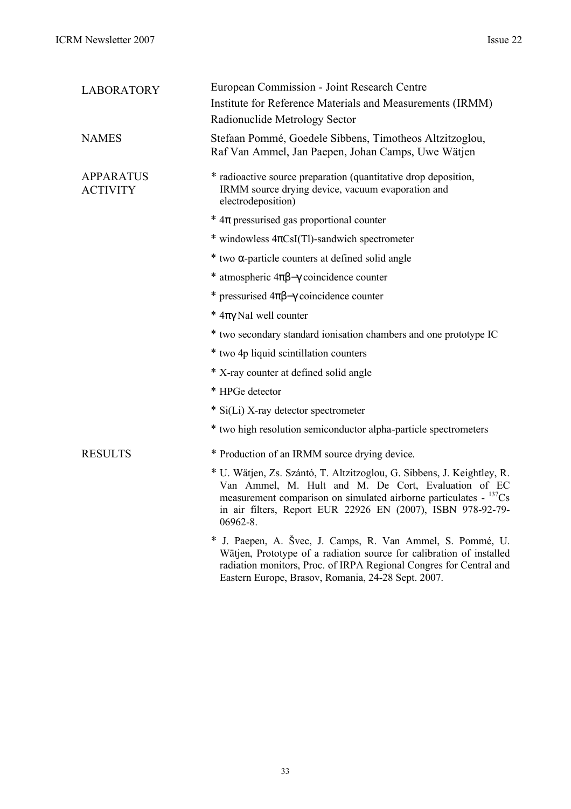| <b>LABORATORY</b>                   | European Commission - Joint Research Centre                                                                                                                                                                                                                                        |
|-------------------------------------|------------------------------------------------------------------------------------------------------------------------------------------------------------------------------------------------------------------------------------------------------------------------------------|
|                                     | Institute for Reference Materials and Measurements (IRMM)                                                                                                                                                                                                                          |
|                                     | Radionuclide Metrology Sector                                                                                                                                                                                                                                                      |
| <b>NAMES</b>                        | Stefaan Pommé, Goedele Sibbens, Timotheos Altzitzoglou,<br>Raf Van Ammel, Jan Paepen, Johan Camps, Uwe Wätjen                                                                                                                                                                      |
| <b>APPARATUS</b><br><b>ACTIVITY</b> | * radioactive source preparation (quantitative drop deposition,<br>IRMM source drying device, vacuum evaporation and<br>electrodeposition)                                                                                                                                         |
|                                     | $*$ 4 $\pi$ pressurised gas proportional counter                                                                                                                                                                                                                                   |
|                                     | $*$ windowless $4\pi$ CsI(Tl)-sandwich spectrometer                                                                                                                                                                                                                                |
|                                     | $*$ two $\alpha$ -particle counters at defined solid angle                                                                                                                                                                                                                         |
|                                     | * atmospheric $4\pi\beta-\gamma$ coincidence counter                                                                                                                                                                                                                               |
|                                     | * pressurised $4\pi\beta-\gamma$ coincidence counter                                                                                                                                                                                                                               |
|                                     | * $4\pi\gamma$ NaI well counter                                                                                                                                                                                                                                                    |
|                                     | * two secondary standard ionisation chambers and one prototype IC                                                                                                                                                                                                                  |
|                                     | * two 4p liquid scintillation counters                                                                                                                                                                                                                                             |
|                                     | * X-ray counter at defined solid angle                                                                                                                                                                                                                                             |
|                                     | * HPGe detector                                                                                                                                                                                                                                                                    |
|                                     | * Si(Li) X-ray detector spectrometer                                                                                                                                                                                                                                               |
|                                     | * two high resolution semiconductor alpha-particle spectrometers                                                                                                                                                                                                                   |
| <b>RESULTS</b>                      | * Production of an IRMM source drying device.                                                                                                                                                                                                                                      |
|                                     | * U. Wätjen, Zs. Szántó, T. Altzitzoglou, G. Sibbens, J. Keightley, R.<br>Van Ammel, M. Hult and M. De Cort, Evaluation of EC<br>measurement comparison on simulated airborne particulates - $^{137}Cs$<br>in air filters, Report EUR 22926 EN (2007), ISBN 978-92-79-<br>06962-8. |
|                                     | * J. Paepen, A. Švec, J. Camps, R. Van Ammel, S. Pommé, U.<br>Wätjen, Prototype of a radiation source for calibration of installed<br>radiation monitors, Proc. of IRPA Regional Congres for Central and                                                                           |

Eastern Europe, Brasov, Romania, 24-28 Sept. 2007.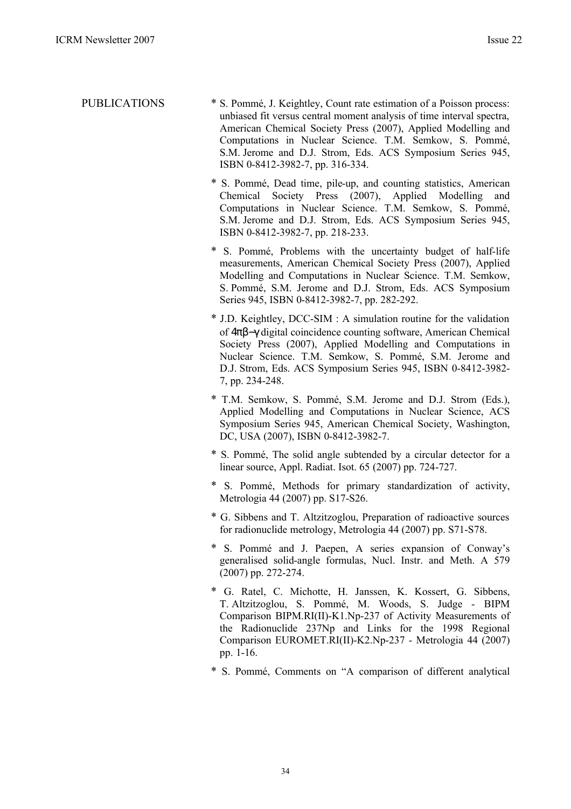- PUBLICATIONS \* S. Pommé, J. Keightley, Count rate estimation of a Poisson process: unbiased fit versus central moment analysis of time interval spectra, American Chemical Society Press (2007), Applied Modelling and Computations in Nuclear Science. T.M. Semkow, S. Pommé, S.M. Jerome and D.J. Strom, Eds. ACS Symposium Series 945, ISBN 0-8412-3982-7, pp. 316-334.
	- \* S. Pommé, Dead time, pile-up, and counting statistics, American Chemical Society Press (2007), Applied Modelling and Computations in Nuclear Science. T.M. Semkow, S. Pommé, S.M. Jerome and D.J. Strom, Eds. ACS Symposium Series 945, ISBN 0-8412-3982-7, pp. 218-233.
	- \* S. Pommé, Problems with the uncertainty budget of half-life measurements, American Chemical Society Press (2007), Applied Modelling and Computations in Nuclear Science. T.M. Semkow, S. Pommé, S.M. Jerome and D.J. Strom, Eds. ACS Symposium Series 945, ISBN 0-8412-3982-7, pp. 282-292.
	- \* J.D. Keightley, DCC-SIM : A simulation routine for the validation of 4πβ−γ digital coincidence counting software, American Chemical Society Press (2007), Applied Modelling and Computations in Nuclear Science. T.M. Semkow, S. Pommé, S.M. Jerome and D.J. Strom, Eds. ACS Symposium Series 945, ISBN 0-8412-3982- 7, pp. 234-248.
	- \* T.M. Semkow, S. Pommé, S.M. Jerome and D.J. Strom (Eds.), Applied Modelling and Computations in Nuclear Science, ACS Symposium Series 945, American Chemical Society, Washington, DC, USA (2007), ISBN 0-8412-3982-7.
	- \* S. Pommé, The solid angle subtended by a circular detector for a linear source, Appl. Radiat. Isot. 65 (2007) pp. 724-727.
	- \* S. Pommé, Methods for primary standardization of activity, Metrologia 44 (2007) pp. S17-S26.
	- \* G. Sibbens and T. Altzitzoglou, Preparation of radioactive sources for radionuclide metrology, Metrologia 44 (2007) pp. S71-S78.
	- \* S. Pommé and J. Paepen, A series expansion of Conway's generalised solid-angle formulas, Nucl. Instr. and Meth. A 579 (2007) pp. 272-274.
	- \* G. Ratel, C. Michotte, H. Janssen, K. Kossert, G. Sibbens, T. Altzitzoglou, S. Pommé, M. Woods, S. Judge - BIPM Comparison BIPM.RI(II)-K1.Np-237 of Activity Measurements of the Radionuclide 237Np and Links for the 1998 Regional Comparison EUROMET.RI(II)-K2.Np-237 - Metrologia 44 (2007) pp. 1-16.
	- \* S. Pommé, Comments on "A comparison of different analytical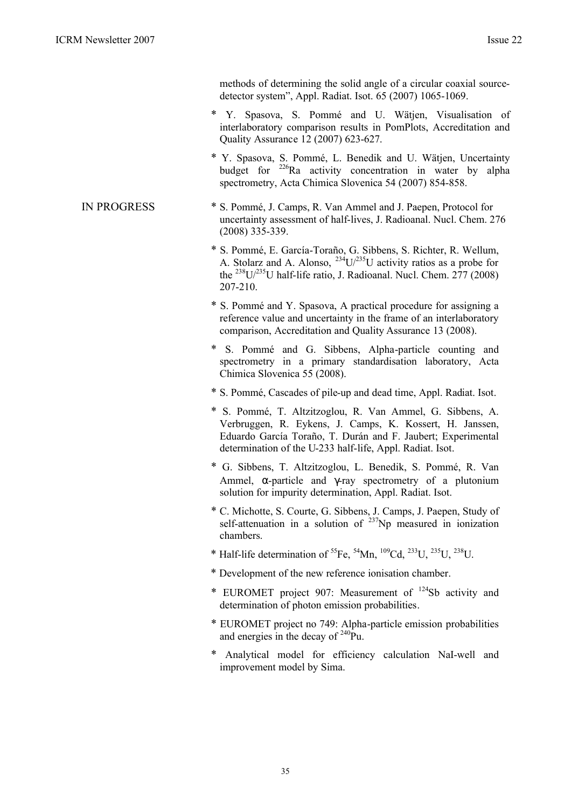methods of determining the solid angle of a circular coaxial sourcedetector system", Appl. Radiat. Isot. 65 (2007) 1065-1069.

- \* Y. Spasova, S. Pommé and U. Wätjen, Visualisation of interlaboratory comparison results in PomPlots, Accreditation and Quality Assurance 12 (2007) 623-627.
- \* Y. Spasova, S. Pommé, L. Benedik and U. Wätjen, Uncertainty budget for <sup>226</sup>Ra activity concentration in water by alpha spectrometry, Acta Chimica Slovenica 54 (2007) 854-858.
- IN PROGRESS \* S. Pommé, J. Camps, R. Van Ammel and J. Paepen, Protocol for uncertainty assessment of half-lives, J. Radioanal. Nucl. Chem. 276 (2008) 335-339.
	- \* S. Pommé, E. García-Toraño, G. Sibbens, S. Richter, R. Wellum, A. Stolarz and A. Alonso,  $^{234}U/^{235}U$  activity ratios as a probe for the  $^{238}U/^{235}U$  half-life ratio, J. Radioanal. Nucl. Chem.  $277$  (2008) 207-210.
	- \* S. Pommé and Y. Spasova, A practical procedure for assigning a reference value and uncertainty in the frame of an interlaboratory comparison, Accreditation and Quality Assurance 13 (2008).
	- \* S. Pommé and G. Sibbens, Alpha-particle counting and spectrometry in a primary standardisation laboratory, Acta Chimica Slovenica 55 (2008).
	- \* S. Pommé, Cascades of pile-up and dead time, Appl. Radiat. Isot.
	- \* S. Pommé, T. Altzitzoglou, R. Van Ammel, G. Sibbens, A. Verbruggen, R. Eykens, J. Camps, K. Kossert, H. Janssen, Eduardo García Toraño, T. Durán and F. Jaubert; Experimental determination of the U-233 half-life, Appl. Radiat. Isot.
	- \* G. Sibbens, T. Altzitzoglou, L. Benedik, S. Pommé, R. Van Ammel,  $\alpha$ -particle and  $\gamma$ -ray spectrometry of a plutonium solution for impurity determination, Appl. Radiat. Isot.
	- \* C. Michotte, S. Courte, G. Sibbens, J. Camps, J. Paepen, Study of self-attenuation in a solution of  $^{237}$ Np measured in ionization chambers.
	- \* Half-life determination of <sup>55</sup>Fe, <sup>54</sup>Mn, <sup>109</sup>Cd, <sup>233</sup>U, <sup>235</sup>U, <sup>238</sup>U.
	- \* Development of the new reference ionisation chamber.
	- \* EUROMET project 907: Measurement of <sup>124</sup>Sb activity and determination of photon emission probabilities.
	- \* EUROMET project no 749: Alpha-particle emission probabilities and energies in the decay of  $240\text{Pu}$ .
	- \* Analytical model for efficiency calculation NaI-well and improvement model by Sima.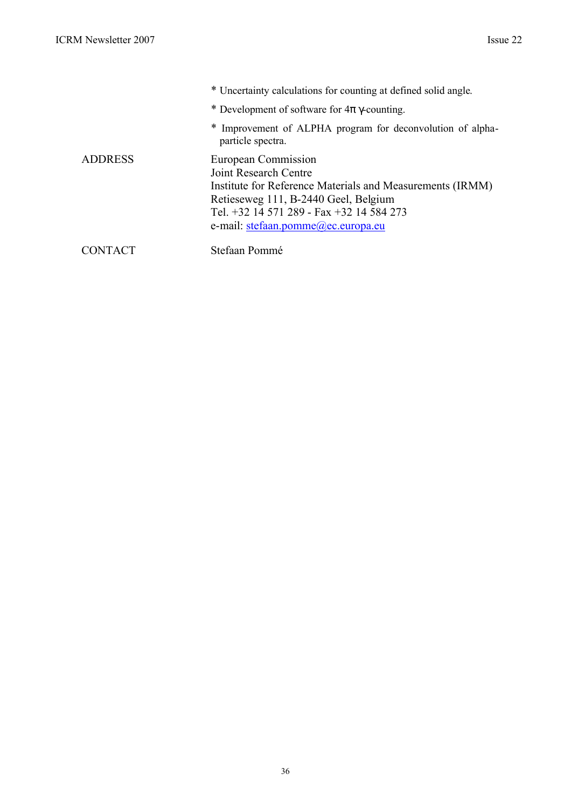|                | * Uncertainty calculations for counting at defined solid angle.                                                                                                                                                                     |
|----------------|-------------------------------------------------------------------------------------------------------------------------------------------------------------------------------------------------------------------------------------|
|                | * Development of software for $4\pi$ $\gamma$ -counting.                                                                                                                                                                            |
|                | * Improvement of ALPHA program for deconvolution of alpha-<br>particle spectra.                                                                                                                                                     |
| <b>ADDRESS</b> | European Commission<br>Joint Research Centre<br>Institute for Reference Materials and Measurements (IRMM)<br>Retieseweg 111, B-2440 Geel, Belgium<br>Tel. +32 14 571 289 - Fax +32 14 584 273<br>e-mail: stefaan.pomme@ec.europa.eu |
|                | Stefaan Pommé                                                                                                                                                                                                                       |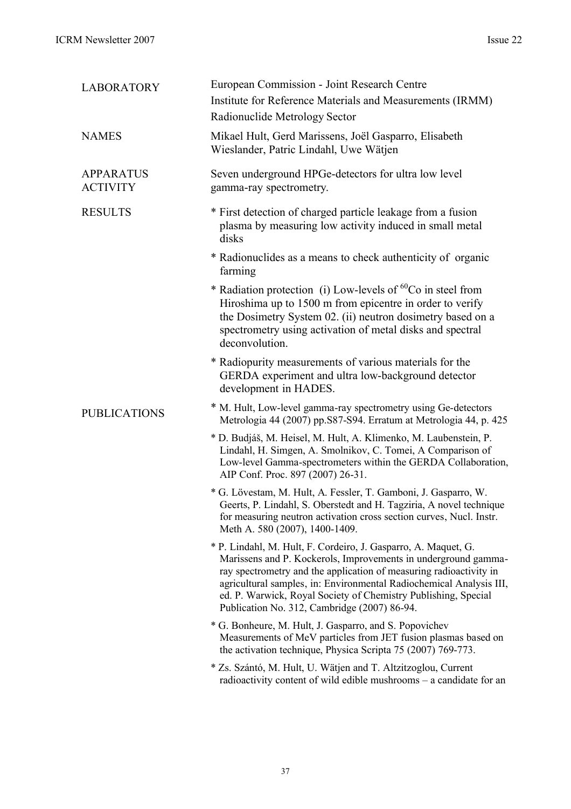| <b>LABORATORY</b>                   | European Commission - Joint Research Centre<br>Institute for Reference Materials and Measurements (IRMM)<br>Radionuclide Metrology Sector                                                                                                                                                                                                                                                       |
|-------------------------------------|-------------------------------------------------------------------------------------------------------------------------------------------------------------------------------------------------------------------------------------------------------------------------------------------------------------------------------------------------------------------------------------------------|
| <b>NAMES</b>                        | Mikael Hult, Gerd Marissens, Joël Gasparro, Elisabeth<br>Wieslander, Patric Lindahl, Uwe Wätjen                                                                                                                                                                                                                                                                                                 |
| <b>APPARATUS</b><br><b>ACTIVITY</b> | Seven underground HPGe-detectors for ultra low level<br>gamma-ray spectrometry.                                                                                                                                                                                                                                                                                                                 |
| <b>RESULTS</b>                      | * First detection of charged particle leakage from a fusion<br>plasma by measuring low activity induced in small metal<br>disks                                                                                                                                                                                                                                                                 |
|                                     | * Radionuclides as a means to check authenticity of organic<br>farming                                                                                                                                                                                                                                                                                                                          |
|                                     | * Radiation protection (i) Low-levels of <sup>60</sup> Co in steel from<br>Hiroshima up to 1500 m from epicentre in order to verify<br>the Dosimetry System 02. (ii) neutron dosimetry based on a<br>spectrometry using activation of metal disks and spectral<br>deconvolution.                                                                                                                |
|                                     | * Radiopurity measurements of various materials for the<br>GERDA experiment and ultra low-background detector<br>development in HADES.                                                                                                                                                                                                                                                          |
| <b>PUBLICATIONS</b>                 | * M. Hult, Low-level gamma-ray spectrometry using Ge-detectors<br>Metrologia 44 (2007) pp.S87-S94. Erratum at Metrologia 44, p. 425                                                                                                                                                                                                                                                             |
|                                     | * D. Budjáš, M. Heisel, M. Hult, A. Klimenko, M. Laubenstein, P.<br>Lindahl, H. Simgen, A. Smolnikov, C. Tomei, A Comparison of<br>Low-level Gamma-spectrometers within the GERDA Collaboration,<br>AIP Conf. Proc. 897 (2007) 26-31.                                                                                                                                                           |
|                                     | * G. Lövestam, M. Hult, A. Fessler, T. Gamboni, J. Gasparro, W.<br>Geerts, P. Lindahl, S. Oberstedt and H. Tagziria, A novel technique<br>for measuring neutron activation cross section curves, Nucl. Instr.<br>Meth A. 580 (2007), 1400-1409.                                                                                                                                                 |
|                                     | * P. Lindahl, M. Hult, F. Cordeiro, J. Gasparro, A. Maquet, G.<br>Marissens and P. Kockerols, Improvements in underground gamma-<br>ray spectrometry and the application of measuring radioactivity in<br>agricultural samples, in: Environmental Radiochemical Analysis III,<br>ed. P. Warwick, Royal Society of Chemistry Publishing, Special<br>Publication No. 312, Cambridge (2007) 86-94. |
|                                     | * G. Bonheure, M. Hult, J. Gasparro, and S. Popovichev<br>Measurements of MeV particles from JET fusion plasmas based on<br>the activation technique, Physica Scripta 75 (2007) 769-773.                                                                                                                                                                                                        |
|                                     | * Zs. Szántó, M. Hult, U. Wätjen and T. Altzitzoglou, Current<br>radioactivity content of wild edible mushrooms – a candidate for an                                                                                                                                                                                                                                                            |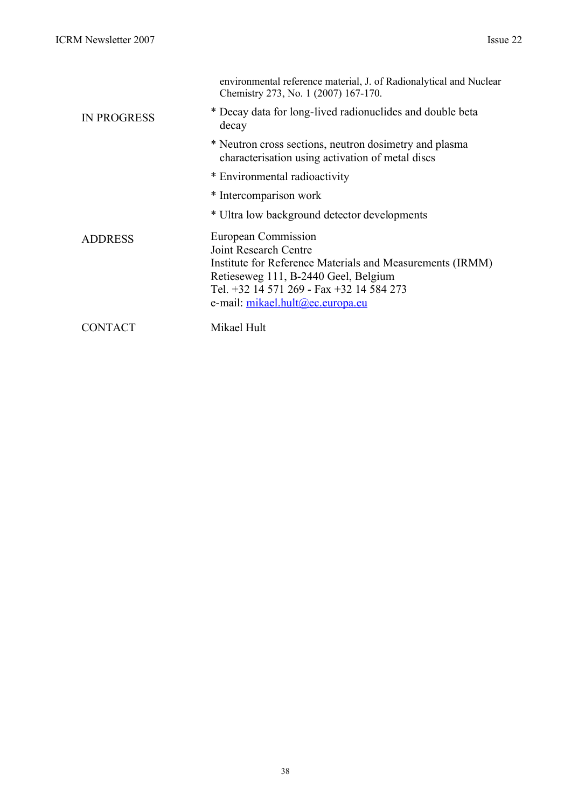|                    | environmental reference material, J. of Radionalytical and Nuclear<br>Chemistry 273, No. 1 (2007) 167-170.                                                                                                                        |
|--------------------|-----------------------------------------------------------------------------------------------------------------------------------------------------------------------------------------------------------------------------------|
| <b>IN PROGRESS</b> | * Decay data for long-lived radionuclides and double beta<br>decay                                                                                                                                                                |
|                    | * Neutron cross sections, neutron dosimetry and plasma<br>characterisation using activation of metal discs                                                                                                                        |
|                    | * Environmental radioactivity                                                                                                                                                                                                     |
|                    | * Intercomparison work                                                                                                                                                                                                            |
|                    | * Ultra low background detector developments                                                                                                                                                                                      |
| <b>ADDRESS</b>     | European Commission<br>Joint Research Centre<br>Institute for Reference Materials and Measurements (IRMM)<br>Retieseweg 111, B-2440 Geel, Belgium<br>Tel. +32 14 571 269 - Fax +32 14 584 273<br>e-mail: mikael.hult@ec.europa.eu |
| <b>CONTACT</b>     | Mikael Hult                                                                                                                                                                                                                       |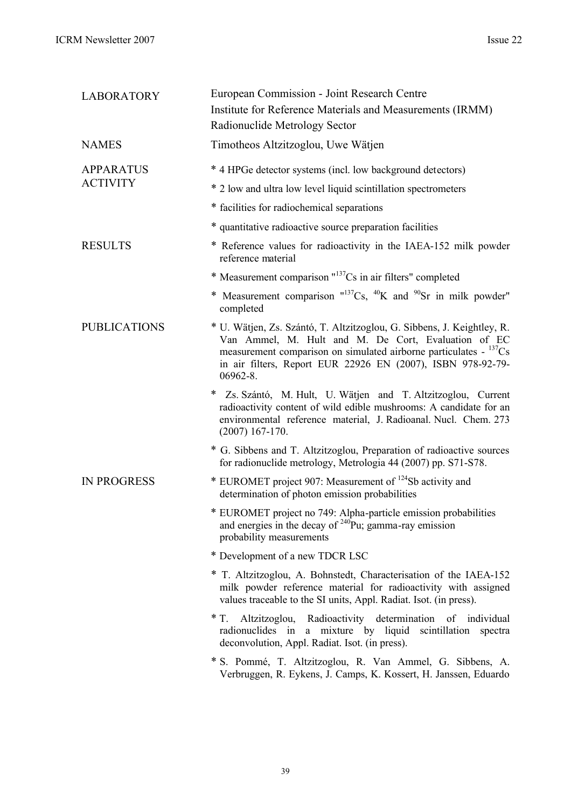| <b>LABORATORY</b>                   | European Commission - Joint Research Centre<br>Institute for Reference Materials and Measurements (IRMM)<br>Radionuclide Metrology Sector                                                                                                                                                 |
|-------------------------------------|-------------------------------------------------------------------------------------------------------------------------------------------------------------------------------------------------------------------------------------------------------------------------------------------|
| <b>NAMES</b>                        | Timotheos Altzitzoglou, Uwe Wätjen                                                                                                                                                                                                                                                        |
| <b>APPARATUS</b><br><b>ACTIVITY</b> | * 4 HPGe detector systems (incl. low background detectors)<br>* 2 low and ultra low level liquid scintillation spectrometers<br>* facilities for radiochemical separations                                                                                                                |
|                                     | * quantitative radioactive source preparation facilities                                                                                                                                                                                                                                  |
| <b>RESULTS</b>                      | * Reference values for radioactivity in the IAEA-152 milk powder<br>reference material                                                                                                                                                                                                    |
|                                     | * Measurement comparison " <sup>137</sup> Cs in air filters" completed                                                                                                                                                                                                                    |
|                                     | * Measurement comparison $137Cs$ , $40K$ and $90Sr$ in milk powder"<br>completed                                                                                                                                                                                                          |
| <b>PUBLICATIONS</b>                 | * U. Wätjen, Zs. Szántó, T. Altzitzoglou, G. Sibbens, J. Keightley, R.<br>Van Ammel, M. Hult and M. De Cort, Evaluation of EC<br>measurement comparison on simulated airborne particulates - <sup>137</sup> Cs<br>in air filters, Report EUR 22926 EN (2007), ISBN 978-92-79-<br>06962-8. |
|                                     | * Zs. Szántó, M. Hult, U. Wätjen and T. Altzitzoglou, Current<br>radioactivity content of wild edible mushrooms: A candidate for an<br>environmental reference material, J. Radioanal. Nucl. Chem. 273<br>$(2007)$ 167-170.                                                               |
|                                     | * G. Sibbens and T. Altzitzoglou, Preparation of radioactive sources<br>for radionuclide metrology, Metrologia 44 (2007) pp. S71-S78.                                                                                                                                                     |
| <b>IN PROGRESS</b>                  | * EUROMET project 907: Measurement of <sup>124</sup> Sb activity and<br>determination of photon emission probabilities                                                                                                                                                                    |
|                                     | * EUROMET project no 749: Alpha-particle emission probabilities<br>and energies in the decay of <sup>240</sup> Pu; gamma-ray emission<br>probability measurements                                                                                                                         |
|                                     | * Development of a new TDCR LSC                                                                                                                                                                                                                                                           |
|                                     | * T. Altzitzoglou, A. Bohnstedt, Characterisation of the IAEA-152<br>milk powder reference material for radioactivity with assigned<br>values traceable to the SI units, Appl. Radiat. Isot. (in press).                                                                                  |
|                                     | $*T$ .<br>Altzitzoglou, Radioactivity determination of individual<br>radionuclides in a mixture by liquid scintillation spectra<br>deconvolution, Appl. Radiat. Isot. (in press).                                                                                                         |
|                                     | * S. Pommé, T. Altzitzoglou, R. Van Ammel, G. Sibbens, A.<br>Verbruggen, R. Eykens, J. Camps, K. Kossert, H. Janssen, Eduardo                                                                                                                                                             |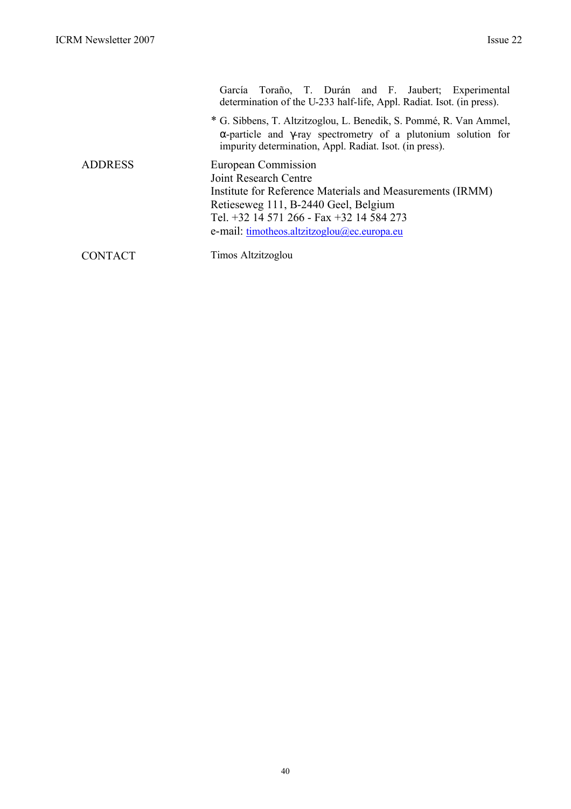|         | García Toraño, T. Durán and F. Jaubert; Experimental<br>determination of the U-233 half-life, Appl. Radiat. Isot. (in press).                                                                                                                |
|---------|----------------------------------------------------------------------------------------------------------------------------------------------------------------------------------------------------------------------------------------------|
|         | * G. Sibbens, T. Altzitzoglou, L. Benedik, S. Pommé, R. Van Ammel,<br>$\alpha$ -particle and $\gamma$ -ray spectrometry of a plutonium solution for<br>impurity determination, Appl. Radiat. Isot. (in press).                               |
| ADDRESS | European Commission<br>Joint Research Centre<br>Institute for Reference Materials and Measurements (IRMM)<br>Retieseweg 111, B-2440 Geel, Belgium<br>Tel. +32 14 571 266 - Fax +32 14 584 273<br>e-mail: timotheos.altzitzoglou@ec.europa.eu |
| CONTACT | Timos Altzitzoglou                                                                                                                                                                                                                           |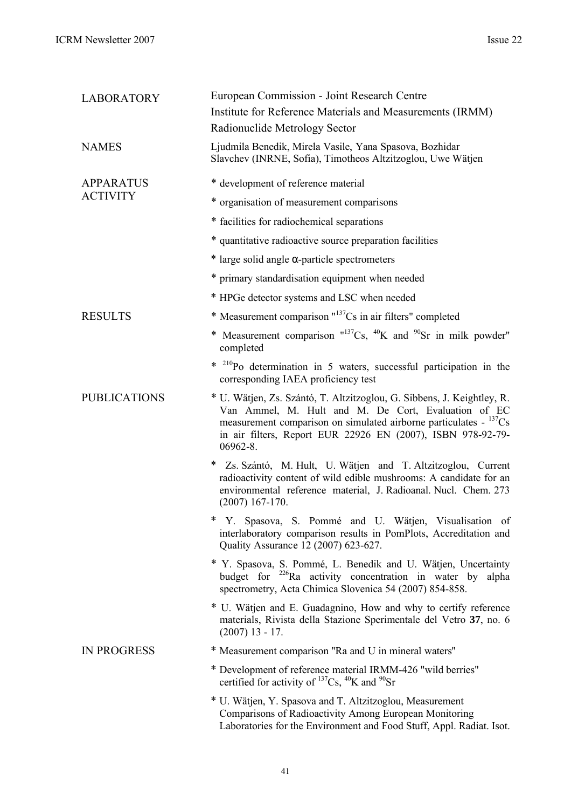| <b>LABORATORY</b>   | European Commission - Joint Research Centre<br>Institute for Reference Materials and Measurements (IRMM)                                                                                                                                                                               |
|---------------------|----------------------------------------------------------------------------------------------------------------------------------------------------------------------------------------------------------------------------------------------------------------------------------------|
|                     | Radionuclide Metrology Sector                                                                                                                                                                                                                                                          |
| <b>NAMES</b>        | Ljudmila Benedik, Mirela Vasile, Yana Spasova, Bozhidar<br>Slavchev (INRNE, Sofia), Timotheos Altzitzoglou, Uwe Wätjen                                                                                                                                                                 |
| <b>APPARATUS</b>    | * development of reference material                                                                                                                                                                                                                                                    |
| <b>ACTIVITY</b>     | * organisation of measurement comparisons                                                                                                                                                                                                                                              |
|                     | * facilities for radiochemical separations                                                                                                                                                                                                                                             |
|                     | * quantitative radioactive source preparation facilities                                                                                                                                                                                                                               |
|                     | $*$ large solid angle $\alpha$ -particle spectrometers                                                                                                                                                                                                                                 |
|                     | * primary standardisation equipment when needed                                                                                                                                                                                                                                        |
|                     | * HPGe detector systems and LSC when needed                                                                                                                                                                                                                                            |
| <b>RESULTS</b>      | * Measurement comparison " <sup>137</sup> Cs in air filters" completed                                                                                                                                                                                                                 |
|                     | * Measurement comparison "137Cs, <sup>40</sup> K and <sup>90</sup> Sr in milk powder"<br>completed                                                                                                                                                                                     |
|                     | * <sup>210</sup> Po determination in 5 waters, successful participation in the<br>corresponding IAEA proficiency test                                                                                                                                                                  |
| <b>PUBLICATIONS</b> | * U. Wätjen, Zs. Szántó, T. Altzitzoglou, G. Sibbens, J. Keightley, R.<br>Van Ammel, M. Hult and M. De Cort, Evaluation of EC<br>measurement comparison on simulated airborne particulates - $^{137}Cs$<br>in air filters, Report EUR 22926 EN (2007), ISBN 978-92-79-<br>$06962 - 8.$ |
|                     | * Zs. Szántó, M. Hult, U. Wätjen and T. Altzitzoglou, Current<br>radioactivity content of wild edible mushrooms: A candidate for an<br>environmental reference material, J. Radioanal. Nucl. Chem. 273<br>$(2007)$ 167-170.                                                            |
|                     | * Y. Spasova, S. Pommé and U. Wätjen, Visualisation of<br>interlaboratory comparison results in PomPlots, Accreditation and<br>Quality Assurance 12 (2007) 623-627.                                                                                                                    |
|                     | * Y. Spasova, S. Pommé, L. Benedik and U. Wätjen, Uncertainty<br>budget for <sup>226</sup> Ra activity concentration in water by alpha<br>spectrometry, Acta Chimica Slovenica 54 (2007) 854-858.                                                                                      |
|                     | * U. Wätjen and E. Guadagnino, How and why to certify reference<br>materials, Rivista della Stazione Sperimentale del Vetro 37, no. 6<br>$(2007)$ 13 - 17.                                                                                                                             |
| <b>IN PROGRESS</b>  | * Measurement comparison "Ra and U in mineral waters"                                                                                                                                                                                                                                  |
|                     | * Development of reference material IRMM-426 "wild berries"<br>certified for activity of $^{137}Cs$ , $^{40}K$ and $^{90}Sr$                                                                                                                                                           |
|                     | * U. Wätjen, Y. Spasova and T. Altzitzoglou, Measurement<br>Comparisons of Radioactivity Among European Monitoring<br>Laboratories for the Environment and Food Stuff, Appl. Radiat. Isot.                                                                                             |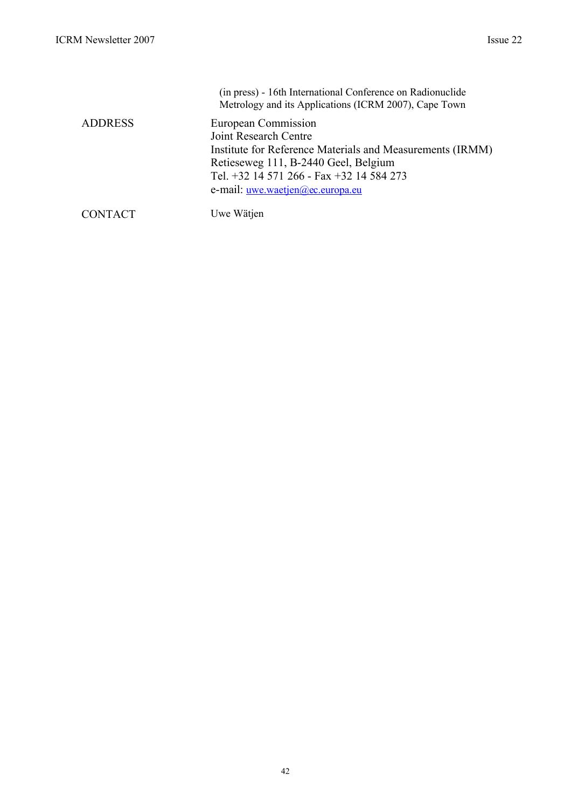|                | (in press) - 16th International Conference on Radionuclide<br>Metrology and its Applications (ICRM 2007), Cape Town                                                                                                               |
|----------------|-----------------------------------------------------------------------------------------------------------------------------------------------------------------------------------------------------------------------------------|
| ADDRESS        | European Commission<br>Joint Research Centre<br>Institute for Reference Materials and Measurements (IRMM)<br>Retieseweg 111, B-2440 Geel, Belgium<br>Tel. +32 14 571 266 - Fax +32 14 584 273<br>e-mail: uwe.waetjen@ec.europa.eu |
| <b>CONTACT</b> | Uwe Wätjen                                                                                                                                                                                                                        |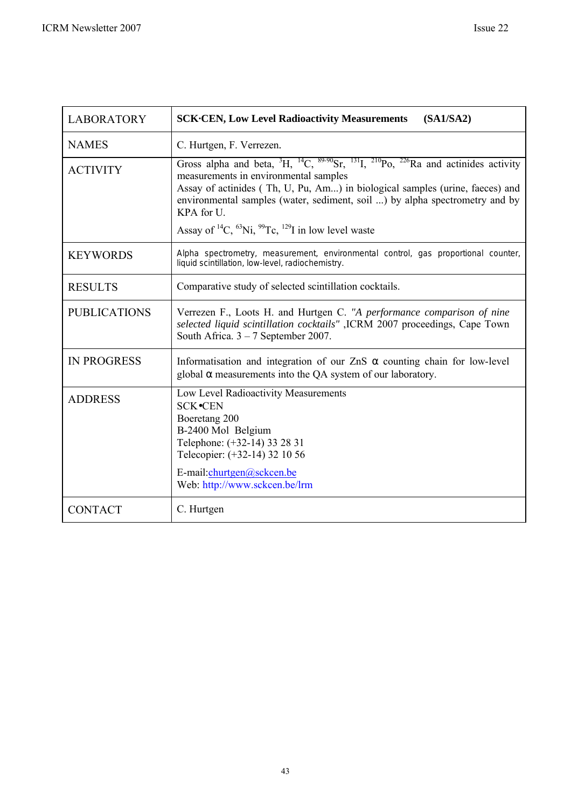| <b>LABORATORY</b>   | <b>SCK·CEN, Low Level Radioactivity Measurements</b><br>(SA1/SA2)                                                                                                                                                                                                                                                                                                                                                                            |
|---------------------|----------------------------------------------------------------------------------------------------------------------------------------------------------------------------------------------------------------------------------------------------------------------------------------------------------------------------------------------------------------------------------------------------------------------------------------------|
| <b>NAMES</b>        | C. Hurtgen, F. Verrezen.                                                                                                                                                                                                                                                                                                                                                                                                                     |
| <b>ACTIVITY</b>     | Gross alpha and beta, ${}^{3}H, {}^{14}C, {}^{89-90}Sr, {}^{131}I, {}^{210}Po, {}^{226}Ra$ and actinides activity<br>measurements in environmental samples<br>Assay of actinides (Th, U, Pu, Am) in biological samples (urine, faeces) and<br>environmental samples (water, sediment, soil ) by alpha spectrometry and by<br>KPA for U.<br>Assay of <sup>14</sup> C, <sup>63</sup> Ni, <sup>99</sup> Tc, <sup>129</sup> I in low level waste |
| <b>KEYWORDS</b>     | Alpha spectrometry, measurement, environmental control, gas proportional counter,<br>liquid scintillation, low-level, radiochemistry.                                                                                                                                                                                                                                                                                                        |
| <b>RESULTS</b>      | Comparative study of selected scintillation cocktails.                                                                                                                                                                                                                                                                                                                                                                                       |
| <b>PUBLICATIONS</b> | Verrezen F., Loots H. and Hurtgen C. "A performance comparison of nine<br>selected liquid scintillation cocktails" ,ICRM 2007 proceedings, Cape Town<br>South Africa. $3 - 7$ September 2007.                                                                                                                                                                                                                                                |
| <b>IN PROGRESS</b>  | Informatisation and integration of our ZnS $\alpha$ counting chain for low-level<br>global $\alpha$ measurements into the QA system of our laboratory.                                                                                                                                                                                                                                                                                       |
| <b>ADDRESS</b>      | Low Level Radioactivity Measurements<br><b>SCK</b> •CEN<br>Boeretang 200<br>B-2400 Mol Belgium<br>Telephone: (+32-14) 33 28 31<br>Telecopier: (+32-14) 32 10 56<br>E-mail:churtgen@sckcen.be<br>Web: http://www.sckcen.be/lrm                                                                                                                                                                                                                |
| <b>CONTACT</b>      | C. Hurtgen                                                                                                                                                                                                                                                                                                                                                                                                                                   |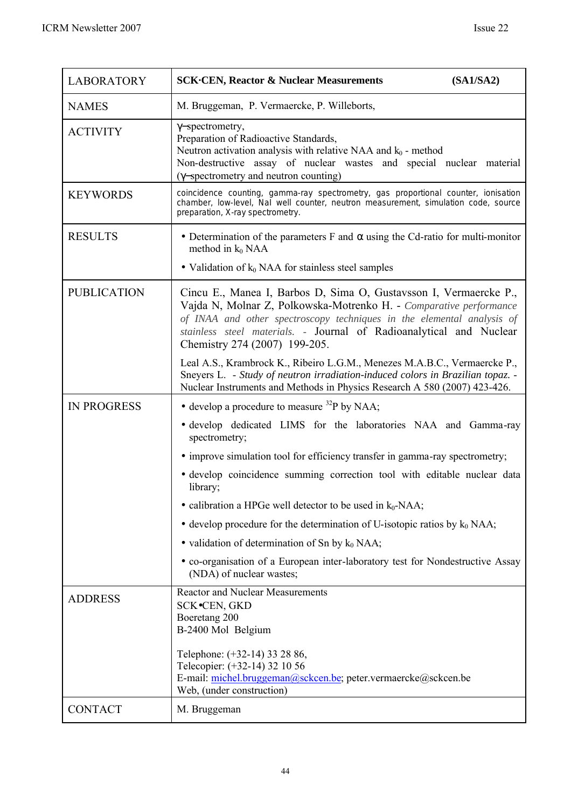| <b>LABORATORY</b>  | <b>SCK.CEN, Reactor &amp; Nuclear Measurements</b><br>(SA1/SA2)                                                                                                                                                                                                                                                           |
|--------------------|---------------------------------------------------------------------------------------------------------------------------------------------------------------------------------------------------------------------------------------------------------------------------------------------------------------------------|
| <b>NAMES</b>       | M. Bruggeman, P. Vermaercke, P. Willeborts,                                                                                                                                                                                                                                                                               |
| <b>ACTIVITY</b>    | γ-spectrometry,<br>Preparation of Radioactive Standards,<br>Neutron activation analysis with relative NAA and $k_0$ - method<br>Non-destructive assay of nuclear wastes and special nuclear material<br>(γ-spectrometry and neutron counting)                                                                             |
| <b>KEYWORDS</b>    | coincidence counting, gamma-ray spectrometry, gas proportional counter, ionisation<br>chamber, low-level, Nal well counter, neutron measurement, simulation code, source<br>preparation, X-ray spectrometry.                                                                                                              |
| <b>RESULTS</b>     | • Determination of the parameters F and $\alpha$ using the Cd-ratio for multi-monitor<br>method in $k_0$ NAA                                                                                                                                                                                                              |
|                    | • Validation of $k_0$ NAA for stainless steel samples                                                                                                                                                                                                                                                                     |
| <b>PUBLICATION</b> | Cincu E., Manea I, Barbos D, Sima O, Gustavsson I, Vermaercke P.,<br>Vajda N, Molnar Z, Polkowska-Motrenko H. - Comparative performance<br>of INAA and other spectroscopy techniques in the elemental analysis of<br>stainless steel materials. - Journal of Radioanalytical and Nuclear<br>Chemistry 274 (2007) 199-205. |
|                    | Leal A.S., Krambrock K., Ribeiro L.G.M., Menezes M.A.B.C., Vermaercke P.,<br>Sneyers L. - Study of neutron irradiation-induced colors in Brazilian topaz. -<br>Nuclear Instruments and Methods in Physics Research A 580 (2007) 423-426.                                                                                  |
| <b>IN PROGRESS</b> | • develop a procedure to measure $^{32}P$ by NAA;                                                                                                                                                                                                                                                                         |
|                    | · develop dedicated LIMS for the laboratories NAA and Gamma-ray<br>spectrometry;                                                                                                                                                                                                                                          |
|                    | • improve simulation tool for efficiency transfer in gamma-ray spectrometry;                                                                                                                                                                                                                                              |
|                    | • develop coincidence summing correction tool with editable nuclear data<br>library;                                                                                                                                                                                                                                      |
|                    | • calibration a HPGe well detector to be used in $k_0$ -NAA;                                                                                                                                                                                                                                                              |
|                    | • develop procedure for the determination of U-isotopic ratios by $k_0$ NAA;                                                                                                                                                                                                                                              |
|                    | • validation of determination of Sn by $k_0$ NAA;                                                                                                                                                                                                                                                                         |
|                    | • co-organisation of a European inter-laboratory test for Nondestructive Assay<br>(NDA) of nuclear wastes;                                                                                                                                                                                                                |
| <b>ADDRESS</b>     | <b>Reactor and Nuclear Measurements</b><br>SCK.CEN, GKD<br>Boeretang 200<br>B-2400 Mol Belgium                                                                                                                                                                                                                            |
|                    | Telephone: (+32-14) 33 28 86,<br>Telecopier: (+32-14) 32 10 56<br>E-mail: michel.bruggeman@sckcen.be; peter.vermaercke@sckcen.be<br>Web, (under construction)                                                                                                                                                             |
| <b>CONTACT</b>     | M. Bruggeman                                                                                                                                                                                                                                                                                                              |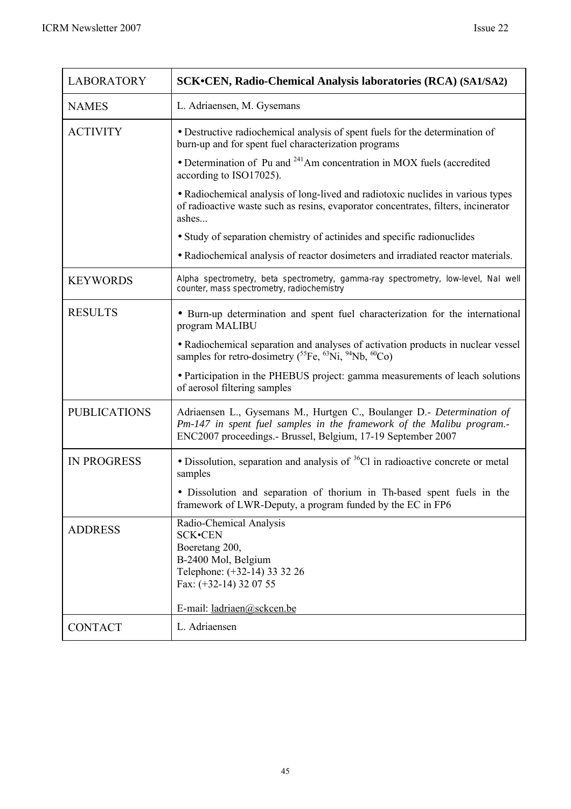| <b>LABORATORY</b>   | SCK•CEN, Radio-Chemical Analysis laboratories (RCA) (SA1/SA2)                                                                                                                                                   |
|---------------------|-----------------------------------------------------------------------------------------------------------------------------------------------------------------------------------------------------------------|
| <b>NAMES</b>        | L. Adriaensen, M. Gysemans                                                                                                                                                                                      |
| <b>ACTIVITY</b>     | • Destructive radiochemical analysis of spent fuels for the determination of<br>burn-up and for spent fuel characterization programs                                                                            |
|                     | $\bullet$ Determination of Pu and $^{241}$ Am concentration in MOX fuels (accredited<br>according to ISO17025).                                                                                                 |
|                     | • Radiochemical analysis of long-lived and radiotoxic nuclides in various types<br>of radioactive waste such as resins, evaporator concentrates, filters, incinerator<br>ashes                                  |
|                     | • Study of separation chemistry of actinides and specific radionuclides                                                                                                                                         |
|                     | • Radiochemical analysis of reactor dosimeters and irradiated reactor materials.                                                                                                                                |
| <b>KEYWORDS</b>     | Alpha spectrometry, beta spectrometry, gamma-ray spectrometry, low-level, Nal well<br>counter, mass spectrometry, radiochemistry                                                                                |
| <b>RESULTS</b>      | • Burn-up determination and spent fuel characterization for the international<br>program MALIBU                                                                                                                 |
|                     | • Radiochemical separation and analyses of activation products in nuclear vessel<br>samples for retro-dosimetry $({}^{55}Fe, {}^{63}Ni, {}^{94}Nb, {}^{60}Co)$                                                  |
|                     | • Participation in the PHEBUS project: gamma measurements of leach solutions<br>of aerosol filtering samples                                                                                                    |
| <b>PUBLICATIONS</b> | Adriaensen L., Gysemans M., Hurtgen C., Boulanger D.- Determination of<br>Pm-147 in spent fuel samples in the framework of the Malibu program.-<br>ENC2007 proceedings.- Brussel, Belgium, 17-19 September 2007 |
| <b>IN PROGRESS</b>  | • Dissolution, separation and analysis of ${}^{36}Cl$ in radioactive concrete or metal<br>samples                                                                                                               |
|                     | • Dissolution and separation of thorium in Th-based spent fuels in the<br>framework of LWR-Deputy, a program funded by the EC in FP6                                                                            |
| <b>ADDRESS</b>      | Radio-Chemical Analysis<br><b>SCK</b> •CEN<br>Boeretang 200,<br>B-2400 Mol, Belgium<br>Telephone: (+32-14) 33 32 26<br>Fax: (+32-14) 32 07 55                                                                   |
|                     | E-mail: ladriaen@sckcen.be                                                                                                                                                                                      |
| <b>CONTACT</b>      | L. Adriaensen                                                                                                                                                                                                   |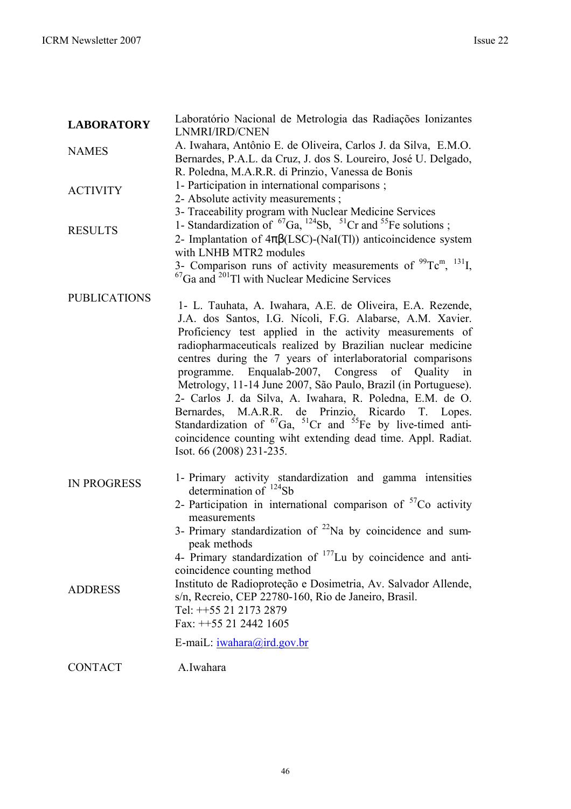| <b>LABORATORY</b>   | Laboratório Nacional de Metrologia das Radiações Ionizantes<br>LNMRI/IRD/CNEN                                                                                                                                                                                                                                                                                                                                                                                                                                                                                                                                                                                                                                                             |
|---------------------|-------------------------------------------------------------------------------------------------------------------------------------------------------------------------------------------------------------------------------------------------------------------------------------------------------------------------------------------------------------------------------------------------------------------------------------------------------------------------------------------------------------------------------------------------------------------------------------------------------------------------------------------------------------------------------------------------------------------------------------------|
| <b>NAMES</b>        | A. Iwahara, Antônio E. de Oliveira, Carlos J. da Silva, E.M.O.<br>Bernardes, P.A.L. da Cruz, J. dos S. Loureiro, José U. Delgado,                                                                                                                                                                                                                                                                                                                                                                                                                                                                                                                                                                                                         |
|                     | R. Poledna, M.A.R.R. di Prinzio, Vanessa de Bonis                                                                                                                                                                                                                                                                                                                                                                                                                                                                                                                                                                                                                                                                                         |
|                     | 1- Participation in international comparisons;                                                                                                                                                                                                                                                                                                                                                                                                                                                                                                                                                                                                                                                                                            |
| <b>ACTIVITY</b>     | 2- Absolute activity measurements;                                                                                                                                                                                                                                                                                                                                                                                                                                                                                                                                                                                                                                                                                                        |
|                     | 3- Traceability program with Nuclear Medicine Services                                                                                                                                                                                                                                                                                                                                                                                                                                                                                                                                                                                                                                                                                    |
| <b>RESULTS</b>      | 1- Standardization of ${}^{67}Ga$ , ${}^{124}Sb$ , ${}^{51}Cr$ and ${}^{55}Fe$ solutions;                                                                                                                                                                                                                                                                                                                                                                                                                                                                                                                                                                                                                                                 |
|                     | 2- Implantation of $4\pi\beta$ (LSC)-(NaI(Tl)) anticoincidence system<br>with LNHB MTR2 modules                                                                                                                                                                                                                                                                                                                                                                                                                                                                                                                                                                                                                                           |
|                     | 3- Comparison runs of activity measurements of $^{99}$ Tc <sup>m</sup> , $^{131}$ I,<br>${}^{67}$ Ga and ${}^{201}$ Tl with Nuclear Medicine Services                                                                                                                                                                                                                                                                                                                                                                                                                                                                                                                                                                                     |
| <b>PUBLICATIONS</b> | 1- L. Tauhata, A. Iwahara, A.E. de Oliveira, E.A. Rezende,<br>J.A. dos Santos, I.G. Nícoli, F.G. Alabarse, A.M. Xavier.<br>Proficiency test applied in the activity measurements of<br>radiopharmaceuticals realized by Brazilian nuclear medicine<br>centres during the 7 years of interlaboratorial comparisons<br>programme. Enqualab-2007, Congress of Quality in<br>Metrology, 11-14 June 2007, São Paulo, Brazil (in Portuguese).<br>2- Carlos J. da Silva, A. Iwahara, R. Poledna, E.M. de O.<br>Bernardes, M.A.R.R. de Prinzio, Ricardo T. Lopes.<br>Standardization of ${}^{67}Ga$ , ${}^{51}Cr$ and ${}^{55}Fe$ by live-timed anti-<br>coincidence counting wiht extending dead time. Appl. Radiat.<br>Isot. 66 (2008) 231-235. |
| <b>IN PROGRESS</b>  | 1- Primary activity standardization and gamma intensities<br>determination of $^{124}Sb$                                                                                                                                                                                                                                                                                                                                                                                                                                                                                                                                                                                                                                                  |
|                     | 2- Participation in international comparison of $57^{\circ}$ Co activity<br>measurements                                                                                                                                                                                                                                                                                                                                                                                                                                                                                                                                                                                                                                                  |
|                     | 3- Primary standardization of $^{22}$ Na by coincidence and sum-<br>peak methods                                                                                                                                                                                                                                                                                                                                                                                                                                                                                                                                                                                                                                                          |
|                     | 4- Primary standardization of <sup>177</sup> Lu by coincidence and anti-<br>coincidence counting method                                                                                                                                                                                                                                                                                                                                                                                                                                                                                                                                                                                                                                   |
| <b>ADDRESS</b>      | Instituto de Radioproteção e Dosimetria, Av. Salvador Allende,<br>s/n, Recreio, CEP 22780-160, Rio de Janeiro, Brasil.<br>Tel: ++55 21 2173 2879                                                                                                                                                                                                                                                                                                                                                                                                                                                                                                                                                                                          |
|                     | Fax: $++55$ 21 2442 1605                                                                                                                                                                                                                                                                                                                                                                                                                                                                                                                                                                                                                                                                                                                  |
|                     | E-mail: $ivahara@ird.gov.br$                                                                                                                                                                                                                                                                                                                                                                                                                                                                                                                                                                                                                                                                                                              |
| <b>CONTACT</b>      | A.Iwahara                                                                                                                                                                                                                                                                                                                                                                                                                                                                                                                                                                                                                                                                                                                                 |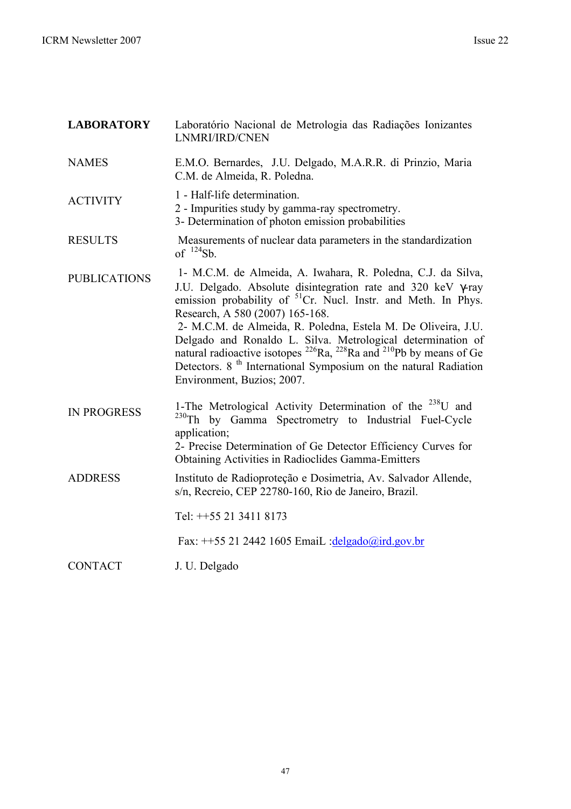| <b>LABORATORY</b>   | Laboratório Nacional de Metrologia das Radiações Ionizantes<br>LNMRI/IRD/CNEN                                                                                                                                                                                                                                                                                                                                                                                                                                                                                                                       |
|---------------------|-----------------------------------------------------------------------------------------------------------------------------------------------------------------------------------------------------------------------------------------------------------------------------------------------------------------------------------------------------------------------------------------------------------------------------------------------------------------------------------------------------------------------------------------------------------------------------------------------------|
| <b>NAMES</b>        | E.M.O. Bernardes, J.U. Delgado, M.A.R.R. di Prinzio, Maria<br>C.M. de Almeida, R. Poledna.                                                                                                                                                                                                                                                                                                                                                                                                                                                                                                          |
| <b>ACTIVITY</b>     | 1 - Half-life determination.<br>2 - Impurities study by gamma-ray spectrometry.<br>3- Determination of photon emission probabilities                                                                                                                                                                                                                                                                                                                                                                                                                                                                |
| <b>RESULTS</b>      | Measurements of nuclear data parameters in the standardization<br>of $^{124}Sb$ .                                                                                                                                                                                                                                                                                                                                                                                                                                                                                                                   |
| <b>PUBLICATIONS</b> | 1- M.C.M. de Almeida, A. Iwahara, R. Poledna, C.J. da Silva,<br>J.U. Delgado. Absolute disintegration rate and 320 keV y-ray<br>emission probability of <sup>51</sup> Cr. Nucl. Instr. and Meth. In Phys.<br>Research, A 580 (2007) 165-168.<br>2- M.C.M. de Almeida, R. Poledna, Estela M. De Oliveira, J.U.<br>Delgado and Ronaldo L. Silva. Metrological determination of<br>natural radioactive isotopes <sup>226</sup> Ra, <sup>228</sup> Ra and <sup>210</sup> Pb by means of Ge<br>Detectors. 8 <sup>th</sup> International Symposium on the natural Radiation<br>Environment, Buzios; 2007. |
| <b>IN PROGRESS</b>  | 1-The Metrological Activity Determination of the $^{238}$ U and<br>$^{230}$ Th<br>by Gamma Spectrometry to Industrial Fuel-Cycle<br>application;<br>2- Precise Determination of Ge Detector Efficiency Curves for<br>Obtaining Activities in Radioclides Gamma-Emitters                                                                                                                                                                                                                                                                                                                             |
| <b>ADDRESS</b>      | Instituto de Radioproteção e Dosimetria, Av. Salvador Allende,<br>s/n, Recreio, CEP 22780-160, Rio de Janeiro, Brazil.                                                                                                                                                                                                                                                                                                                                                                                                                                                                              |
|                     | Tel: ++55 21 3411 8173                                                                                                                                                                                                                                                                                                                                                                                                                                                                                                                                                                              |
|                     | Fax: $++55$ 21 2442 1605 Email: $delgado(a)ird.gov.br$                                                                                                                                                                                                                                                                                                                                                                                                                                                                                                                                              |
| <b>CONTACT</b>      | J. U. Delgado                                                                                                                                                                                                                                                                                                                                                                                                                                                                                                                                                                                       |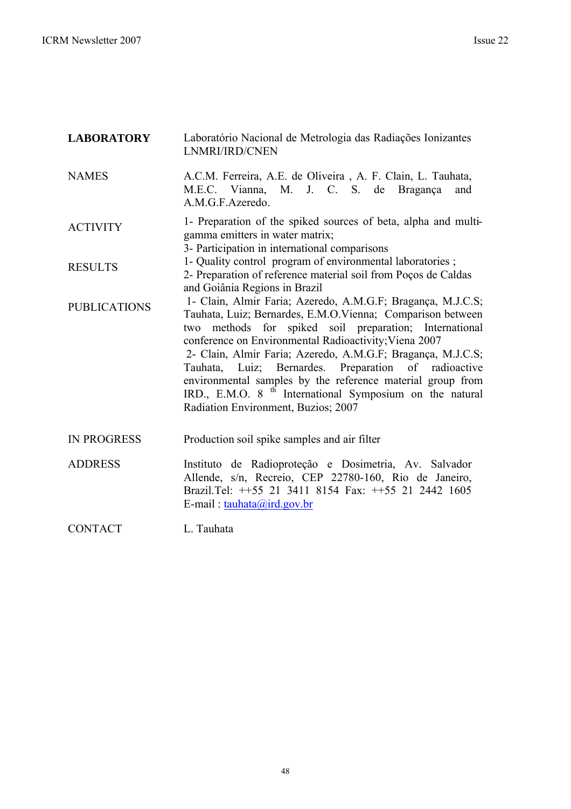| <b>LABORATORY</b>   | Laboratório Nacional de Metrologia das Radiações Ionizantes<br>LNMRI/IRD/CNEN                                                                                                                                                                                                                                                                                                                                                                                                                                                                   |
|---------------------|-------------------------------------------------------------------------------------------------------------------------------------------------------------------------------------------------------------------------------------------------------------------------------------------------------------------------------------------------------------------------------------------------------------------------------------------------------------------------------------------------------------------------------------------------|
| <b>NAMES</b>        | A.C.M. Ferreira, A.E. de Oliveira, A. F. Clain, L. Tauhata,<br>M.E.C. Vianna, M. J. C. S. de<br>Bragança<br>and<br>A.M.G.F.Azeredo.                                                                                                                                                                                                                                                                                                                                                                                                             |
| <b>ACTIVITY</b>     | 1- Preparation of the spiked sources of beta, alpha and multi-<br>gamma emitters in water matrix;<br>3- Participation in international comparisons                                                                                                                                                                                                                                                                                                                                                                                              |
| <b>RESULTS</b>      | 1- Quality control program of environmental laboratories;<br>2- Preparation of reference material soil from Poços de Caldas<br>and Goiânia Regions in Brazil                                                                                                                                                                                                                                                                                                                                                                                    |
| <b>PUBLICATIONS</b> | 1- Clain, Almir Faria; Azeredo, A.M.G.F; Bragança, M.J.C.S;<br>Tauhata, Luiz; Bernardes, E.M.O.Vienna; Comparison between<br>two methods for spiked soil preparation; International<br>conference on Environmental Radioactivity; Viena 2007<br>2- Clain, Almir Faria; Azeredo, A.M.G.F; Bragança, M.J.C.S;<br>Tauhata, Luiz; Bernardes. Preparation of radioactive<br>environmental samples by the reference material group from<br>IRD., E.M.O. 8 <sup>th</sup> International Symposium on the natural<br>Radiation Environment, Buzios; 2007 |
| <b>IN PROGRESS</b>  | Production soil spike samples and air filter                                                                                                                                                                                                                                                                                                                                                                                                                                                                                                    |
| <b>ADDRESS</b>      | Instituto de Radioproteção e Dosimetria, Av. Salvador<br>Allende, s/n, Recreio, CEP 22780-160, Rio de Janeiro,<br>Brazil.Tel: ++55 21 3411 8154 Fax: ++55 21 2442 1605<br>E-mail: $tanhata(\omega)$ ird.gov.br                                                                                                                                                                                                                                                                                                                                  |
| <b>CONTACT</b>      | L. Tauhata                                                                                                                                                                                                                                                                                                                                                                                                                                                                                                                                      |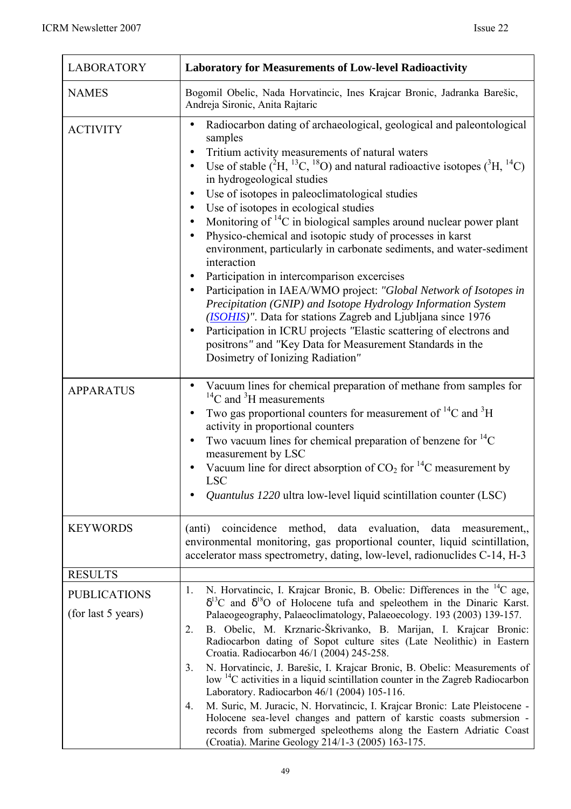| <b>LABORATORY</b>                         | <b>Laboratory for Measurements of Low-level Radioactivity</b>                                                                                                                                                                                                                                                                                                                                                                                                                                                                                                                                                                                                                                                                                                                                                                                                                                                                                                                                                                                                                            |
|-------------------------------------------|------------------------------------------------------------------------------------------------------------------------------------------------------------------------------------------------------------------------------------------------------------------------------------------------------------------------------------------------------------------------------------------------------------------------------------------------------------------------------------------------------------------------------------------------------------------------------------------------------------------------------------------------------------------------------------------------------------------------------------------------------------------------------------------------------------------------------------------------------------------------------------------------------------------------------------------------------------------------------------------------------------------------------------------------------------------------------------------|
| <b>NAMES</b>                              | Bogomil Obelic, Nada Horvatincic, Ines Krajcar Bronic, Jadranka Barešic,<br>Andreja Sironic, Anita Rajtaric                                                                                                                                                                                                                                                                                                                                                                                                                                                                                                                                                                                                                                                                                                                                                                                                                                                                                                                                                                              |
| <b>ACTIVITY</b>                           | Radiocarbon dating of archaeological, geological and paleontological<br>$\bullet$<br>samples<br>Tritium activity measurements of natural waters<br>$\bullet$<br>Use of stable $(^{2}H, ^{13}C, ^{18}O)$ and natural radioactive isotopes $(^{3}H, ^{14}C)$<br>$\bullet$<br>in hydrogeological studies<br>Use of isotopes in paleoclimatological studies<br>$\bullet$<br>Use of isotopes in ecological studies<br>Monitoring of ${}^{14}C$ in biological samples around nuclear power plant<br>Physico-chemical and isotopic study of processes in karst<br>$\bullet$<br>environment, particularly in carbonate sediments, and water-sediment<br>interaction<br>Participation in intercomparison excercises<br>Participation in IAEA/WMO project: "Global Network of Isotopes in<br>Precipitation (GNIP) and Isotope Hydrology Information System<br>(ISOHIS)". Data for stations Zagreb and Ljubljana since 1976<br>Participation in ICRU projects "Elastic scattering of electrons and<br>positrons" and "Key Data for Measurement Standards in the<br>Dosimetry of Ionizing Radiation" |
| <b>APPARATUS</b>                          | Vacuum lines for chemical preparation of methane from samples for<br>$\bullet$<br>$^{14}$ C and $^{3}$ H measurements<br>Two gas proportional counters for measurement of ${}^{14}C$ and ${}^{3}H$<br>$\bullet$<br>activity in proportional counters<br>Two vacuum lines for chemical preparation of benzene for ${}^{14}C$<br>$\bullet$<br>measurement by LSC<br>Vacuum line for direct absorption of $CO2$ for <sup>14</sup> C measurement by<br><b>LSC</b><br>Quantulus 1220 ultra low-level liquid scintillation counter (LSC)                                                                                                                                                                                                                                                                                                                                                                                                                                                                                                                                                       |
| <b>KEYWORDS</b>                           | coincidence method, data evaluation, data measurement,<br>(anti)<br>environmental monitoring, gas proportional counter, liquid scintillation,<br>accelerator mass spectrometry, dating, low-level, radionuclides C-14, H-3                                                                                                                                                                                                                                                                                                                                                                                                                                                                                                                                                                                                                                                                                                                                                                                                                                                               |
| <b>RESULTS</b>                            |                                                                                                                                                                                                                                                                                                                                                                                                                                                                                                                                                                                                                                                                                                                                                                                                                                                                                                                                                                                                                                                                                          |
| <b>PUBLICATIONS</b><br>(for last 5 years) | N. Horvatincic, I. Krajcar Bronic, B. Obelic: Differences in the <sup>14</sup> C age,<br>1.<br>$\delta^{13}$ C and $\delta^{18}$ O of Holocene tufa and speleothem in the Dinaric Karst.<br>Palaeogeography, Palaeoclimatology, Palaeoecology. 193 (2003) 139-157.<br>B. Obelic, M. Krznaric-Škrivanko, B. Marijan, I. Krajcar Bronic:<br>2.                                                                                                                                                                                                                                                                                                                                                                                                                                                                                                                                                                                                                                                                                                                                             |
|                                           | Radiocarbon dating of Sopot culture sites (Late Neolithic) in Eastern<br>Croatia. Radiocarbon 46/1 (2004) 245-258.<br>N. Horvatincic, J. Barešic, I. Krajcar Bronic, B. Obelic: Measurements of<br>3.<br>low <sup>14</sup> C activities in a liquid scintillation counter in the Zagreb Radiocarbon<br>Laboratory. Radiocarbon 46/1 (2004) 105-116.<br>M. Suric, M. Juracic, N. Horvatincic, I. Krajcar Bronic: Late Pleistocene -<br>4.                                                                                                                                                                                                                                                                                                                                                                                                                                                                                                                                                                                                                                                 |
|                                           | Holocene sea-level changes and pattern of karstic coasts submersion -<br>records from submerged speleothems along the Eastern Adriatic Coast<br>(Croatia). Marine Geology 214/1-3 (2005) 163-175.                                                                                                                                                                                                                                                                                                                                                                                                                                                                                                                                                                                                                                                                                                                                                                                                                                                                                        |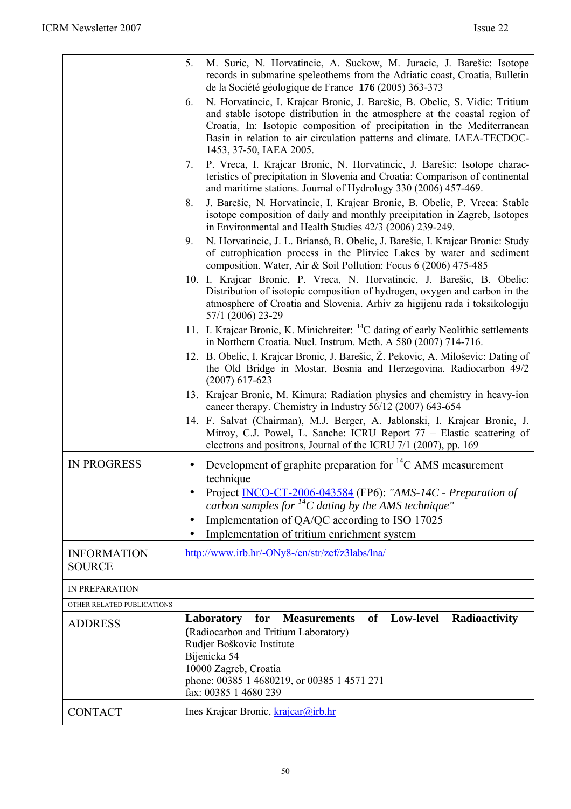|                                     | 5.<br>M. Suric, N. Horvatincic, A. Suckow, M. Juracic, J. Barešic: Isotope<br>records in submarine speleothems from the Adriatic coast, Croatia, Bulletin<br>de la Société géologique de France 176 (2005) 363-373                                                                                                                               |
|-------------------------------------|--------------------------------------------------------------------------------------------------------------------------------------------------------------------------------------------------------------------------------------------------------------------------------------------------------------------------------------------------|
|                                     | N. Horvatincic, I. Krajcar Bronic, J. Barešic, B. Obelic, S. Vidic: Tritium<br>6.<br>and stable isotope distribution in the atmosphere at the coastal region of<br>Croatia, In: Isotopic composition of precipitation in the Mediterranean<br>Basin in relation to air circulation patterns and climate. IAEA-TECDOC-<br>1453, 37-50, IAEA 2005. |
|                                     | P. Vreca, I. Krajcar Bronic, N. Horvatincic, J. Barešic: Isotope charac-<br>7.<br>teristics of precipitation in Slovenia and Croatia: Comparison of continental<br>and maritime stations. Journal of Hydrology 330 (2006) 457-469.                                                                                                               |
|                                     | J. Barešic, N. Horvatincic, I. Krajcar Bronic, B. Obelic, P. Vreca: Stable<br>8.<br>isotope composition of daily and monthly precipitation in Zagreb, Isotopes<br>in Environmental and Health Studies 42/3 (2006) 239-249.                                                                                                                       |
|                                     | N. Horvatincic, J. L. Briansó, B. Obelic, J. Barešic, I. Krajcar Bronic: Study<br>9.<br>of eutrophication process in the Plitvice Lakes by water and sediment<br>composition. Water, Air & Soil Pollution: Focus 6 (2006) 475-485                                                                                                                |
|                                     | 10. I. Krajcar Bronic, P. Vreca, N. Horvatincic, J. Barešic, B. Obelic:<br>Distribution of isotopic composition of hydrogen, oxygen and carbon in the<br>atmosphere of Croatia and Slovenia. Arhiv za higijenu rada i toksikologiju<br>57/1 (2006) 23-29                                                                                         |
|                                     | 11. I. Krajcar Bronic, K. Minichreiter: <sup>14</sup> C dating of early Neolithic settlements<br>in Northern Croatia. Nucl. Instrum. Meth. A 580 (2007) 714-716.                                                                                                                                                                                 |
|                                     | 12. B. Obelic, I. Krajcar Bronic, J. Barešic, Ž. Pekovic, A. Miloševic: Dating of<br>the Old Bridge in Mostar, Bosnia and Herzegovina. Radiocarbon 49/2<br>$(2007)$ 617-623                                                                                                                                                                      |
|                                     | 13. Krajcar Bronic, M. Kimura: Radiation physics and chemistry in heavy-ion<br>cancer therapy. Chemistry in Industry 56/12 (2007) 643-654                                                                                                                                                                                                        |
|                                     | 14. F. Salvat (Chairman), M.J. Berger, A. Jablonski, I. Krajcar Bronic, J.<br>Mitroy, C.J. Powel, L. Sanche: ICRU Report 77 – Elastic scattering of<br>electrons and positrons, Journal of the ICRU 7/1 (2007), pp. 169                                                                                                                          |
| <b>IN PROGRESS</b>                  | Development of graphite preparation for ${}^{14}C$ AMS measurement<br>technique                                                                                                                                                                                                                                                                  |
|                                     | Project INCO-CT-2006-043584 (FP6): "AMS-14C - Preparation of<br>$\bullet$                                                                                                                                                                                                                                                                        |
|                                     | carbon samples for ${}^{14}C$ dating by the AMS technique"<br>Implementation of QA/QC according to ISO 17025<br>$\bullet$                                                                                                                                                                                                                        |
|                                     | Implementation of tritium enrichment system                                                                                                                                                                                                                                                                                                      |
| <b>INFORMATION</b><br><b>SOURCE</b> | http://www.irb.hr/-ONy8-/en/str/zef/z3labs/lna/                                                                                                                                                                                                                                                                                                  |
| IN PREPARATION                      |                                                                                                                                                                                                                                                                                                                                                  |
| OTHER RELATED PUBLICATIONS          |                                                                                                                                                                                                                                                                                                                                                  |
| <b>ADDRESS</b>                      | for<br>of Low-level<br><b>Measurements</b><br>Radioactivity<br>Laboratory<br>(Radiocarbon and Tritium Laboratory)<br>Rudjer Boškovic Institute<br>Bijenicka 54<br>10000 Zagreb, Croatia<br>phone: 00385 1 4680219, or 00385 1 4571 271<br>fax: 00385 1 4680 239                                                                                  |
| <b>CONTACT</b>                      | Ines Krajcar Bronic, krajcar@irb.hr                                                                                                                                                                                                                                                                                                              |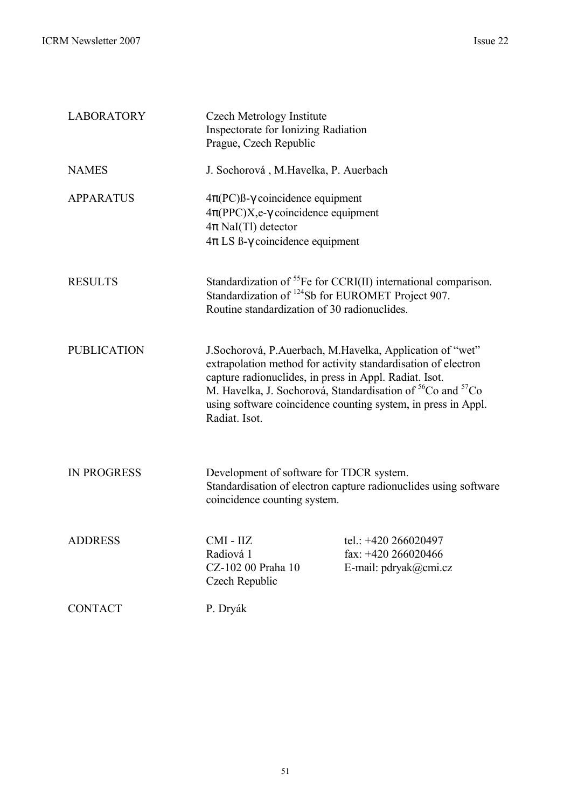| <b>LABORATORY</b>  | Czech Metrology Institute<br>Inspectorate for Ionizing Radiation<br>Prague, Czech Republic                                                                                                                                                                                                                                                                     |                                                                            |
|--------------------|----------------------------------------------------------------------------------------------------------------------------------------------------------------------------------------------------------------------------------------------------------------------------------------------------------------------------------------------------------------|----------------------------------------------------------------------------|
| <b>NAMES</b>       | J. Sochorová, M.Havelka, P. Auerbach                                                                                                                                                                                                                                                                                                                           |                                                                            |
| <b>APPARATUS</b>   | $4\pi (PC)$ B- $\gamma$ coincidence equipment<br>$4\pi (PPC)X,e-\gamma$ coincidence equipment<br>$4\pi$ NaI(Tl) detector<br>$4\pi$ LS B- $\gamma$ coincidence equipment                                                                                                                                                                                        |                                                                            |
| <b>RESULTS</b>     | Standardization of <sup>124</sup> Sb for EUROMET Project 907.<br>Routine standardization of 30 radionuclides.                                                                                                                                                                                                                                                  | Standardization of <sup>55</sup> Fe for CCRI(II) international comparison. |
| <b>PUBLICATION</b> | J. Sochorová, P. Auerbach, M. Havelka, Application of "wet"<br>extrapolation method for activity standardisation of electron<br>capture radionuclides, in press in Appl. Radiat. Isot.<br>M. Havelka, J. Sochorová, Standardisation of <sup>56</sup> Co and <sup>57</sup> Co<br>using software coincidence counting system, in press in Appl.<br>Radiat. Isot. |                                                                            |
| <b>IN PROGRESS</b> | Development of software for TDCR system.<br>coincidence counting system.                                                                                                                                                                                                                                                                                       | Standardisation of electron capture radionuclides using software           |
| <b>ADDRESS</b>     | $CMI - IIZ$<br>Radiová 1<br>CZ-102 00 Praha 10<br>Czech Republic                                                                                                                                                                                                                                                                                               | tel.: +420 266020497<br>fax: $+420$ 266020466<br>E-mail: pdryak@cmi.cz     |
| <b>CONTACT</b>     | P. Dryák                                                                                                                                                                                                                                                                                                                                                       |                                                                            |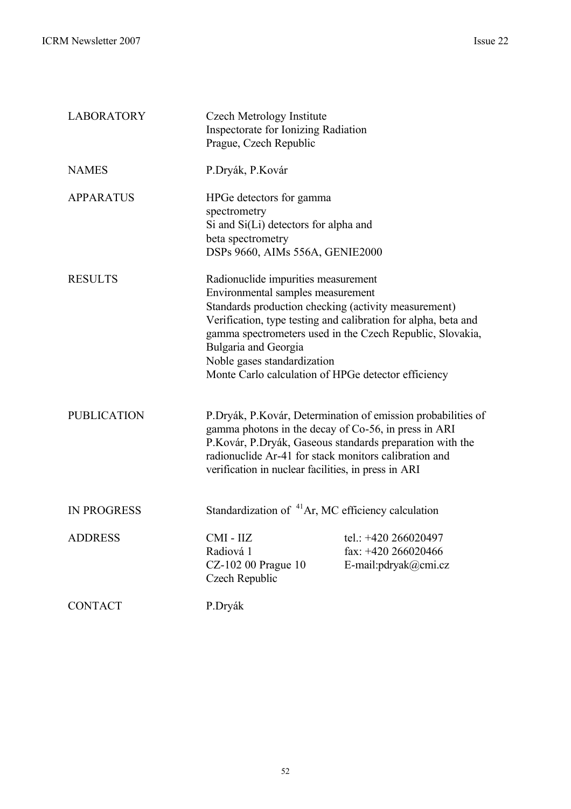| <b>LABORATORY</b>  | Czech Metrology Institute<br>Inspectorate for Ionizing Radiation<br>Prague, Czech Republic                                                                                                                                                     |                                                                                                                             |
|--------------------|------------------------------------------------------------------------------------------------------------------------------------------------------------------------------------------------------------------------------------------------|-----------------------------------------------------------------------------------------------------------------------------|
| <b>NAMES</b>       | P.Dryák, P.Kovár                                                                                                                                                                                                                               |                                                                                                                             |
| <b>APPARATUS</b>   | HPGe detectors for gamma<br>spectrometry<br>Si and Si(Li) detectors for alpha and<br>beta spectrometry<br>DSPs 9660, AIMs 556A, GENIE2000                                                                                                      |                                                                                                                             |
| <b>RESULTS</b>     | Radionuclide impurities measurement<br>Environmental samples measurement<br>Standards production checking (activity measurement)<br>Bulgaria and Georgia<br>Noble gases standardization<br>Monte Carlo calculation of HPGe detector efficiency | Verification, type testing and calibration for alpha, beta and<br>gamma spectrometers used in the Czech Republic, Slovakia, |
| <b>PUBLICATION</b> | gamma photons in the decay of Co-56, in press in ARI<br>radionuclide Ar-41 for stack monitors calibration and<br>verification in nuclear facilities, in press in ARI                                                                           | P.Dryák, P.Kovár, Determination of emission probabilities of<br>P.Kovár, P.Dryák, Gaseous standards preparation with the    |
| <b>IN PROGRESS</b> | Standardization of <sup>41</sup> Ar, MC efficiency calculation                                                                                                                                                                                 |                                                                                                                             |
| <b>ADDRESS</b>     | $CMI - IIZ$<br>Radiová 1<br>CZ-102 00 Prague 10<br>Czech Republic                                                                                                                                                                              | tel.: $+420\,266020497$<br>fax: $+420$ 266020466<br>E-mail:pdryak@cmi.cz                                                    |
| <b>CONTACT</b>     | P.Dryák                                                                                                                                                                                                                                        |                                                                                                                             |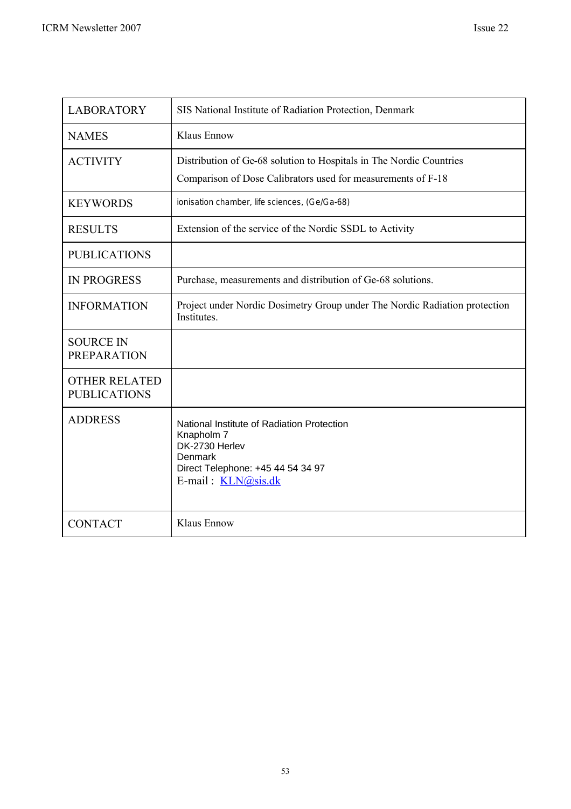| <b>LABORATORY</b>                           | SIS National Institute of Radiation Protection, Denmark                                                                                          |
|---------------------------------------------|--------------------------------------------------------------------------------------------------------------------------------------------------|
| <b>NAMES</b>                                | <b>Klaus Ennow</b>                                                                                                                               |
| <b>ACTIVITY</b>                             | Distribution of Ge-68 solution to Hospitals in The Nordic Countries<br>Comparison of Dose Calibrators used for measurements of F-18              |
| <b>KEYWORDS</b>                             | ionisation chamber, life sciences, (Ge/Ga-68)                                                                                                    |
| <b>RESULTS</b>                              | Extension of the service of the Nordic SSDL to Activity                                                                                          |
| <b>PUBLICATIONS</b>                         |                                                                                                                                                  |
| <b>IN PROGRESS</b>                          | Purchase, measurements and distribution of Ge-68 solutions.                                                                                      |
| <b>INFORMATION</b>                          | Project under Nordic Dosimetry Group under The Nordic Radiation protection<br>Institutes.                                                        |
| <b>SOURCE IN</b><br><b>PREPARATION</b>      |                                                                                                                                                  |
| <b>OTHER RELATED</b><br><b>PUBLICATIONS</b> |                                                                                                                                                  |
| <b>ADDRESS</b>                              | National Institute of Radiation Protection<br>Knapholm 7<br>DK-2730 Herlev<br>Denmark<br>Direct Telephone: +45 44 54 34 97<br>E-mail: KLN@sis.dk |
| <b>CONTACT</b>                              | <b>Klaus Ennow</b>                                                                                                                               |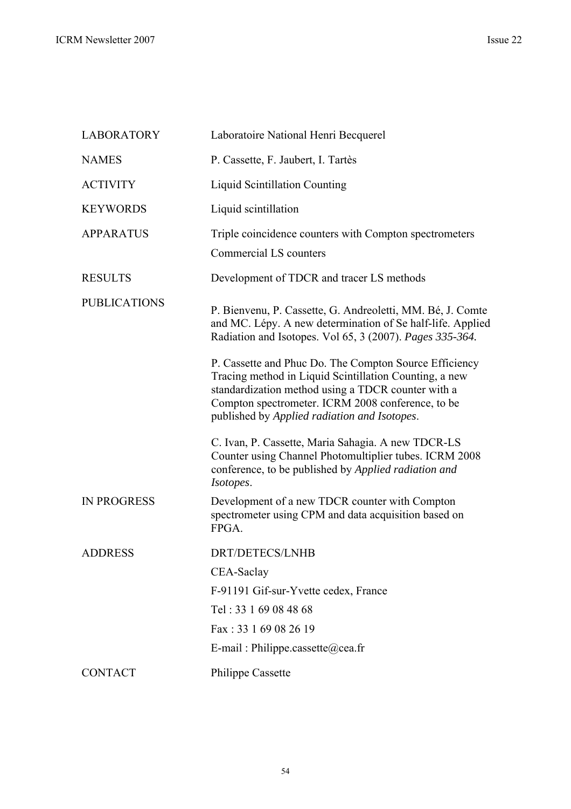| <b>LABORATORY</b>   | Laboratoire National Henri Becquerel                                                                                                                                                                                                                                        |
|---------------------|-----------------------------------------------------------------------------------------------------------------------------------------------------------------------------------------------------------------------------------------------------------------------------|
| <b>NAMES</b>        | P. Cassette, F. Jaubert, I. Tartès                                                                                                                                                                                                                                          |
| <b>ACTIVITY</b>     | <b>Liquid Scintillation Counting</b>                                                                                                                                                                                                                                        |
| <b>KEYWORDS</b>     | Liquid scintillation                                                                                                                                                                                                                                                        |
| <b>APPARATUS</b>    | Triple coincidence counters with Compton spectrometers<br><b>Commercial LS counters</b>                                                                                                                                                                                     |
| <b>RESULTS</b>      | Development of TDCR and tracer LS methods                                                                                                                                                                                                                                   |
| <b>PUBLICATIONS</b> | P. Bienvenu, P. Cassette, G. Andreoletti, MM. Bé, J. Comte<br>and MC. Lépy. A new determination of Se half-life. Applied<br>Radiation and Isotopes. Vol 65, 3 (2007). Pages 335-364.                                                                                        |
|                     | P. Cassette and Phuc Do. The Compton Source Efficiency<br>Tracing method in Liquid Scintillation Counting, a new<br>standardization method using a TDCR counter with a<br>Compton spectrometer. ICRM 2008 conference, to be<br>published by Applied radiation and Isotopes. |
|                     | C. Ivan, P. Cassette, Maria Sahagia. A new TDCR-LS<br>Counter using Channel Photomultiplier tubes. ICRM 2008<br>conference, to be published by Applied radiation and<br>Isotopes.                                                                                           |
| <b>IN PROGRESS</b>  | Development of a new TDCR counter with Compton<br>spectrometer using CPM and data acquisition based on<br>FPGA.                                                                                                                                                             |
| <b>ADDRESS</b>      | DRT/DETECS/LNHB                                                                                                                                                                                                                                                             |
|                     | CEA-Saclay                                                                                                                                                                                                                                                                  |
|                     | F-91191 Gif-sur-Yvette cedex, France                                                                                                                                                                                                                                        |
|                     | Tel: 33 1 69 08 48 68                                                                                                                                                                                                                                                       |
|                     | Fax: 33 1 69 08 26 19                                                                                                                                                                                                                                                       |
|                     | E-mail: Philippe.cassette@cea.fr                                                                                                                                                                                                                                            |
| <b>CONTACT</b>      | Philippe Cassette                                                                                                                                                                                                                                                           |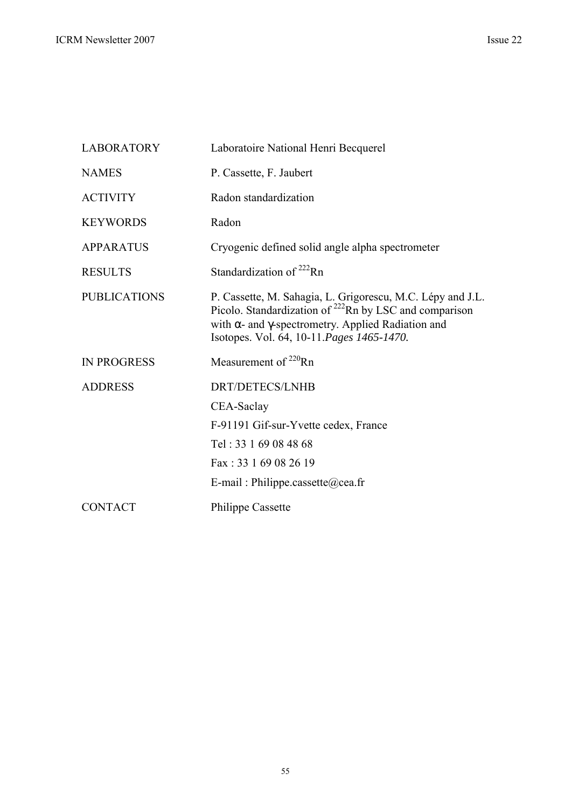| <b>LABORATORY</b>   | Laboratoire National Henri Becquerel                                                                                                                                                                                                |
|---------------------|-------------------------------------------------------------------------------------------------------------------------------------------------------------------------------------------------------------------------------------|
| <b>NAMES</b>        | P. Cassette, F. Jaubert                                                                                                                                                                                                             |
| <b>ACTIVITY</b>     | Radon standardization                                                                                                                                                                                                               |
| <b>KEYWORDS</b>     | Radon                                                                                                                                                                                                                               |
| <b>APPARATUS</b>    | Cryogenic defined solid angle alpha spectrometer                                                                                                                                                                                    |
| <b>RESULTS</b>      | Standardization of $^{222}$ Rn                                                                                                                                                                                                      |
| <b>PUBLICATIONS</b> | P. Cassette, M. Sahagia, L. Grigorescu, M.C. Lépy and J.L.<br>Picolo. Standardization of <sup>222</sup> Rn by LSC and comparison<br>with a- and g-spectrometry. Applied Radiation and<br>Isotopes. Vol. 64, 10-11. Pages 1465-1470. |
| <b>IN PROGRESS</b>  | Measurement of <sup>220</sup> Rn                                                                                                                                                                                                    |
| <b>ADDRESS</b>      | <b>DRT/DETECS/LNHB</b>                                                                                                                                                                                                              |
|                     | CEA-Saclay                                                                                                                                                                                                                          |
|                     | F-91191 Gif-sur-Yvette cedex, France                                                                                                                                                                                                |
|                     | Tel: 33 1 69 08 48 68                                                                                                                                                                                                               |
|                     | Fax: 33 1 69 08 26 19                                                                                                                                                                                                               |
|                     | E-mail: Philippe.cassette@cea.fr                                                                                                                                                                                                    |
| <b>CONTACT</b>      | <b>Philippe Cassette</b>                                                                                                                                                                                                            |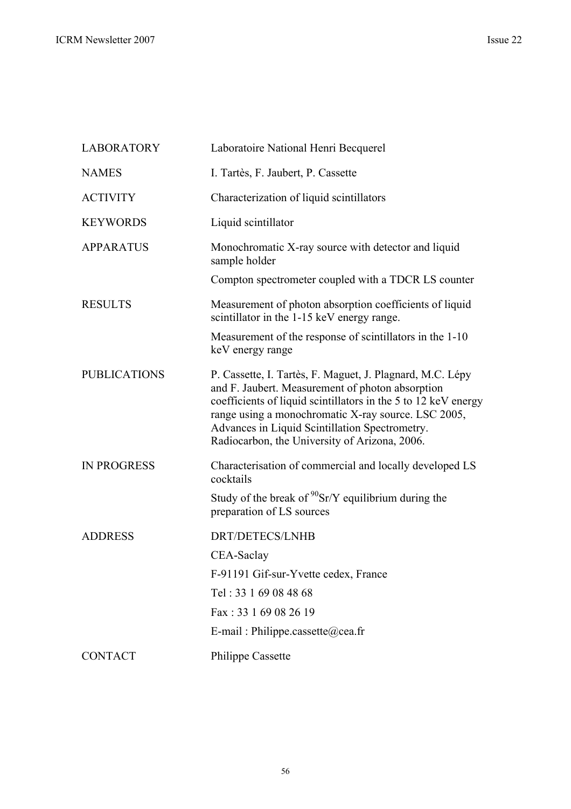| <b>LABORATORY</b>   | Laboratoire National Henri Becquerel                                                                                                                                                                                                                                                                                                      |
|---------------------|-------------------------------------------------------------------------------------------------------------------------------------------------------------------------------------------------------------------------------------------------------------------------------------------------------------------------------------------|
| <b>NAMES</b>        | I. Tartès, F. Jaubert, P. Cassette                                                                                                                                                                                                                                                                                                        |
| <b>ACTIVITY</b>     | Characterization of liquid scintillators                                                                                                                                                                                                                                                                                                  |
| <b>KEYWORDS</b>     | Liquid scintillator                                                                                                                                                                                                                                                                                                                       |
| <b>APPARATUS</b>    | Monochromatic X-ray source with detector and liquid<br>sample holder                                                                                                                                                                                                                                                                      |
|                     | Compton spectrometer coupled with a TDCR LS counter                                                                                                                                                                                                                                                                                       |
| <b>RESULTS</b>      | Measurement of photon absorption coefficients of liquid<br>scintillator in the 1-15 keV energy range.                                                                                                                                                                                                                                     |
|                     | Measurement of the response of scintillators in the 1-10<br>keV energy range                                                                                                                                                                                                                                                              |
| <b>PUBLICATIONS</b> | P. Cassette, I. Tartès, F. Maguet, J. Plagnard, M.C. Lépy<br>and F. Jaubert. Measurement of photon absorption<br>coefficients of liquid scintillators in the 5 to 12 keV energy<br>range using a monochromatic X-ray source. LSC 2005,<br>Advances in Liquid Scintillation Spectrometry.<br>Radiocarbon, the University of Arizona, 2006. |
| <b>IN PROGRESS</b>  | Characterisation of commercial and locally developed LS<br>cocktails                                                                                                                                                                                                                                                                      |
|                     | Study of the break of <sup>90</sup> Sr/Y equilibrium during the<br>preparation of LS sources                                                                                                                                                                                                                                              |
| <b>ADDRESS</b>      | DRT/DETECS/LNHB                                                                                                                                                                                                                                                                                                                           |
|                     | CEA-Saclay                                                                                                                                                                                                                                                                                                                                |
|                     | F-91191 Gif-sur-Yvette cedex, France                                                                                                                                                                                                                                                                                                      |
|                     | Tel: 33 1 69 08 48 68                                                                                                                                                                                                                                                                                                                     |
|                     | Fax: 33 1 69 08 26 19                                                                                                                                                                                                                                                                                                                     |
|                     | E-mail: Philippe.cassette@cea.fr                                                                                                                                                                                                                                                                                                          |
| <b>CONTACT</b>      | Philippe Cassette                                                                                                                                                                                                                                                                                                                         |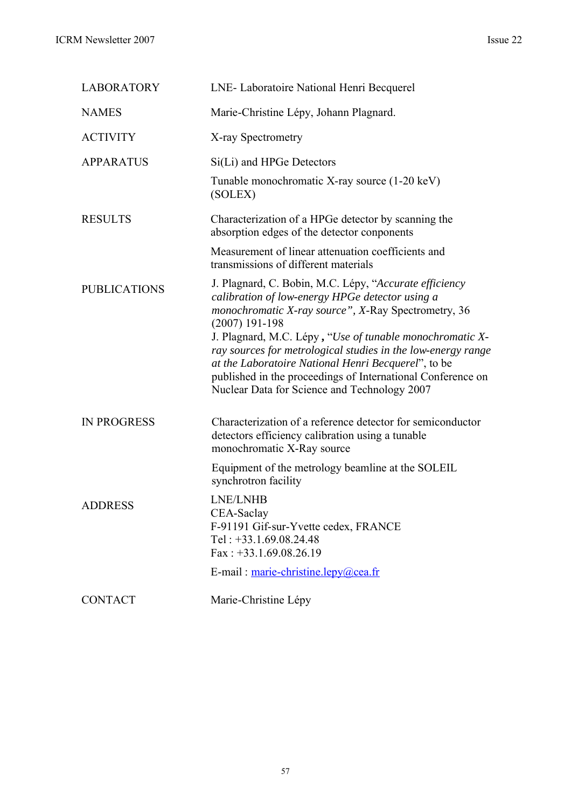| <b>LABORATORY</b>   | LNE- Laboratoire National Henri Becquerel                                                                                                                                                                                                                                                                                                                                                                                                                                              |
|---------------------|----------------------------------------------------------------------------------------------------------------------------------------------------------------------------------------------------------------------------------------------------------------------------------------------------------------------------------------------------------------------------------------------------------------------------------------------------------------------------------------|
| <b>NAMES</b>        | Marie-Christine Lépy, Johann Plagnard.                                                                                                                                                                                                                                                                                                                                                                                                                                                 |
| <b>ACTIVITY</b>     | X-ray Spectrometry                                                                                                                                                                                                                                                                                                                                                                                                                                                                     |
| <b>APPARATUS</b>    | Si(Li) and HPGe Detectors                                                                                                                                                                                                                                                                                                                                                                                                                                                              |
|                     | Tunable monochromatic X-ray source (1-20 keV)<br>(SOLEX)                                                                                                                                                                                                                                                                                                                                                                                                                               |
| <b>RESULTS</b>      | Characterization of a HPGe detector by scanning the<br>absorption edges of the detector conponents                                                                                                                                                                                                                                                                                                                                                                                     |
|                     | Measurement of linear attenuation coefficients and<br>transmissions of different materials                                                                                                                                                                                                                                                                                                                                                                                             |
| <b>PUBLICATIONS</b> | J. Plagnard, C. Bobin, M.C. Lépy, "Accurate efficiency<br>calibration of low-energy HPGe detector using a<br>monochromatic X-ray source", X-Ray Spectrometry, 36<br>$(2007)$ 191-198<br>J. Plagnard, M.C. Lépy, "Use of tunable monochromatic X-<br>ray sources for metrological studies in the low-energy range<br>at the Laboratoire National Henri Becquerel", to be<br>published in the proceedings of International Conference on<br>Nuclear Data for Science and Technology 2007 |
| <b>IN PROGRESS</b>  | Characterization of a reference detector for semiconductor<br>detectors efficiency calibration using a tunable<br>monochromatic X-Ray source                                                                                                                                                                                                                                                                                                                                           |
|                     | Equipment of the metrology beamline at the SOLEIL<br>synchrotron facility                                                                                                                                                                                                                                                                                                                                                                                                              |
| <b>ADDRESS</b>      | LNE/LNHB<br>CEA-Saclay<br>F-91191 Gif-sur-Yvette cedex, FRANCE<br>Tel: $+33.1.69.08.24.48$<br>Fax: $+33.1.69.08.26.19$                                                                                                                                                                                                                                                                                                                                                                 |
|                     | E-mail: marie-christine.lepy@cea.fr                                                                                                                                                                                                                                                                                                                                                                                                                                                    |
| <b>CONTACT</b>      | Marie-Christine Lépy                                                                                                                                                                                                                                                                                                                                                                                                                                                                   |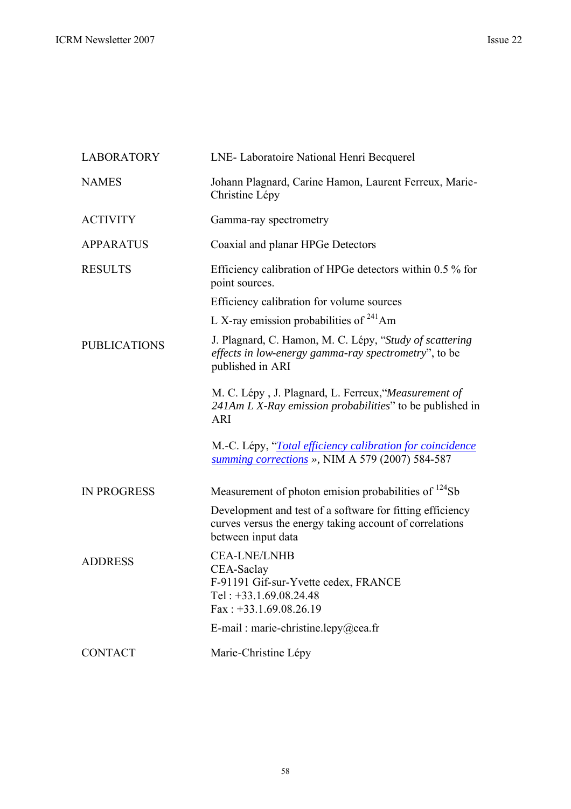| <b>LABORATORY</b>   | LNE- Laboratoire National Henri Becquerel                                                                                                   |
|---------------------|---------------------------------------------------------------------------------------------------------------------------------------------|
| <b>NAMES</b>        | Johann Plagnard, Carine Hamon, Laurent Ferreux, Marie-<br>Christine Lépy                                                                    |
| <b>ACTIVITY</b>     | Gamma-ray spectrometry                                                                                                                      |
| <b>APPARATUS</b>    | Coaxial and planar HPGe Detectors                                                                                                           |
| <b>RESULTS</b>      | Efficiency calibration of HPGe detectors within $0.5\%$ for<br>point sources.                                                               |
|                     | Efficiency calibration for volume sources                                                                                                   |
|                     | L X-ray emission probabilities of $^{241}$ Am                                                                                               |
| <b>PUBLICATIONS</b> | J. Plagnard, C. Hamon, M. C. Lépy, "Study of scattering<br><i>effects in low-energy gamma-ray spectrometry</i> ", to be<br>published in ARI |
|                     | M. C. Lépy, J. Plagnard, L. Ferreux, "Measurement of<br>241Am L X-Ray emission probabilities" to be published in<br><b>ARI</b>              |
|                     | M.-C. Lépy, "Total efficiency calibration for coincidence<br>summing corrections », NIM A 579 (2007) 584-587                                |
| <b>IN PROGRESS</b>  | Measurement of photon emision probabilities of <sup>124</sup> Sb                                                                            |
|                     | Development and test of a software for fitting efficiency<br>curves versus the energy taking account of correlations<br>between input data  |
| <b>ADDRESS</b>      | <b>CEA-LNE/LNHB</b><br>CEA-Saclay<br>F-91191 Gif-sur-Yvette cedex, FRANCE<br>Tel: $+33.1.69.08.24.48$<br>$Fax: +33.1.69.08.26.19$           |
|                     | E-mail: marie-christine.lepy@cea.fr                                                                                                         |
| <b>CONTACT</b>      | Marie-Christine Lépy                                                                                                                        |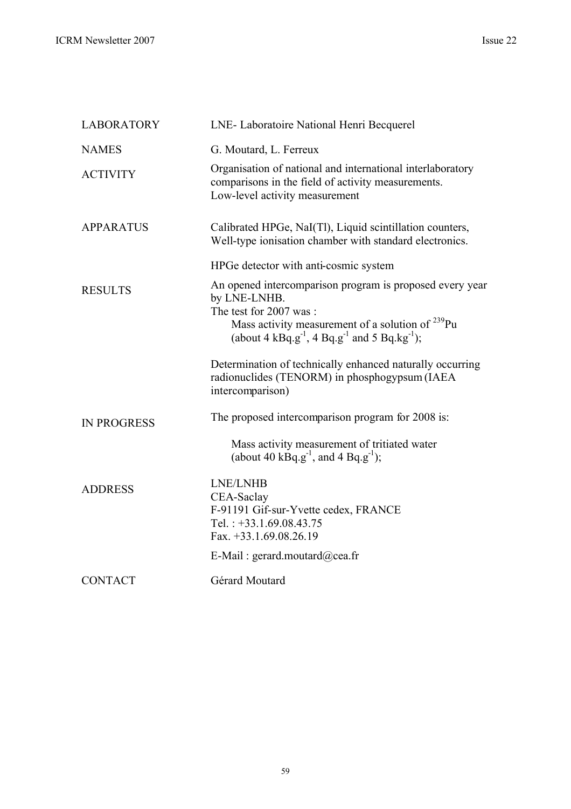| <b>LABORATORY</b>  | LNE- Laboratoire National Henri Becquerel                                                                                                                                                                                         |
|--------------------|-----------------------------------------------------------------------------------------------------------------------------------------------------------------------------------------------------------------------------------|
| <b>NAMES</b>       | G. Moutard, L. Ferreux                                                                                                                                                                                                            |
| <b>ACTIVITY</b>    | Organisation of national and international interlaboratory<br>comparisons in the field of activity measurements.<br>Low-level activity measurement                                                                                |
| <b>APPARATUS</b>   | Calibrated HPGe, NaI(Tl), Liquid scintillation counters,<br>Well-type ionisation chamber with standard electronics.                                                                                                               |
|                    | HPGe detector with anti-cosmic system                                                                                                                                                                                             |
| <b>RESULTS</b>     | An opened intercomparison program is proposed every year<br>by LNE-LNHB.<br>The test for 2007 was:<br>Mass activity measurement of a solution of <sup>239</sup> Pu<br>(about 4 $kBq.g^{-1}$ , 4 $Bq.g^{-1}$ and 5 $Bq.kg^{-1}$ ); |
|                    | Determination of technically enhanced naturally occurring<br>radionuclides (TENORM) in phosphogypsum (IAEA<br>intercomparison)                                                                                                    |
| <b>IN PROGRESS</b> | The proposed intercomparison program for 2008 is:                                                                                                                                                                                 |
|                    | Mass activity measurement of tritiated water<br>(about 40 $kBq.g^{-1}$ , and 4 $Bq.g^{-1}$ );                                                                                                                                     |
| <b>ADDRESS</b>     | <b>LNE/LNHB</b><br>CEA-Saclay<br>F-91191 Gif-sur-Yvette cedex, FRANCE<br>Tel.: $+33.1.69.08.43.75$<br>Fax. $+33.1.69.08.26.19$<br>E-Mail: gerard.moutard@cea.fr                                                                   |
| <b>CONTACT</b>     | Gérard Moutard                                                                                                                                                                                                                    |
|                    |                                                                                                                                                                                                                                   |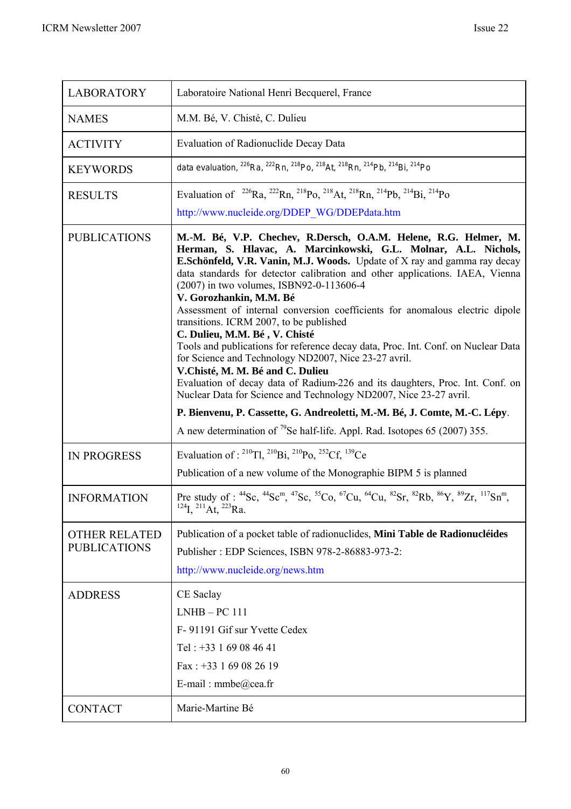| <b>LABORATORY</b>                           | Laboratoire National Henri Becquerel, France                                                                                                                                                                                                                                                                                                                                                                                                                                                                                                                                                                                                                                                                                                                                                                                                                                    |
|---------------------------------------------|---------------------------------------------------------------------------------------------------------------------------------------------------------------------------------------------------------------------------------------------------------------------------------------------------------------------------------------------------------------------------------------------------------------------------------------------------------------------------------------------------------------------------------------------------------------------------------------------------------------------------------------------------------------------------------------------------------------------------------------------------------------------------------------------------------------------------------------------------------------------------------|
| <b>NAMES</b>                                | M.M. Bé, V. Chisté, C. Dulieu                                                                                                                                                                                                                                                                                                                                                                                                                                                                                                                                                                                                                                                                                                                                                                                                                                                   |
| <b>ACTIVITY</b>                             | Evaluation of Radionuclide Decay Data                                                                                                                                                                                                                                                                                                                                                                                                                                                                                                                                                                                                                                                                                                                                                                                                                                           |
| <b>KEYWORDS</b>                             | data evaluation, 226Ra, 222Rn, 218Po, 218Rh, 218Rn, 214Pb, 214Bi, 214Po                                                                                                                                                                                                                                                                                                                                                                                                                                                                                                                                                                                                                                                                                                                                                                                                         |
| <b>RESULTS</b>                              | Evaluation of $^{226}Ra$ , $^{222}Rn$ , $^{218}Po$ , $^{218}At$ , $^{218}Rn$ , $^{214}Pb$ , $^{214}Bi$ , $^{214}Po$                                                                                                                                                                                                                                                                                                                                                                                                                                                                                                                                                                                                                                                                                                                                                             |
|                                             | http://www.nucleide.org/DDEP WG/DDEPdata.htm                                                                                                                                                                                                                                                                                                                                                                                                                                                                                                                                                                                                                                                                                                                                                                                                                                    |
| <b>PUBLICATIONS</b>                         | M.-M. Bé, V.P. Chechev, R.Dersch, O.A.M. Helene, R.G. Helmer, M.<br>Herman, S. Hlavac, A. Marcinkowski, G.L. Molnar, A.L. Nichols,<br><b>E.Schönfeld, V.R. Vanin, M.J. Woods.</b> Update of X ray and gamma ray decay<br>data standards for detector calibration and other applications. IAEA, Vienna<br>(2007) in two volumes, ISBN92-0-113606-4<br>V. Gorozhankin, M.M. Bé<br>Assessment of internal conversion coefficients for anomalous electric dipole<br>transitions. ICRM 2007, to be published<br>C. Dulieu, M.M. Bé, V. Chisté<br>Tools and publications for reference decay data, Proc. Int. Conf. on Nuclear Data<br>for Science and Technology ND2007, Nice 23-27 avril.<br>V.Chisté, M. M. Bé and C. Dulieu<br>Evaluation of decay data of Radium-226 and its daughters, Proc. Int. Conf. on<br>Nuclear Data for Science and Technology ND2007, Nice 23-27 avril. |
|                                             |                                                                                                                                                                                                                                                                                                                                                                                                                                                                                                                                                                                                                                                                                                                                                                                                                                                                                 |
|                                             | P. Bienvenu, P. Cassette, G. Andreoletti, M.-M. Bé, J. Comte, M.-C. Lépy.                                                                                                                                                                                                                                                                                                                                                                                                                                                                                                                                                                                                                                                                                                                                                                                                       |
|                                             | A new determination of $^{79}$ Se half-life. Appl. Rad. Isotopes 65 (2007) 355.                                                                                                                                                                                                                                                                                                                                                                                                                                                                                                                                                                                                                                                                                                                                                                                                 |
| <b>IN PROGRESS</b>                          | Evaluation of : <sup>210</sup> Tl, <sup>210</sup> Bi, <sup>210</sup> Po, <sup>252</sup> Cf, <sup>139</sup> Ce                                                                                                                                                                                                                                                                                                                                                                                                                                                                                                                                                                                                                                                                                                                                                                   |
|                                             | Publication of a new volume of the Monographie BIPM 5 is planned                                                                                                                                                                                                                                                                                                                                                                                                                                                                                                                                                                                                                                                                                                                                                                                                                |
| <b>INFORMATION</b>                          | Pre study of : <sup>44</sup> Sc, <sup>44</sup> Sc <sup>m</sup> , <sup>47</sup> Sc, <sup>55</sup> Co, <sup>67</sup> Cu, <sup>64</sup> Cu, <sup>82</sup> Sr, <sup>82</sup> Rb, <sup>86</sup> Y, <sup>89</sup> Zr, <sup>117</sup> Sn <sup>m</sup> ,<br>$^{124}$ I, $^{211}$ At, $^{223}$ Ra.                                                                                                                                                                                                                                                                                                                                                                                                                                                                                                                                                                                       |
| <b>OTHER RELATED</b><br><b>PUBLICATIONS</b> | Publication of a pocket table of radionuclides, Mini Table de Radionucléides<br>Publisher: EDP Sciences, ISBN 978-2-86883-973-2:<br>http://www.nucleide.org/news.htm                                                                                                                                                                                                                                                                                                                                                                                                                                                                                                                                                                                                                                                                                                            |
| <b>ADDRESS</b>                              | CE Saclay<br>$LNHB-PC111$<br>F-91191 Gif sur Yvette Cedex<br>Tel: $+33$ 1 69 08 46 41<br>Fax: +33 1 69 08 26 19<br>E-mail: mmbe@cea.fr                                                                                                                                                                                                                                                                                                                                                                                                                                                                                                                                                                                                                                                                                                                                          |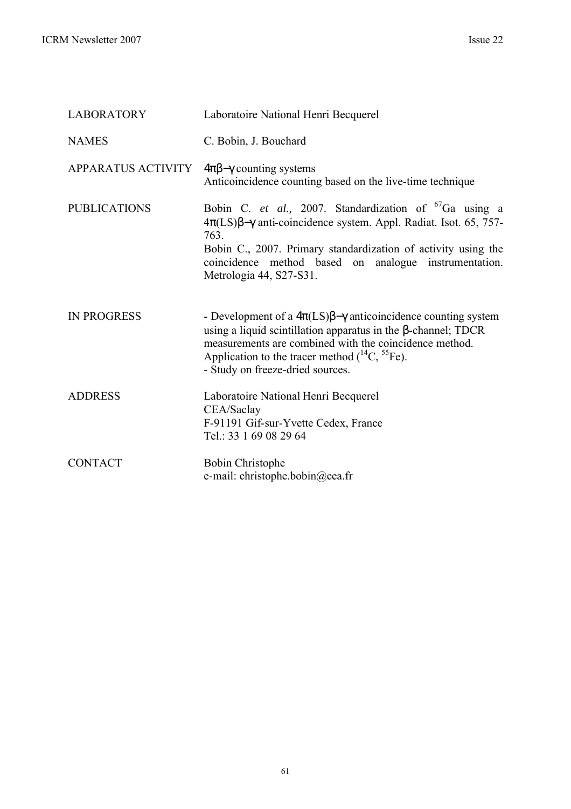| <b>LABORATORY</b>         | Laboratoire National Henri Becquerel                                                                                                                                                                                                                                                                              |
|---------------------------|-------------------------------------------------------------------------------------------------------------------------------------------------------------------------------------------------------------------------------------------------------------------------------------------------------------------|
| <b>NAMES</b>              | C. Bobin, J. Bouchard                                                                                                                                                                                                                                                                                             |
| <b>APPARATUS ACTIVITY</b> | $4\pi\beta-\gamma$ counting systems<br>Anticoincidence counting based on the live-time technique                                                                                                                                                                                                                  |
| <b>PUBLICATIONS</b>       | Bobin C. et al., 2007. Standardization of ${}^{67}$ Ga using a<br>4π(LS)β-γ anti-coincidence system. Appl. Radiat. Isot. 65, 757-<br>763.<br>Bobin C., 2007. Primary standardization of activity using the<br>coincidence method based on analogue instrumentation.<br>Metrologia 44, S27-S31.                    |
| <b>IN PROGRESS</b>        | - Development of a $4\pi$ (LS) $\beta$ - $\gamma$ anticoincidence counting system<br>using a liquid scintillation apparatus in the $\beta$ -channel; TDCR<br>measurements are combined with the coincidence method.<br>Application to the tracer method $(^{14}C, ^{55}Fe)$ .<br>- Study on freeze-dried sources. |
| <b>ADDRESS</b>            | Laboratoire National Henri Becquerel<br>CEA/Saclay<br>F-91191 Gif-sur-Yvette Cedex, France<br>Tel.: 33 1 69 08 29 64                                                                                                                                                                                              |
| <b>CONTACT</b>            | <b>Bobin Christophe</b><br>e-mail: christophe.bobin@cea.fr                                                                                                                                                                                                                                                        |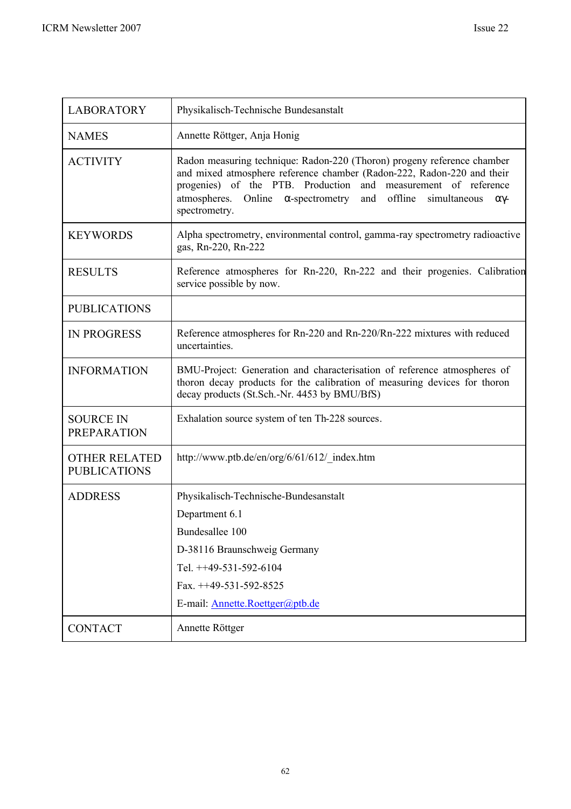| <b>LABORATORY</b>                           | Physikalisch-Technische Bundesanstalt                                                                                                                                                                                                                                                                                   |
|---------------------------------------------|-------------------------------------------------------------------------------------------------------------------------------------------------------------------------------------------------------------------------------------------------------------------------------------------------------------------------|
| <b>NAMES</b>                                | Annette Röttger, Anja Honig                                                                                                                                                                                                                                                                                             |
| <b>ACTIVITY</b>                             | Radon measuring technique: Radon-220 (Thoron) progeny reference chamber<br>and mixed atmosphere reference chamber (Radon-222, Radon-220 and their<br>progenies) of the PTB. Production and measurement of reference<br>atmospheres. Online $\alpha$ -spectrometry<br>and offline simultaneous<br>$αγ-$<br>spectrometry. |
| <b>KEYWORDS</b>                             | Alpha spectrometry, environmental control, gamma-ray spectrometry radioactive<br>gas, Rn-220, Rn-222                                                                                                                                                                                                                    |
| <b>RESULTS</b>                              | Reference atmospheres for Rn-220, Rn-222 and their progenies. Calibration<br>service possible by now.                                                                                                                                                                                                                   |
| <b>PUBLICATIONS</b>                         |                                                                                                                                                                                                                                                                                                                         |
| <b>IN PROGRESS</b>                          | Reference atmospheres for Rn-220 and Rn-220/Rn-222 mixtures with reduced<br>uncertainties.                                                                                                                                                                                                                              |
| <b>INFORMATION</b>                          | BMU-Project: Generation and characterisation of reference atmospheres of<br>thoron decay products for the calibration of measuring devices for thoron<br>decay products (St.Sch.-Nr. 4453 by BMU/BfS)                                                                                                                   |
| <b>SOURCE IN</b><br><b>PREPARATION</b>      | Exhalation source system of ten Th-228 sources.                                                                                                                                                                                                                                                                         |
| <b>OTHER RELATED</b><br><b>PUBLICATIONS</b> | http://www.ptb.de/en/org/6/61/612/ index.htm                                                                                                                                                                                                                                                                            |
| <b>ADDRESS</b>                              | Physikalisch-Technische-Bundesanstalt                                                                                                                                                                                                                                                                                   |
|                                             | Department 6.1                                                                                                                                                                                                                                                                                                          |
|                                             | Bundesallee 100                                                                                                                                                                                                                                                                                                         |
|                                             | D-38116 Braunschweig Germany                                                                                                                                                                                                                                                                                            |
|                                             | Tel. $++49-531-592-6104$                                                                                                                                                                                                                                                                                                |
|                                             | Fax. $++49-531-592-8525$                                                                                                                                                                                                                                                                                                |
|                                             | E-mail: <b>Annette.Roettger@ptb.de</b>                                                                                                                                                                                                                                                                                  |
| <b>CONTACT</b>                              | Annette Röttger                                                                                                                                                                                                                                                                                                         |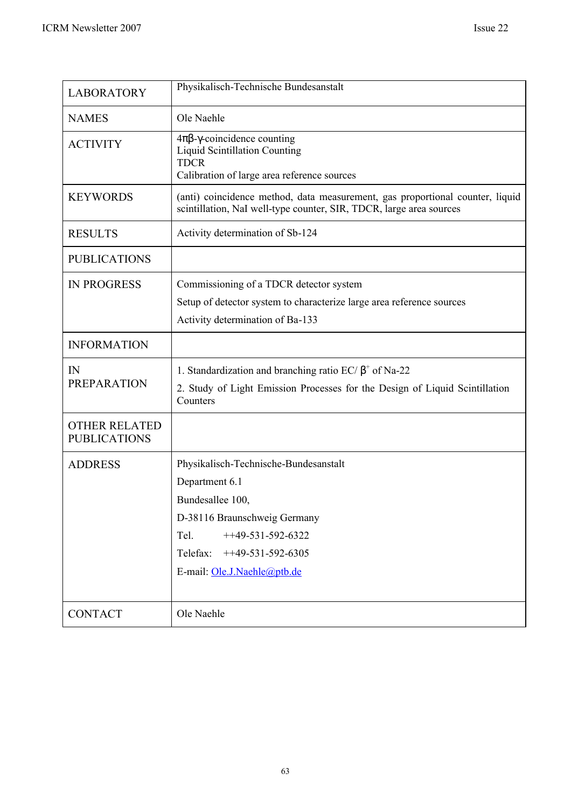| <b>LABORATORY</b>                           | Physikalisch-Technische Bundesanstalt                                                                                                                                                                        |
|---------------------------------------------|--------------------------------------------------------------------------------------------------------------------------------------------------------------------------------------------------------------|
| <b>NAMES</b>                                | Ole Naehle                                                                                                                                                                                                   |
| <b>ACTIVITY</b>                             | $4\pi\beta$ - $\gamma$ -coincidence counting<br><b>Liquid Scintillation Counting</b><br><b>TDCR</b><br>Calibration of large area reference sources                                                           |
| <b>KEYWORDS</b>                             | (anti) coincidence method, data measurement, gas proportional counter, liquid<br>scintillation, NaI well-type counter, SIR, TDCR, large area sources                                                         |
| <b>RESULTS</b>                              | Activity determination of Sb-124                                                                                                                                                                             |
| <b>PUBLICATIONS</b>                         |                                                                                                                                                                                                              |
| <b>IN PROGRESS</b>                          | Commissioning of a TDCR detector system<br>Setup of detector system to characterize large area reference sources<br>Activity determination of Ba-133                                                         |
| <b>INFORMATION</b>                          |                                                                                                                                                                                                              |
| IN<br><b>PREPARATION</b>                    | 1. Standardization and branching ratio EC/ $\beta^+$ of Na-22<br>2. Study of Light Emission Processes for the Design of Liquid Scintillation<br>Counters                                                     |
| <b>OTHER RELATED</b><br><b>PUBLICATIONS</b> |                                                                                                                                                                                                              |
| <b>ADDRESS</b>                              | Physikalisch-Technische-Bundesanstalt<br>Department 6.1<br>Bundesallee 100,<br>D-38116 Braunschweig Germany<br>$++49-531-592-6322$<br>Tel.<br>Telefax:<br>$++49-531-592-6305$<br>E-mail: Ole.J.Naehle@ptb.de |
| <b>CONTACT</b>                              | Ole Naehle                                                                                                                                                                                                   |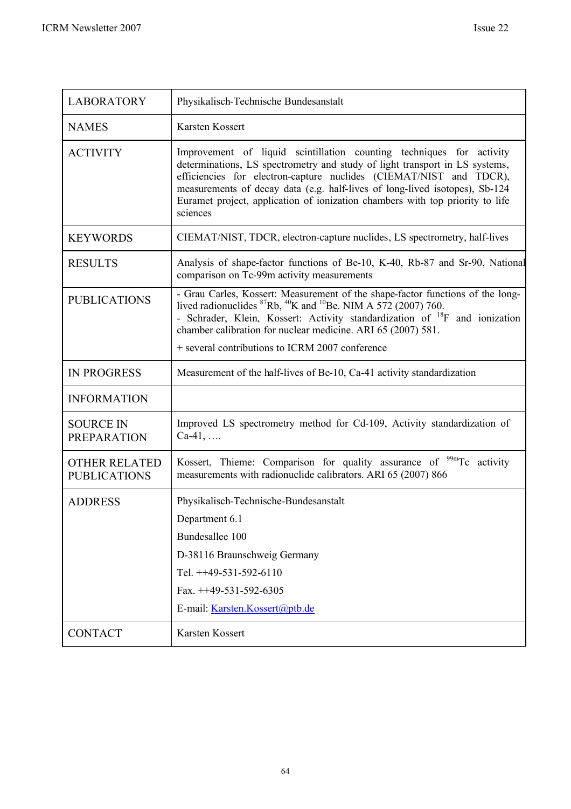| <b>LABORATORY</b>                           | Physikalisch-Technische Bundesanstalt                                                                                                                                                                                                                                                                                                                                                                 |
|---------------------------------------------|-------------------------------------------------------------------------------------------------------------------------------------------------------------------------------------------------------------------------------------------------------------------------------------------------------------------------------------------------------------------------------------------------------|
| <b>NAMES</b>                                | Karsten Kossert                                                                                                                                                                                                                                                                                                                                                                                       |
| <b>ACTIVITY</b>                             | Improvement of liquid scintillation counting techniques for activity<br>determinations, LS spectrometry and study of light transport in LS systems,<br>efficiencies for electron-capture nuclides (CIEMAT/NIST and TDCR),<br>measurements of decay data (e.g. half-lives of long-lived isotopes), Sb-124<br>Euramet project, application of ionization chambers with top priority to life<br>sciences |
| <b>KEYWORDS</b>                             | CIEMAT/NIST, TDCR, electron-capture nuclides, LS spectrometry, half-lives                                                                                                                                                                                                                                                                                                                             |
| <b>RESULTS</b>                              | Analysis of shape-factor functions of Be-10, K-40, Rb-87 and Sr-90, National<br>comparison on Tc-99m activity measurements                                                                                                                                                                                                                                                                            |
| <b>PUBLICATIONS</b>                         | - Grau Carles, Kossert: Measurement of the shape-factor functions of the long-<br>lived radionuclides ${}^{87}Rb$ , ${}^{40}K$ and ${}^{10}Be$ . NIM A 572 (2007) 760.<br>- Schrader, Klein, Kossert: Activity standardization of <sup>18</sup> F and ionization<br>chamber calibration for nuclear medicine. ARI 65 (2007) 581.                                                                      |
|                                             | + several contributions to ICRM 2007 conference                                                                                                                                                                                                                                                                                                                                                       |
| <b>IN PROGRESS</b>                          | Measurement of the half-lives of Be-10, Ca-41 activity standardization                                                                                                                                                                                                                                                                                                                                |
| <b>INFORMATION</b>                          |                                                                                                                                                                                                                                                                                                                                                                                                       |
| <b>SOURCE IN</b><br><b>PREPARATION</b>      | Improved LS spectrometry method for Cd-109, Activity standardization of<br>$Ca-41, \ldots$                                                                                                                                                                                                                                                                                                            |
| <b>OTHER RELATED</b><br><b>PUBLICATIONS</b> | Kossert, Thieme: Comparison for quality assurance of <sup>99m</sup> Tc<br>activity<br>measurements with radionuclide calibrators. ARI 65 (2007) 866                                                                                                                                                                                                                                                   |
| <b>ADDRESS</b>                              | Physikalisch-Technische-Bundesanstalt                                                                                                                                                                                                                                                                                                                                                                 |
|                                             | Department 6.1                                                                                                                                                                                                                                                                                                                                                                                        |
|                                             | Bundesallee 100                                                                                                                                                                                                                                                                                                                                                                                       |
|                                             | D-38116 Braunschweig Germany                                                                                                                                                                                                                                                                                                                                                                          |
|                                             | Tel. ++49-531-592-6110                                                                                                                                                                                                                                                                                                                                                                                |
|                                             | Fax. $++49-531-592-6305$                                                                                                                                                                                                                                                                                                                                                                              |
|                                             | E-mail: Karsten.Kossert@ptb.de                                                                                                                                                                                                                                                                                                                                                                        |
| <b>CONTACT</b>                              | <b>Karsten Kossert</b>                                                                                                                                                                                                                                                                                                                                                                                |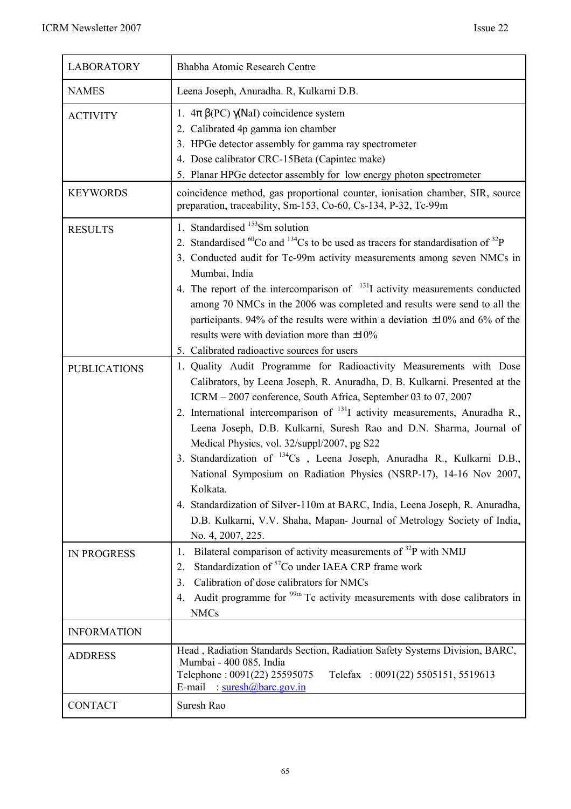| <b>LABORATORY</b>   | Bhabha Atomic Research Centre                                                                                                                                                                                                                                                                                                                                                                                                                                                                                                                                                                                                                                                                                                                                                                   |
|---------------------|-------------------------------------------------------------------------------------------------------------------------------------------------------------------------------------------------------------------------------------------------------------------------------------------------------------------------------------------------------------------------------------------------------------------------------------------------------------------------------------------------------------------------------------------------------------------------------------------------------------------------------------------------------------------------------------------------------------------------------------------------------------------------------------------------|
| <b>NAMES</b>        | Leena Joseph, Anuradha. R, Kulkarni D.B.                                                                                                                                                                                                                                                                                                                                                                                                                                                                                                                                                                                                                                                                                                                                                        |
| <b>ACTIVITY</b>     | 1. $4\pi \beta$ (PC) $\gamma$ (NaI) coincidence system<br>2. Calibrated 4p gamma ion chamber<br>3. HPGe detector assembly for gamma ray spectrometer<br>4. Dose calibrator CRC-15Beta (Capintec make)<br>5. Planar HPGe detector assembly for low energy photon spectrometer                                                                                                                                                                                                                                                                                                                                                                                                                                                                                                                    |
| <b>KEYWORDS</b>     | coincidence method, gas proportional counter, ionisation chamber, SIR, source<br>preparation, traceability, Sm-153, Co-60, Cs-134, P-32, Tc-99m                                                                                                                                                                                                                                                                                                                                                                                                                                                                                                                                                                                                                                                 |
| <b>RESULTS</b>      | 1. Standardised <sup>153</sup> Sm solution<br>2. Standardised ${}^{60}Co$ and ${}^{134}Cs$ to be used as tracers for standardisation of ${}^{32}P$<br>3. Conducted audit for Tc-99m activity measurements among seven NMCs in<br>Mumbai, India<br>4. The report of the intercomparison of <sup>131</sup> I activity measurements conducted<br>among 70 NMCs in the 2006 was completed and results were send to all the<br>participants. 94% of the results were within a deviation $\pm 10\%$ and 6% of the<br>results were with deviation more than $\pm 10\%$<br>5. Calibrated radioactive sources for users                                                                                                                                                                                  |
| <b>PUBLICATIONS</b> | 1. Quality Audit Programme for Radioactivity Measurements with Dose<br>Calibrators, by Leena Joseph, R. Anuradha, D. B. Kulkarni. Presented at the<br>ICRM - 2007 conference, South Africa, September 03 to 07, 2007<br>2. International intercomparison of <sup>131</sup> I activity measurements, Anuradha R.,<br>Leena Joseph, D.B. Kulkarni, Suresh Rao and D.N. Sharma, Journal of<br>Medical Physics, vol. 32/suppl/2007, pg S22<br>3. Standardization of <sup>134</sup> Cs, Leena Joseph, Anuradha R., Kulkarni D.B.,<br>National Symposium on Radiation Physics (NSRP-17), 14-16 Nov 2007,<br>Kolkata.<br>4. Standardization of Silver-110m at BARC, India, Leena Joseph, R. Anuradha,<br>D.B. Kulkarni, V.V. Shaha, Mapan- Journal of Metrology Society of India,<br>No. 4, 2007, 225. |
| <b>IN PROGRESS</b>  | Bilateral comparison of activity measurements of <sup>32</sup> P with NMIJ<br>1.<br>Standardization of <sup>57</sup> Co under IAEA CRP frame work<br>2.<br>Calibration of dose calibrators for NMCs<br>3.<br>Audit programme for <sup>99m</sup> Tc activity measurements with dose calibrators in<br>4.<br><b>NMCs</b>                                                                                                                                                                                                                                                                                                                                                                                                                                                                          |
| <b>INFORMATION</b>  |                                                                                                                                                                                                                                                                                                                                                                                                                                                                                                                                                                                                                                                                                                                                                                                                 |
| <b>ADDRESS</b>      | Head, Radiation Standards Section, Radiation Safety Systems Division, BARC,<br>Mumbai - 400 085, India<br>Telephone: 0091(22) 25595075<br>Telefax: 0091(22) 5505151, 5519613<br>E-mail<br>$: \frac{\text{suresh}(a)\text{barc.gov.in}}{=}$                                                                                                                                                                                                                                                                                                                                                                                                                                                                                                                                                      |
| <b>CONTACT</b>      | Suresh Rao                                                                                                                                                                                                                                                                                                                                                                                                                                                                                                                                                                                                                                                                                                                                                                                      |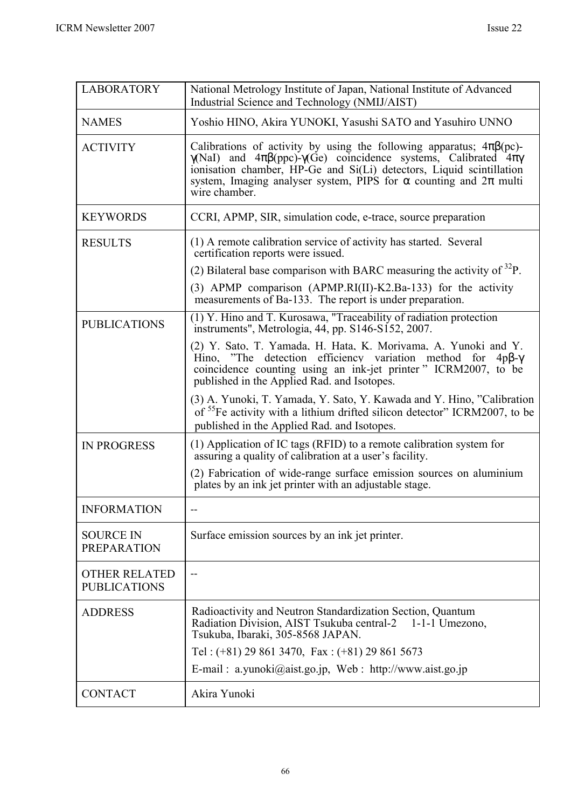| <b>LABORATORY</b>                           | National Metrology Institute of Japan, National Institute of Advanced<br>Industrial Science and Technology (NMIJ/AIST)                                                                                                                                                                                                                                  |
|---------------------------------------------|---------------------------------------------------------------------------------------------------------------------------------------------------------------------------------------------------------------------------------------------------------------------------------------------------------------------------------------------------------|
| <b>NAMES</b>                                | Yoshio HINO, Akira YUNOKI, Yasushi SATO and Yasuhiro UNNO                                                                                                                                                                                                                                                                                               |
| <b>ACTIVITY</b>                             | Calibrations of activity by using the following apparatus; $4\pi\beta$ (pc)-<br>$\gamma(NaI)$ and $4\pi\beta(ppc)$ - $\gamma(Ge)$ coincidence systems, Calibrated $4\pi\gamma$<br>ionisation chamber, HP-Ge and Si(Li) detectors, Liquid scintillation<br>system, Imaging analyser system, PIPS for $\alpha$ counting and $2\pi$ multi<br>wire chamber. |
| <b>KEYWORDS</b>                             | CCRI, APMP, SIR, simulation code, e-trace, source preparation                                                                                                                                                                                                                                                                                           |
| <b>RESULTS</b>                              | (1) A remote calibration service of activity has started. Several<br>certification reports were issued.                                                                                                                                                                                                                                                 |
|                                             | (2) Bilateral base comparison with BARC measuring the activity of $32P$ .                                                                                                                                                                                                                                                                               |
|                                             | $(3)$ APMP comparison (APMP.RI(II)-K2.Ba-133) for the activity<br>measurements of Ba-133. The report is under preparation.                                                                                                                                                                                                                              |
| <b>PUBLICATIONS</b>                         | (1) Y. Hino and T. Kurosawa, "Traceability of radiation protection<br>instruments", Metrologia, 44, pp. S146-S152, 2007.                                                                                                                                                                                                                                |
|                                             | (2) Y. Sato. T. Yamada. H. Hata. K. Morivama. A. Yunoki and Y.<br>Hino, "The detection efficiency variation method for $4p\beta-\gamma$<br>coincidence counting using an ink-jet printer" ICRM2007, to be<br>published in the Applied Rad. and Isotopes.                                                                                                |
|                                             | (3) A. Yunoki, T. Yamada, Y. Sato, Y. Kawada and Y. Hino, "Calibration"<br>of <sup>55</sup> Fe activity with a lithium drifted silicon detector" ICRM2007, to be<br>published in the Applied Rad. and Isotopes.                                                                                                                                         |
| <b>IN PROGRESS</b>                          | (1) Application of IC tags (RFID) to a remote calibration system for<br>assuring a quality of calibration at a user's facility.                                                                                                                                                                                                                         |
|                                             | (2) Fabrication of wide-range surface emission sources on aluminium<br>plates by an ink jet printer with an adjustable stage.                                                                                                                                                                                                                           |
| <b>INFORMATION</b>                          |                                                                                                                                                                                                                                                                                                                                                         |
| <b>SOURCE IN</b><br><b>PREPARATION</b>      | Surface emission sources by an ink jet printer.                                                                                                                                                                                                                                                                                                         |
| <b>OTHER RELATED</b><br><b>PUBLICATIONS</b> | --                                                                                                                                                                                                                                                                                                                                                      |
| <b>ADDRESS</b>                              | Radioactivity and Neutron Standardization Section, Quantum<br>Radiation Division, AIST Tsukuba central-2  1-1-1 Umezono,<br>Tsukuba, Ibaraki, 305-8568 JAPAN.                                                                                                                                                                                           |
|                                             | Tel: $(+81)$ 29 861 3470, Fax: $(+81)$ 29 861 5673                                                                                                                                                                                                                                                                                                      |
|                                             | E-mail: a.yunoki@aist.go.jp, Web: http://www.aist.go.jp                                                                                                                                                                                                                                                                                                 |
| <b>CONTACT</b>                              | Akira Yunoki                                                                                                                                                                                                                                                                                                                                            |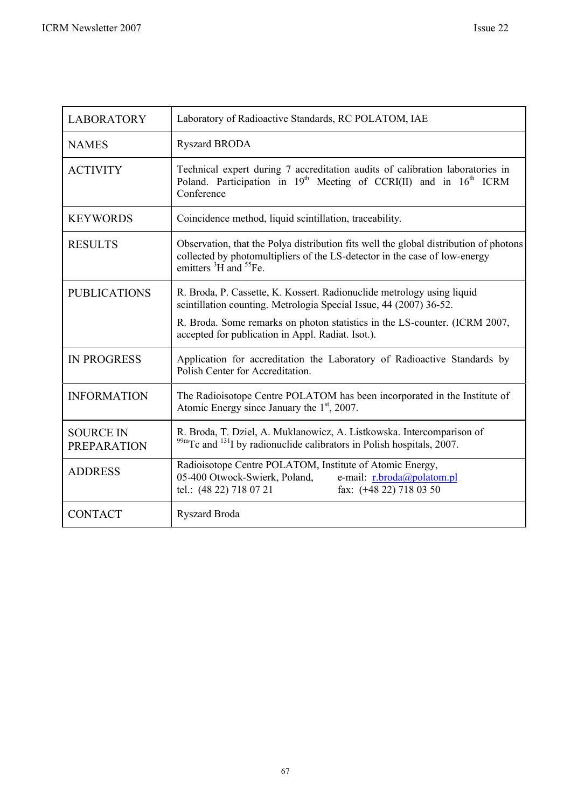| <b>LABORATORY</b>                      | Laboratory of Radioactive Standards, RC POLATOM, IAE                                                                                                                                                                 |
|----------------------------------------|----------------------------------------------------------------------------------------------------------------------------------------------------------------------------------------------------------------------|
| <b>NAMES</b>                           | <b>Ryszard BRODA</b>                                                                                                                                                                                                 |
| <b>ACTIVITY</b>                        | Technical expert during 7 accreditation audits of calibration laboratories in<br>Poland. Participation in 19 <sup>th</sup> Meeting of CCRI(II) and in 16 <sup>th</sup> ICRM<br>Conference                            |
| <b>KEYWORDS</b>                        | Coincidence method, liquid scintillation, traceability.                                                                                                                                                              |
| <b>RESULTS</b>                         | Observation, that the Polya distribution fits well the global distribution of photons<br>collected by photomultipliers of the LS-detector in the case of low-energy<br>emitters <sup>3</sup> H and <sup>55</sup> Fe. |
| <b>PUBLICATIONS</b>                    | R. Broda, P. Cassette, K. Kossert. Radionuclide metrology using liquid<br>scintillation counting. Metrologia Special Issue, 44 (2007) 36-52.                                                                         |
|                                        | R. Broda. Some remarks on photon statistics in the LS-counter. (ICRM 2007,<br>accepted for publication in Appl. Radiat. Isot.).                                                                                      |
| <b>IN PROGRESS</b>                     | Application for accreditation the Laboratory of Radioactive Standards by<br>Polish Center for Accreditation.                                                                                                         |
| <b>INFORMATION</b>                     | The Radioisotope Centre POLATOM has been incorporated in the Institute of<br>Atomic Energy since January the $1st$ , 2007.                                                                                           |
| <b>SOURCE IN</b><br><b>PREPARATION</b> | R. Broda, T. Dziel, A. Muklanowicz, A. Listkowska. Intercomparison of<br><sup>99m</sup> Tc and <sup>131</sup> I by radionuclide calibrators in Polish hospitals, 2007.                                               |
| <b>ADDRESS</b>                         | Radioisotope Centre POLATOM, Institute of Atomic Energy,<br>05-400 Otwock-Swierk, Poland,<br>e-mail: r.broda@polatom.pl<br>tel.: (48 22) 718 07 21<br>fax: (+48 22) 718 03 50                                        |
| <b>CONTACT</b>                         | Ryszard Broda                                                                                                                                                                                                        |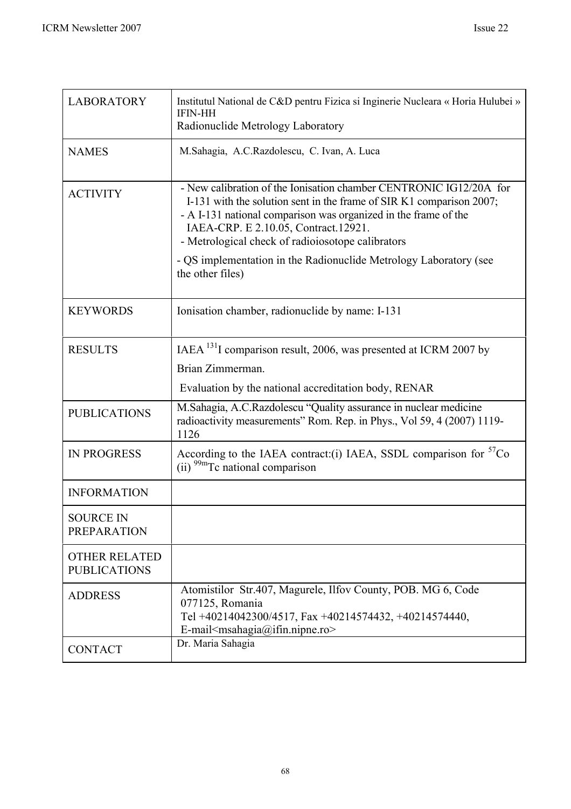| <b>LABORATORY</b>                           | Institutul National de C&D pentru Fizica si Inginerie Nucleara « Horia Hulubei »<br><b>IFIN-HH</b><br>Radionuclide Metrology Laboratory                                                                                                                                                                    |
|---------------------------------------------|------------------------------------------------------------------------------------------------------------------------------------------------------------------------------------------------------------------------------------------------------------------------------------------------------------|
| <b>NAMES</b>                                | M.Sahagia, A.C.Razdolescu, C. Ivan, A. Luca                                                                                                                                                                                                                                                                |
| <b>ACTIVITY</b>                             | - New calibration of the Ionisation chamber CENTRONIC IG12/20A for<br>I-131 with the solution sent in the frame of SIR K1 comparison 2007;<br>- A I-131 national comparison was organized in the frame of the<br>IAEA-CRP. E 2.10.05, Contract.12921.<br>- Metrological check of radioiosotope calibrators |
|                                             | - QS implementation in the Radionuclide Metrology Laboratory (see<br>the other files)                                                                                                                                                                                                                      |
| <b>KEYWORDS</b>                             | Ionisation chamber, radionuclide by name: I-131                                                                                                                                                                                                                                                            |
| <b>RESULTS</b>                              | IAEA <sup>131</sup> I comparison result, 2006, was presented at ICRM 2007 by<br>Brian Zimmerman.                                                                                                                                                                                                           |
|                                             | Evaluation by the national accreditation body, RENAR                                                                                                                                                                                                                                                       |
| <b>PUBLICATIONS</b>                         | M.Sahagia, A.C.Razdolescu "Quality assurance in nuclear medicine<br>radioactivity measurements" Rom. Rep. in Phys., Vol 59, 4 (2007) 1119-<br>1126                                                                                                                                                         |
| <b>IN PROGRESS</b>                          | According to the IAEA contract:(i) IAEA, SSDL comparison for $\frac{5}{C}$ Co<br>$(ii)$ <sup>99m</sup> Tc national comparison                                                                                                                                                                              |
| <b>INFORMATION</b>                          |                                                                                                                                                                                                                                                                                                            |
| <b>SOURCE IN</b><br><b>PREPARATION</b>      |                                                                                                                                                                                                                                                                                                            |
| <b>OTHER RELATED</b><br><b>PUBLICATIONS</b> |                                                                                                                                                                                                                                                                                                            |
| <b>ADDRESS</b>                              | Atomistilor Str.407, Magurele, Ilfov County, POB. MG 6, Code<br>077125, Romania<br>Tel +40214042300/4517, Fax +40214574432, +40214574440,<br>E-mail <msahagia@ifin.nipne.ro></msahagia@ifin.nipne.ro>                                                                                                      |
| <b>CONTACT</b>                              | Dr. Maria Sahagia                                                                                                                                                                                                                                                                                          |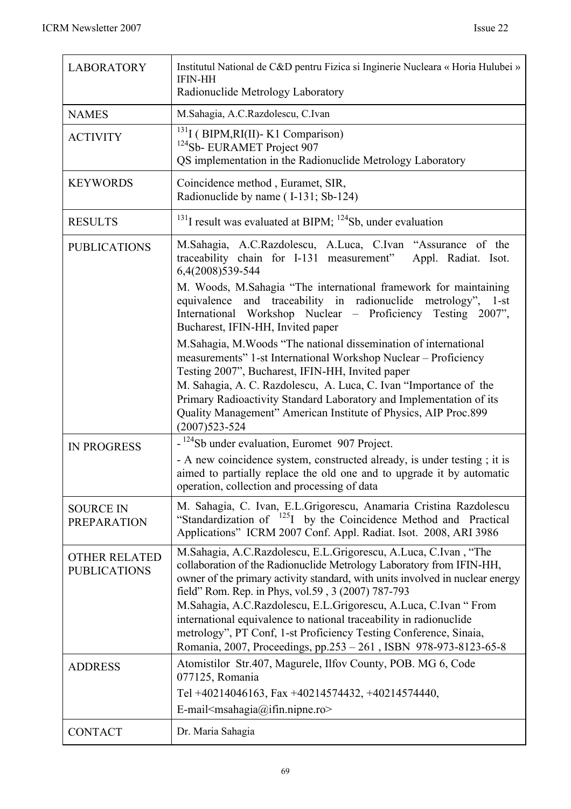| <b>LABORATORY</b>                           | Institutul National de C&D pentru Fizica si Inginerie Nucleara « Horia Hulubei »<br><b>IFIN-HH</b><br>Radionuclide Metrology Laboratory                                                                                                                                                                                                                                                                                                                                                                                                                             |
|---------------------------------------------|---------------------------------------------------------------------------------------------------------------------------------------------------------------------------------------------------------------------------------------------------------------------------------------------------------------------------------------------------------------------------------------------------------------------------------------------------------------------------------------------------------------------------------------------------------------------|
| <b>NAMES</b>                                | M.Sahagia, A.C.Razdolescu, C.Ivan                                                                                                                                                                                                                                                                                                                                                                                                                                                                                                                                   |
| <b>ACTIVITY</b>                             | $^{131}$ I (BIPM,RI(II)- K1 Comparison)<br><sup>124</sup> Sb-EURAMET Project 907<br>QS implementation in the Radionuclide Metrology Laboratory                                                                                                                                                                                                                                                                                                                                                                                                                      |
| <b>KEYWORDS</b>                             | Coincidence method, Euramet, SIR,<br>Radionuclide by name (I-131; Sb-124)                                                                                                                                                                                                                                                                                                                                                                                                                                                                                           |
| <b>RESULTS</b>                              | $^{131}$ I result was evaluated at BIPM; $^{124}$ Sb, under evaluation                                                                                                                                                                                                                                                                                                                                                                                                                                                                                              |
| <b>PUBLICATIONS</b>                         | M.Sahagia, A.C.Razdolescu, A.Luca, C.Ivan "Assurance of the<br>traceability chain for I-131 measurement"<br>Appl. Radiat. Isot.<br>6,4(2008)539-544                                                                                                                                                                                                                                                                                                                                                                                                                 |
|                                             | M. Woods, M.Sahagia "The international framework for maintaining<br>equivalence and traceability in radionuclide metrology", 1-st<br>International Workshop Nuclear - Proficiency Testing 2007",<br>Bucharest, IFIN-HH, Invited paper                                                                                                                                                                                                                                                                                                                               |
|                                             | M.Sahagia, M.Woods "The national dissemination of international<br>measurements" 1-st International Workshop Nuclear - Proficiency<br>Testing 2007", Bucharest, IFIN-HH, Invited paper<br>M. Sahagia, A. C. Razdolescu, A. Luca, C. Ivan "Importance of the<br>Primary Radioactivity Standard Laboratory and Implementation of its<br>Quality Management" American Institute of Physics, AIP Proc.899<br>$(2007)523 - 524$                                                                                                                                          |
| <b>IN PROGRESS</b>                          | - <sup>124</sup> Sb under evaluation, Euromet 907 Project.                                                                                                                                                                                                                                                                                                                                                                                                                                                                                                          |
|                                             | - A new coincidence system, constructed already, is under testing; it is<br>aimed to partially replace the old one and to upgrade it by automatic<br>operation, collection and processing of data                                                                                                                                                                                                                                                                                                                                                                   |
| <b>SOURCE IN</b><br><b>PREPARATION</b>      | M. Sahagia, C. Ivan, E.L.Grigorescu, Anamaria Cristina Razdolescu<br>"Standardization of <sup>125</sup> I by the Coincidence Method and Practical<br>Applications" ICRM 2007 Conf. Appl. Radiat. Isot. 2008, ARI 3986                                                                                                                                                                                                                                                                                                                                               |
| <b>OTHER RELATED</b><br><b>PUBLICATIONS</b> | M.Sahagia, A.C.Razdolescu, E.L.Grigorescu, A.Luca, C.Ivan, "The<br>collaboration of the Radionuclide Metrology Laboratory from IFIN-HH,<br>owner of the primary activity standard, with units involved in nuclear energy<br>field" Rom. Rep. in Phys, vol.59, 3 (2007) 787-793<br>M. Sahagia, A.C. Razdolescu, E.L. Grigorescu, A.Luca, C.Ivan "From<br>international equivalence to national traceability in radionuclide<br>metrology", PT Conf, 1-st Proficiency Testing Conference, Sinaia,<br>Romania, 2007, Proceedings, pp.253 - 261, ISBN 978-973-8123-65-8 |
| <b>ADDRESS</b>                              | Atomistilor Str.407, Magurele, Ilfov County, POB. MG 6, Code<br>077125, Romania<br>Tel +40214046163, Fax +40214574432, +40214574440,                                                                                                                                                                                                                                                                                                                                                                                                                                |
|                                             | E-mail <msahagia@ifin.nipne.ro></msahagia@ifin.nipne.ro>                                                                                                                                                                                                                                                                                                                                                                                                                                                                                                            |
| <b>CONTACT</b>                              | Dr. Maria Sahagia                                                                                                                                                                                                                                                                                                                                                                                                                                                                                                                                                   |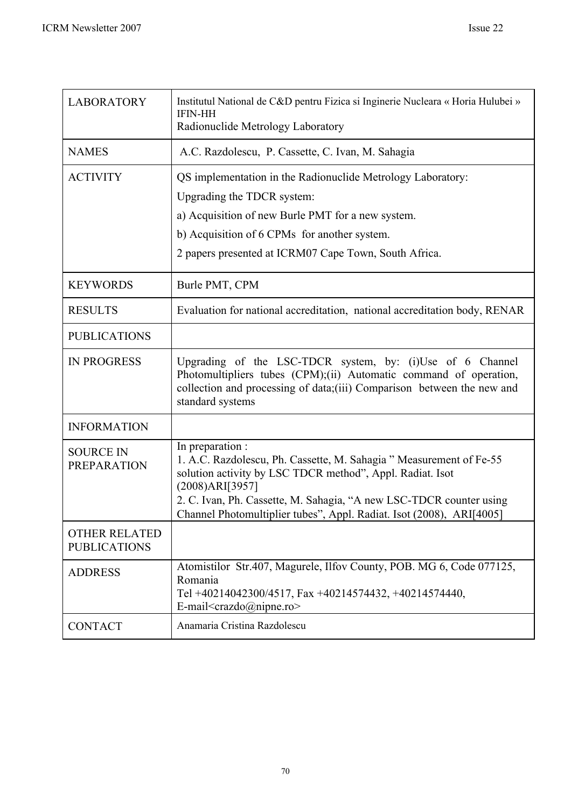| <b>LABORATORY</b>                           | Institutul National de C&D pentru Fizica si Inginerie Nucleara « Horia Hulubei »<br><b>IFIN-HH</b><br>Radionuclide Metrology Laboratory                                                                                                                                                                                  |
|---------------------------------------------|--------------------------------------------------------------------------------------------------------------------------------------------------------------------------------------------------------------------------------------------------------------------------------------------------------------------------|
| <b>NAMES</b>                                | A.C. Razdolescu, P. Cassette, C. Ivan, M. Sahagia                                                                                                                                                                                                                                                                        |
| <b>ACTIVITY</b>                             | QS implementation in the Radionuclide Metrology Laboratory:<br>Upgrading the TDCR system:<br>a) Acquisition of new Burle PMT for a new system.<br>b) Acquisition of 6 CPMs for another system.<br>2 papers presented at ICRM07 Cape Town, South Africa.                                                                  |
| <b>KEYWORDS</b>                             | Burle PMT, CPM                                                                                                                                                                                                                                                                                                           |
| <b>RESULTS</b>                              | Evaluation for national accreditation, national accreditation body, RENAR                                                                                                                                                                                                                                                |
| <b>PUBLICATIONS</b>                         |                                                                                                                                                                                                                                                                                                                          |
| <b>IN PROGRESS</b>                          | Upgrading of the LSC-TDCR system, by: (i)Use of 6 Channel<br>Photomultipliers tubes (CPM);(ii) Automatic command of operation,<br>collection and processing of data;(iii) Comparison between the new and<br>standard systems                                                                                             |
| <b>INFORMATION</b>                          |                                                                                                                                                                                                                                                                                                                          |
| <b>SOURCE IN</b><br><b>PREPARATION</b>      | In preparation :<br>1. A.C. Razdolescu, Ph. Cassette, M. Sahagia " Measurement of Fe-55<br>solution activity by LSC TDCR method", Appl. Radiat. Isot<br>(2008) ARI [3957]<br>2. C. Ivan, Ph. Cassette, M. Sahagia, "A new LSC-TDCR counter using<br>Channel Photomultiplier tubes", Appl. Radiat. Isot (2008), ARI[4005] |
| <b>OTHER RELATED</b><br><b>PUBLICATIONS</b> |                                                                                                                                                                                                                                                                                                                          |
| <b>ADDRESS</b>                              | Atomistilor Str.407, Magurele, Ilfov County, POB. MG 6, Code 077125,<br>Romania<br>Tel +40214042300/4517, Fax +40214574432, +40214574440,<br>E-mail <crazdo@nipne.ro></crazdo@nipne.ro>                                                                                                                                  |
| <b>CONTACT</b>                              | Anamaria Cristina Razdolescu                                                                                                                                                                                                                                                                                             |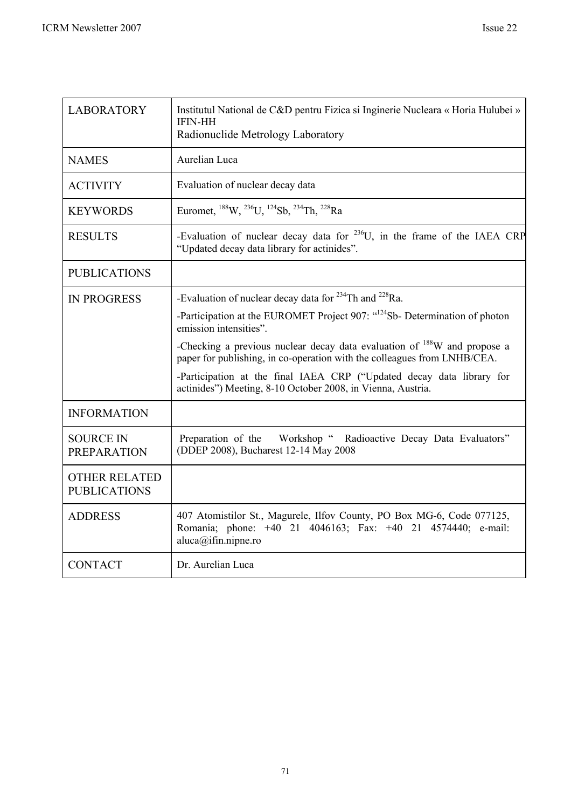| <b>LABORATORY</b>                           | Institutul National de C&D pentru Fizica si Inginerie Nucleara « Horia Hulubei »<br><b>IFIN-HH</b><br>Radionuclide Metrology Laboratory                          |
|---------------------------------------------|------------------------------------------------------------------------------------------------------------------------------------------------------------------|
| <b>NAMES</b>                                | Aurelian Luca                                                                                                                                                    |
| <b>ACTIVITY</b>                             | Evaluation of nuclear decay data                                                                                                                                 |
| <b>KEYWORDS</b>                             | Euromet, $^{188}$ W, $^{236}$ U, $^{124}$ Sb, $^{234}$ Th, $^{228}$ Ra                                                                                           |
| <b>RESULTS</b>                              | -Evaluation of nuclear decay data for <sup>236</sup> U, in the frame of the IAEA CRP<br>"Updated decay data library for actinides".                              |
| <b>PUBLICATIONS</b>                         |                                                                                                                                                                  |
| <b>IN PROGRESS</b>                          | -Evaluation of nuclear decay data for $^{234}$ Th and $^{228}$ Ra.                                                                                               |
|                                             | -Participation at the EUROMET Project 907: " <sup>124</sup> Sb- Determination of photon<br>emission intensities".                                                |
|                                             | -Checking a previous nuclear decay data evaluation of <sup>188</sup> W and propose a<br>paper for publishing, in co-operation with the colleagues from LNHB/CEA. |
|                                             | -Participation at the final IAEA CRP ("Updated decay data library for<br>actinides") Meeting, 8-10 October 2008, in Vienna, Austria.                             |
| <b>INFORMATION</b>                          |                                                                                                                                                                  |
| <b>SOURCE IN</b><br><b>PREPARATION</b>      | Preparation of the Workshop " Radioactive Decay Data Evaluators"<br>(DDEP 2008), Bucharest 12-14 May 2008                                                        |
| <b>OTHER RELATED</b><br><b>PUBLICATIONS</b> |                                                                                                                                                                  |
| <b>ADDRESS</b>                              | 407 Atomistilor St., Magurele, Ilfov County, PO Box MG-6, Code 077125,<br>Romania; phone: +40 21 4046163; Fax: +40 21 4574440; e-mail:<br>$aluca@ifin.nipne-ro$  |
| <b>CONTACT</b>                              | Dr. Aurelian Luca                                                                                                                                                |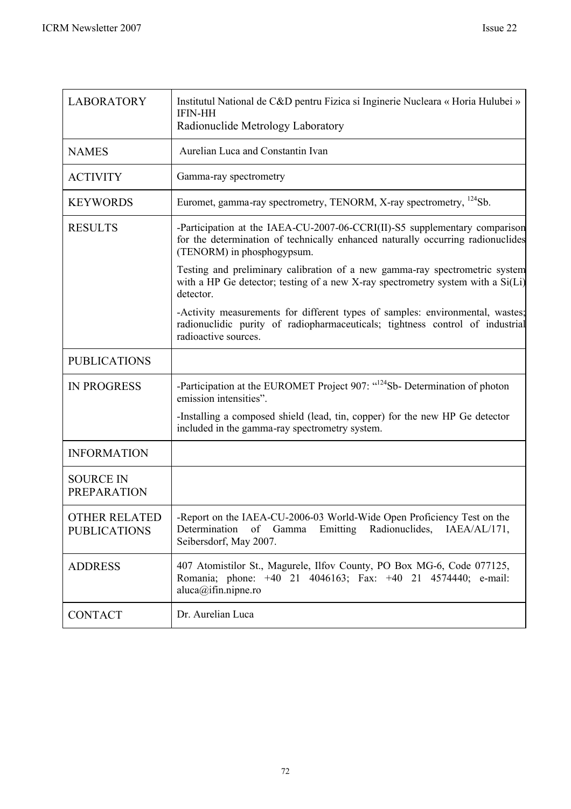| <b>LABORATORY</b>                           | Institutul National de C&D pentru Fizica si Inginerie Nucleara « Horia Hulubei »<br><b>IFIN-HH</b><br>Radionuclide Metrology Laboratory                                                     |
|---------------------------------------------|---------------------------------------------------------------------------------------------------------------------------------------------------------------------------------------------|
| <b>NAMES</b>                                | Aurelian Luca and Constantin Ivan                                                                                                                                                           |
| <b>ACTIVITY</b>                             | Gamma-ray spectrometry                                                                                                                                                                      |
| <b>KEYWORDS</b>                             | Euromet, gamma-ray spectrometry, TENORM, X-ray spectrometry, <sup>124</sup> Sb.                                                                                                             |
| <b>RESULTS</b>                              | -Participation at the IAEA-CU-2007-06-CCRI(II)-S5 supplementary comparison<br>for the determination of technically enhanced naturally occurring radionuclides<br>(TENORM) in phosphogypsum. |
|                                             | Testing and preliminary calibration of a new gamma-ray spectrometric system<br>with a HP Ge detector; testing of a new X-ray spectrometry system with a Si(Li)<br>detector.                 |
|                                             | -Activity measurements for different types of samples: environmental, wastes;<br>radionuclidic purity of radiopharmaceuticals; tightness control of industrial<br>radioactive sources.      |
| <b>PUBLICATIONS</b>                         |                                                                                                                                                                                             |
| <b>IN PROGRESS</b>                          | -Participation at the EUROMET Project 907: " <sup>124</sup> Sb- Determination of photon<br>emission intensities".                                                                           |
|                                             | -Installing a composed shield (lead, tin, copper) for the new HP Ge detector<br>included in the gamma-ray spectrometry system.                                                              |
| <b>INFORMATION</b>                          |                                                                                                                                                                                             |
| <b>SOURCE IN</b><br><b>PREPARATION</b>      |                                                                                                                                                                                             |
| <b>OTHER RELATED</b><br><b>PUBLICATIONS</b> | -Report on the IAEA-CU-2006-03 World-Wide Open Proficiency Test on the<br>Determination of Gamma Emitting Radionuclides, IAEA/AL/171,<br>Seibersdorf, May 2007.                             |
| <b>ADDRESS</b>                              | 407 Atomistilor St., Magurele, Ilfov County, PO Box MG-6, Code 077125,<br>Romania; phone: +40 21 4046163; Fax: +40 21 4574440; e-mail:<br>$aluca@ifin.nipne-ro$                             |
| <b>CONTACT</b>                              | Dr. Aurelian Luca                                                                                                                                                                           |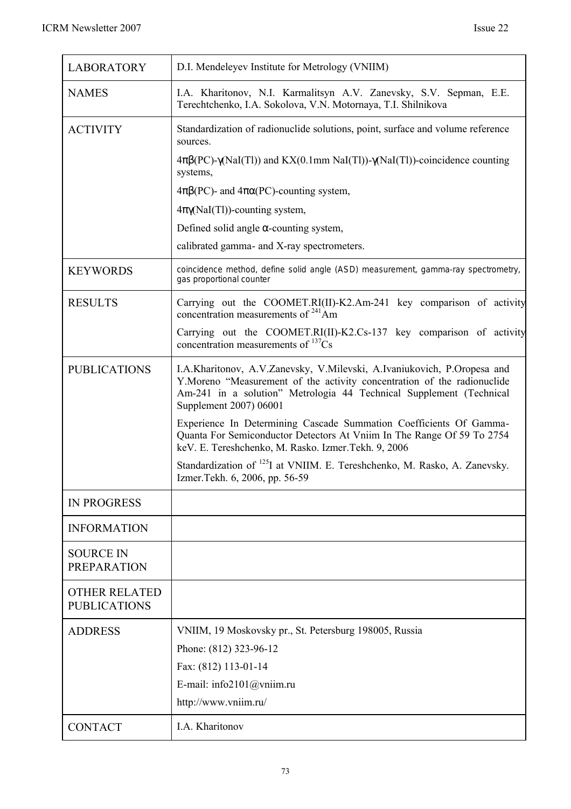| <b>LABORATORY</b>                           | D.I. Mendeleyev Institute for Metrology (VNIIM)                                                                                                                                                                                                     |
|---------------------------------------------|-----------------------------------------------------------------------------------------------------------------------------------------------------------------------------------------------------------------------------------------------------|
| <b>NAMES</b>                                | I.A. Kharitonov, N.I. Karmalitsyn A.V. Zanevsky, S.V. Sepman, E.E.<br>Terechtchenko, I.A. Sokolova, V.N. Motornaya, T.I. Shilnikova                                                                                                                 |
| <b>ACTIVITY</b>                             | Standardization of radionuclide solutions, point, surface and volume reference<br>sources.                                                                                                                                                          |
|                                             | $4\pi\beta(PC)$ - $\gamma(Nal(TI))$ and KX(0.1mm NaI(Tl))- $\gamma(Nal(TI))$ -coincidence counting<br>systems,                                                                                                                                      |
|                                             | $4\pi\beta$ (PC)- and $4\pi\alpha$ (PC)-counting system,                                                                                                                                                                                            |
|                                             | $4\pi\gamma(Nal(Tl))$ -counting system,                                                                                                                                                                                                             |
|                                             | Defined solid angle $\alpha$ -counting system,                                                                                                                                                                                                      |
|                                             | calibrated gamma- and X-ray spectrometers.                                                                                                                                                                                                          |
| <b>KEYWORDS</b>                             | coincidence method, define solid angle (ASD) measurement, gamma-ray spectrometry,<br>gas proportional counter                                                                                                                                       |
| <b>RESULTS</b>                              | Carrying out the COOMET.RI(II)-K2.Am-241 key comparison of activity<br>concentration measurements of <sup>241</sup> Am                                                                                                                              |
|                                             | Carrying out the COOMET.RI(II)-K2.Cs-137 key comparison of activity<br>concentration measurements of $^{137}Cs$                                                                                                                                     |
| <b>PUBLICATIONS</b>                         | I.A.Kharitonov, A.V.Zanevsky, V.Milevski, A.Ivaniukovich, P.Oropesa and<br>Y.Moreno "Measurement of the activity concentration of the radionuclide<br>Am-241 in a solution" Metrologia 44 Technical Supplement (Technical<br>Supplement 2007) 06001 |
|                                             | Experience In Determining Cascade Summation Coefficients Of Gamma-<br>Quanta For Semiconductor Detectors At Vniim In The Range Of 59 To 2754<br>keV. E. Tereshchenko, M. Rasko. Izmer. Tekh. 9, 2006                                                |
|                                             | Standardization of <sup>125</sup> I at VNIIM. E. Tereshchenko, M. Rasko, A. Zanevsky.<br>Izmer.Tekh. 6, 2006, pp. 56-59                                                                                                                             |
| <b>IN PROGRESS</b>                          |                                                                                                                                                                                                                                                     |
| <b>INFORMATION</b>                          |                                                                                                                                                                                                                                                     |
| <b>SOURCE IN</b><br><b>PREPARATION</b>      |                                                                                                                                                                                                                                                     |
| <b>OTHER RELATED</b><br><b>PUBLICATIONS</b> |                                                                                                                                                                                                                                                     |
| <b>ADDRESS</b>                              | VNIIM, 19 Moskovsky pr., St. Petersburg 198005, Russia                                                                                                                                                                                              |
|                                             | Phone: (812) 323-96-12                                                                                                                                                                                                                              |
|                                             | Fax: (812) 113-01-14                                                                                                                                                                                                                                |
|                                             | E-mail: info $2101$ @yniim.ru                                                                                                                                                                                                                       |
|                                             | http://www.vniim.ru/                                                                                                                                                                                                                                |
| <b>CONTACT</b>                              | I.A. Kharitonov                                                                                                                                                                                                                                     |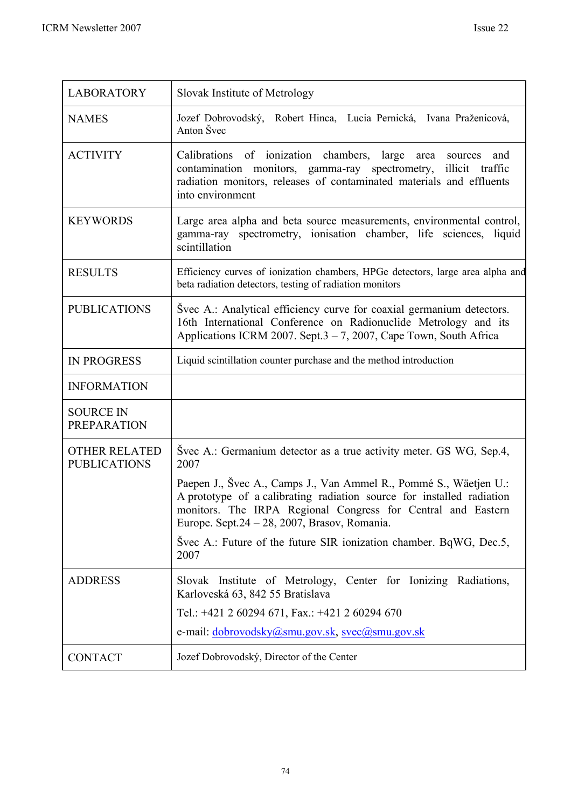| <b>LABORATORY</b>                           | Slovak Institute of Metrology                                                                                                                                                                                                                                  |
|---------------------------------------------|----------------------------------------------------------------------------------------------------------------------------------------------------------------------------------------------------------------------------------------------------------------|
| <b>NAMES</b>                                | Jozef Dobrovodský, Robert Hinca, Lucia Pernická, Ivana Praženicová,<br>Anton Švec                                                                                                                                                                              |
| <b>ACTIVITY</b>                             | Calibrations of ionization chambers, large<br>area<br>and<br>sources<br>contamination monitors, gamma-ray spectrometry,<br>illicit traffic<br>radiation monitors, releases of contaminated materials and effluents<br>into environment                         |
| <b>KEYWORDS</b>                             | Large area alpha and beta source measurements, environmental control,<br>gamma-ray spectrometry, ionisation chamber, life sciences, liquid<br>scintillation                                                                                                    |
| <b>RESULTS</b>                              | Efficiency curves of ionization chambers, HPGe detectors, large area alpha and<br>beta radiation detectors, testing of radiation monitors                                                                                                                      |
| <b>PUBLICATIONS</b>                         | Svec A.: Analytical efficiency curve for coaxial germanium detectors.<br>16th International Conference on Radionuclide Metrology and its<br>Applications ICRM 2007. Sept. $3 - 7$ , 2007, Cape Town, South Africa                                              |
| <b>IN PROGRESS</b>                          | Liquid scintillation counter purchase and the method introduction                                                                                                                                                                                              |
| <b>INFORMATION</b>                          |                                                                                                                                                                                                                                                                |
| <b>SOURCE IN</b><br><b>PREPARATION</b>      |                                                                                                                                                                                                                                                                |
| <b>OTHER RELATED</b><br><b>PUBLICATIONS</b> | Svec A.: Germanium detector as a true activity meter. GS WG, Sep.4,<br>2007                                                                                                                                                                                    |
|                                             | Paepen J., Švec A., Camps J., Van Ammel R., Pommé S., Wäetjen U.:<br>A prototype of a calibrating radiation source for installed radiation<br>monitors. The IRPA Regional Congress for Central and Eastern<br>Europe. Sept. $24 - 28$ , 2007, Brasov, Romania. |
|                                             | Švec A.: Future of the future SIR ionization chamber. BqWG, Dec.5,<br>2007                                                                                                                                                                                     |
| <b>ADDRESS</b>                              | Slovak Institute of Metrology, Center for Ionizing Radiations,<br>Karloveská 63, 842 55 Bratislava                                                                                                                                                             |
|                                             | Tel.: $+421$ 2 60294 671, Fax.: $+421$ 2 60294 670                                                                                                                                                                                                             |
|                                             | e-mail: dobrovodsky@smu.gov.sk, svec@smu.gov.sk                                                                                                                                                                                                                |
| <b>CONTACT</b>                              | Jozef Dobrovodský, Director of the Center                                                                                                                                                                                                                      |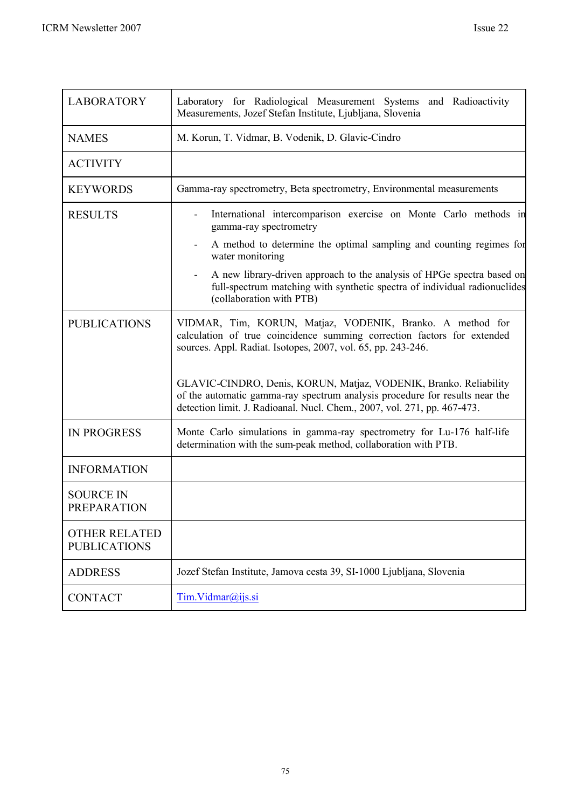| <b>LABORATORY</b>                           | Laboratory for Radiological Measurement Systems and Radioactivity<br>Measurements, Jozef Stefan Institute, Ljubljana, Slovenia                                                                                               |  |
|---------------------------------------------|------------------------------------------------------------------------------------------------------------------------------------------------------------------------------------------------------------------------------|--|
| <b>NAMES</b>                                | M. Korun, T. Vidmar, B. Vodenik, D. Glavic-Cindro                                                                                                                                                                            |  |
| <b>ACTIVITY</b>                             |                                                                                                                                                                                                                              |  |
| <b>KEYWORDS</b>                             | Gamma-ray spectrometry, Beta spectrometry, Environmental measurements                                                                                                                                                        |  |
| <b>RESULTS</b>                              | International intercomparison exercise on Monte Carlo methods in<br>gamma-ray spectrometry                                                                                                                                   |  |
|                                             | A method to determine the optimal sampling and counting regimes for<br>water monitoring                                                                                                                                      |  |
|                                             | A new library-driven approach to the analysis of HPGe spectra based on<br>$\blacksquare$<br>full-spectrum matching with synthetic spectra of individual radionuclides<br>(collaboration with PTB)                            |  |
| <b>PUBLICATIONS</b>                         | VIDMAR, Tim, KORUN, Matjaz, VODENIK, Branko. A method for<br>calculation of true coincidence summing correction factors for extended<br>sources. Appl. Radiat. Isotopes, 2007, vol. 65, pp. 243-246.                         |  |
|                                             | GLAVIC-CINDRO, Denis, KORUN, Matjaz, VODENIK, Branko. Reliability<br>of the automatic gamma-ray spectrum analysis procedure for results near the<br>detection limit. J. Radioanal. Nucl. Chem., 2007, vol. 271, pp. 467-473. |  |
| <b>IN PROGRESS</b>                          | Monte Carlo simulations in gamma-ray spectrometry for Lu-176 half-life<br>determination with the sum-peak method, collaboration with PTB.                                                                                    |  |
| <b>INFORMATION</b>                          |                                                                                                                                                                                                                              |  |
| <b>SOURCE IN</b><br><b>PREPARATION</b>      |                                                                                                                                                                                                                              |  |
| <b>OTHER RELATED</b><br><b>PUBLICATIONS</b> |                                                                                                                                                                                                                              |  |
| <b>ADDRESS</b>                              | Jozef Stefan Institute, Jamova cesta 39, SI-1000 Ljubljana, Slovenia                                                                                                                                                         |  |
| <b>CONTACT</b>                              | Tim.Vidmar@ijs.si                                                                                                                                                                                                            |  |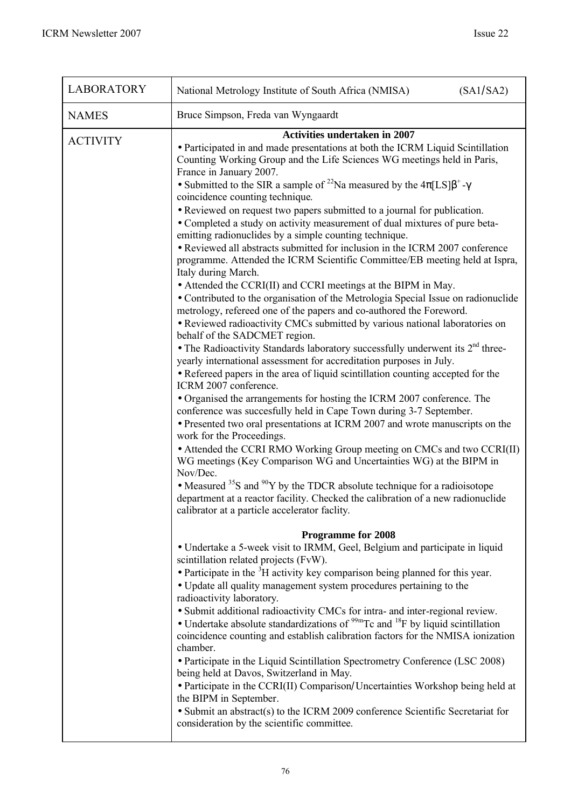| <b>LABORATORY</b> | National Metrology Institute of South Africa (NMISA)<br>(SA1/SA2)                                                                                                                                                                                                                                                                                                                                                                                                                                                                                                                                                                                                                                                                                                                                                                                                                                                                                                                                                                                                                                                                                                                                                                                                                                                                                                                                                                                                                                                                                                                                                                                                                                                                                                                                                                                                                                                                                                                                                                                   |
|-------------------|-----------------------------------------------------------------------------------------------------------------------------------------------------------------------------------------------------------------------------------------------------------------------------------------------------------------------------------------------------------------------------------------------------------------------------------------------------------------------------------------------------------------------------------------------------------------------------------------------------------------------------------------------------------------------------------------------------------------------------------------------------------------------------------------------------------------------------------------------------------------------------------------------------------------------------------------------------------------------------------------------------------------------------------------------------------------------------------------------------------------------------------------------------------------------------------------------------------------------------------------------------------------------------------------------------------------------------------------------------------------------------------------------------------------------------------------------------------------------------------------------------------------------------------------------------------------------------------------------------------------------------------------------------------------------------------------------------------------------------------------------------------------------------------------------------------------------------------------------------------------------------------------------------------------------------------------------------------------------------------------------------------------------------------------------------|
| <b>NAMES</b>      | Bruce Simpson, Freda van Wyngaardt                                                                                                                                                                                                                                                                                                                                                                                                                                                                                                                                                                                                                                                                                                                                                                                                                                                                                                                                                                                                                                                                                                                                                                                                                                                                                                                                                                                                                                                                                                                                                                                                                                                                                                                                                                                                                                                                                                                                                                                                                  |
| <b>ACTIVITY</b>   | <b>Activities undertaken in 2007</b><br>• Participated in and made presentations at both the ICRM Liquid Scintillation<br>Counting Working Group and the Life Sciences WG meetings held in Paris,<br>France in January 2007.<br>• Submitted to the SIR a sample of <sup>22</sup> Na measured by the $4\pi$ [LS] $\beta^+$ - $\gamma$<br>coincidence counting technique.<br>• Reviewed on request two papers submitted to a journal for publication.<br>• Completed a study on activity measurement of dual mixtures of pure beta-<br>emitting radionuclides by a simple counting technique.<br>• Reviewed all abstracts submitted for inclusion in the ICRM 2007 conference<br>programme. Attended the ICRM Scientific Committee/EB meeting held at Ispra,<br>Italy during March.<br>• Attended the CCRI(II) and CCRI meetings at the BIPM in May.<br>• Contributed to the organisation of the Metrologia Special Issue on radionuclide<br>metrology, refereed one of the papers and co-authored the Foreword.<br>• Reviewed radioactivity CMCs submitted by various national laboratories on<br>behalf of the SADCMET region.<br>• The Radioactivity Standards laboratory successfully underwent its $2nd$ three-<br>yearly international assessment for accreditation purposes in July.<br>• Refereed papers in the area of liquid scintillation counting accepted for the<br>ICRM 2007 conference.<br>• Organised the arrangements for hosting the ICRM 2007 conference. The<br>conference was succesfully held in Cape Town during 3-7 September.<br>• Presented two oral presentations at ICRM 2007 and wrote manuscripts on the<br>work for the Proceedings.<br>• Attended the CCRI RMO Working Group meeting on CMCs and two CCRI(II)<br>WG meetings (Key Comparison WG and Uncertainties WG) at the BIPM in<br>Nov/Dec.<br>• Measured $35S$ and $90Y$ by the TDCR absolute technique for a radioisotope<br>department at a reactor facility. Checked the calibration of a new radionuclide<br>calibrator at a particle accelerator faclity. |
|                   | <b>Programme for 2008</b><br>• Undertake a 5-week visit to IRMM, Geel, Belgium and participate in liquid<br>scintillation related projects (FvW).<br>• Participate in the <sup>3</sup> H activity key comparison being planned for this year.<br>• Update all quality management system procedures pertaining to the<br>radioactivity laboratory.<br>• Submit additional radioactivity CMCs for intra- and inter-regional review.<br>• Undertake absolute standardizations of $^{99m}$ Tc and $^{18}$ F by liquid scintillation<br>coincidence counting and establish calibration factors for the NMISA ionization<br>chamber.<br>• Participate in the Liquid Scintillation Spectrometry Conference (LSC 2008)<br>being held at Davos, Switzerland in May.<br>• Participate in the CCRI(II) Comparison/Uncertainties Workshop being held at<br>the BIPM in September.<br>• Submit an abstract(s) to the ICRM 2009 conference Scientific Secretariat for<br>consideration by the scientific committee.                                                                                                                                                                                                                                                                                                                                                                                                                                                                                                                                                                                                                                                                                                                                                                                                                                                                                                                                                                                                                                               |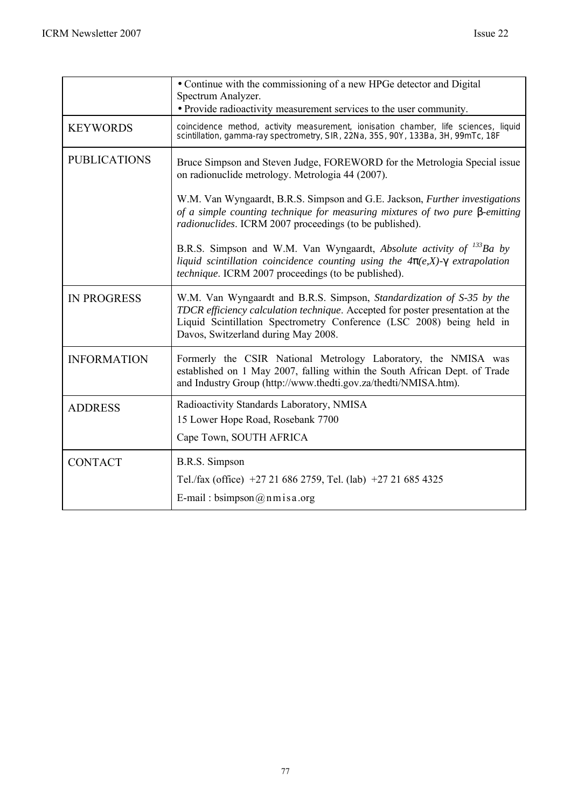|                     | • Continue with the commissioning of a new HPGe detector and Digital<br>Spectrum Analyzer.                                                                                                                                                                              |
|---------------------|-------------------------------------------------------------------------------------------------------------------------------------------------------------------------------------------------------------------------------------------------------------------------|
|                     | • Provide radioactivity measurement services to the user community.                                                                                                                                                                                                     |
| <b>KEYWORDS</b>     | coincidence method, activity measurement, ionisation chamber, life sciences, liquid<br>scintillation, gamma-ray spectrometry, SIR, 22Na, 35S, 90Y, 133Ba, 3H, 99mTc, 18F                                                                                                |
| <b>PUBLICATIONS</b> | Bruce Simpson and Steven Judge, FOREWORD for the Metrologia Special issue<br>on radionuclide metrology. Metrologia 44 (2007).                                                                                                                                           |
|                     | W.M. Van Wyngaardt, B.R.S. Simpson and G.E. Jackson, <i>Further investigations</i><br>of a simple counting technique for measuring mixtures of two pure <b>b</b> -emitting<br>radionuclides. ICRM 2007 proceedings (to be published).                                   |
|                     | B.R.S. Simpson and W.M. Van Wyngaardt, Absolute activity of <sup>133</sup> Ba by<br>liquid scintillation coincidence counting using the $4p(e,X)$ -g extrapolation<br><i>technique</i> . ICRM 2007 proceedings (to be published).                                       |
| <b>IN PROGRESS</b>  | W.M. Van Wyngaardt and B.R.S. Simpson, Standardization of S-35 by the<br>TDCR efficiency calculation technique. Accepted for poster presentation at the<br>Liquid Scintillation Spectrometry Conference (LSC 2008) being held in<br>Davos, Switzerland during May 2008. |
| <b>INFORMATION</b>  | Formerly the CSIR National Metrology Laboratory, the NMISA was<br>established on 1 May 2007, falling within the South African Dept. of Trade<br>and Industry Group (http://www.thedti.gov.za/thedti/NMISA.htm).                                                         |
| <b>ADDRESS</b>      | Radioactivity Standards Laboratory, NMISA<br>15 Lower Hope Road, Rosebank 7700                                                                                                                                                                                          |
|                     | Cape Town, SOUTH AFRICA                                                                                                                                                                                                                                                 |
| <b>CONTACT</b>      | B.R.S. Simpson                                                                                                                                                                                                                                                          |
|                     | Tel./fax (office) $+27$ 21 686 2759, Tel. (lab) $+27$ 21 685 4325                                                                                                                                                                                                       |
|                     | E-mail: bsimpson $@$ n m is a .org                                                                                                                                                                                                                                      |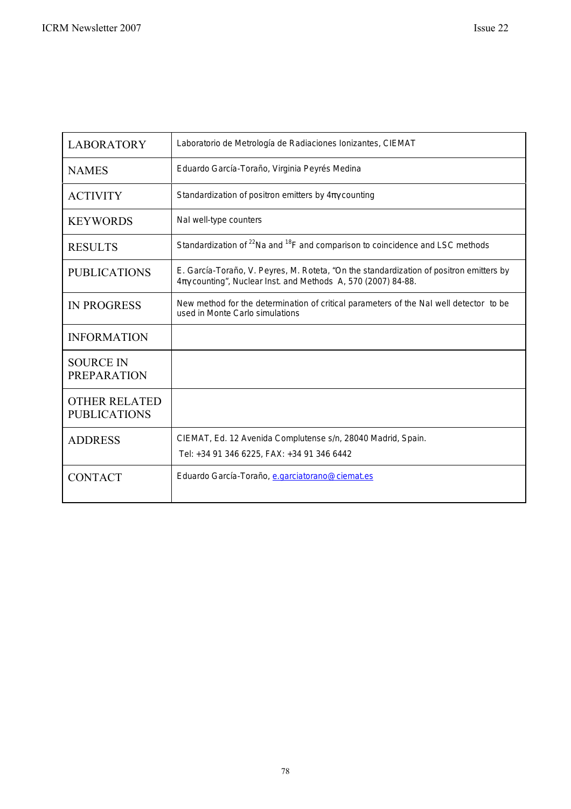| <b>LABORATORY</b>                           | Laboratorio de Metrología de Radiaciones Ionizantes, CIEMAT                                                                                              |
|---------------------------------------------|----------------------------------------------------------------------------------------------------------------------------------------------------------|
| <b>NAMES</b>                                | Eduardo García-Toraño, Virginia Peyrés Medina                                                                                                            |
| <b>ACTIVITY</b>                             | Standardization of positron emitters by $4\pi\gamma$ counting                                                                                            |
| <b>KEYWORDS</b>                             | Nal well-type counters                                                                                                                                   |
| <b>RESULTS</b>                              | Standardization of <sup>22</sup> Na and <sup>18</sup> F and comparison to coincidence and LSC methods                                                    |
| <b>PUBLICATIONS</b>                         | E. García-Toraño, V. Peyres, M. Roteta, "On the standardization of positron emitters by<br>4πγ counting", Nuclear Inst. and Methods A, 570 (2007) 84-88. |
| <b>IN PROGRESS</b>                          | New method for the determination of critical parameters of the NaI well detector to be<br>used in Monte Carlo simulations                                |
| <b>INFORMATION</b>                          |                                                                                                                                                          |
| <b>SOURCE IN</b><br><b>PREPARATION</b>      |                                                                                                                                                          |
| <b>OTHER RELATED</b><br><b>PUBLICATIONS</b> |                                                                                                                                                          |
| <b>ADDRESS</b>                              | CIEMAT, Ed. 12 Avenida Complutense s/n, 28040 Madrid, Spain.<br>Tel: +34 91 346 6225, FAX: +34 91 346 6442                                               |
| <b>CONTACT</b>                              | Eduardo García-Toraño, e.garciatorano@ciemat.es                                                                                                          |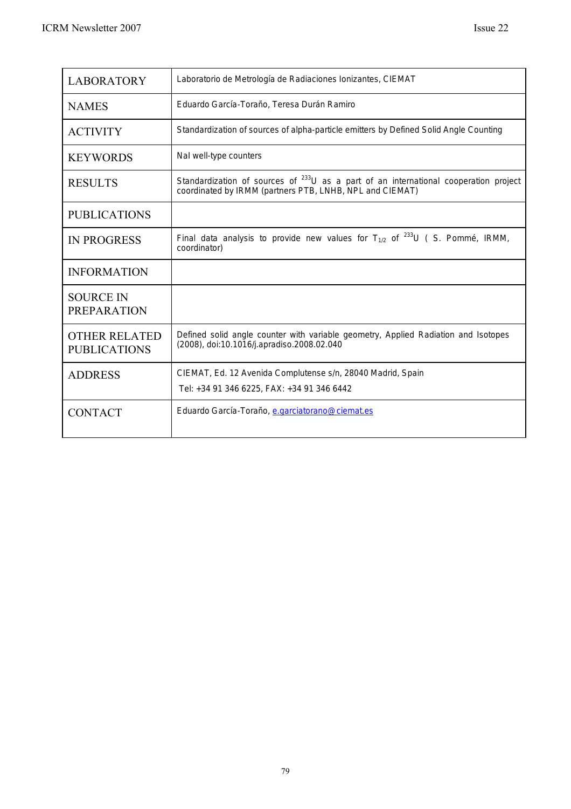| <b>LABORATORY</b>                           | Laboratorio de Metrología de Radiaciones Ionizantes, CIEMAT                                                                                           |
|---------------------------------------------|-------------------------------------------------------------------------------------------------------------------------------------------------------|
| <b>NAMES</b>                                | Eduardo García-Toraño, Teresa Durán Ramiro                                                                                                            |
| <b>ACTIVITY</b>                             | Standardization of sources of alpha-particle emitters by Defined Solid Angle Counting                                                                 |
| <b>KEYWORDS</b>                             | Nal well-type counters                                                                                                                                |
| <b>RESULTS</b>                              | Standardization of sources of $^{233}U$ as a part of an international cooperation project<br>coordinated by IRMM (partners PTB, LNHB, NPL and CIEMAT) |
| <b>PUBLICATIONS</b>                         |                                                                                                                                                       |
| <b>IN PROGRESS</b>                          | Final data analysis to provide new values for $T_{1/2}$ of $^{233}$ U (S. Pommé, IRMM,<br>coordinator)                                                |
| <b>INFORMATION</b>                          |                                                                                                                                                       |
| <b>SOURCE IN</b><br><b>PREPARATION</b>      |                                                                                                                                                       |
| <b>OTHER RELATED</b><br><b>PUBLICATIONS</b> | Defined solid angle counter with variable geometry, Applied Radiation and Isotopes<br>(2008), doi:10.1016/j.apradiso.2008.02.040                      |
| <b>ADDRESS</b>                              | CIEMAT, Ed. 12 Avenida Complutense s/n, 28040 Madrid, Spain<br>Tel: +34 91 346 6225, FAX: +34 91 346 6442                                             |
| <b>CONTACT</b>                              | Eduardo García-Toraño, e.garciatorano@ciemat.es                                                                                                       |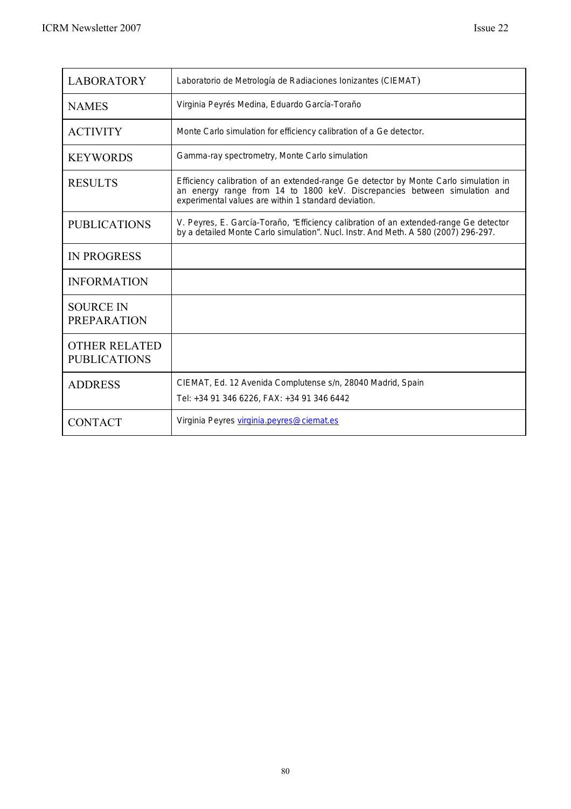| L<br>. x |  |
|----------|--|
|          |  |

| <b>LABORATORY</b>                           | Laboratorio de Metrología de Radiaciones Ionizantes (CIEMAT)                                                                                                                                                              |
|---------------------------------------------|---------------------------------------------------------------------------------------------------------------------------------------------------------------------------------------------------------------------------|
| <b>NAMES</b>                                | Virginia Peyrés Medina, Eduardo García-Toraño                                                                                                                                                                             |
| <b>ACTIVITY</b>                             | Monte Carlo simulation for efficiency calibration of a Ge detector.                                                                                                                                                       |
| <b>KEYWORDS</b>                             | Gamma-ray spectrometry, Monte Carlo simulation                                                                                                                                                                            |
| <b>RESULTS</b>                              | Efficiency calibration of an extended-range Ge detector by Monte Carlo simulation in<br>an energy range from 14 to 1800 keV. Discrepancies between simulation and<br>experimental values are within 1 standard deviation. |
| <b>PUBLICATIONS</b>                         | V. Peyres, E. García-Toraño, "Efficiency calibration of an extended-range Ge detector<br>by a detailed Monte Carlo simulation". Nucl. Instr. And Meth. A 580 (2007) 296-297.                                              |
| <b>IN PROGRESS</b>                          |                                                                                                                                                                                                                           |
| <b>INFORMATION</b>                          |                                                                                                                                                                                                                           |
| <b>SOURCE IN</b><br><b>PREPARATION</b>      |                                                                                                                                                                                                                           |
| <b>OTHER RELATED</b><br><b>PUBLICATIONS</b> |                                                                                                                                                                                                                           |
| <b>ADDRESS</b>                              | CIEMAT, Ed. 12 Avenida Complutense s/n, 28040 Madrid, Spain<br>Tel: +34 91 346 6226, FAX: +34 91 346 6442                                                                                                                 |
| <b>CONTACT</b>                              | Virginia Peyres virginia.peyres@ciemat.es                                                                                                                                                                                 |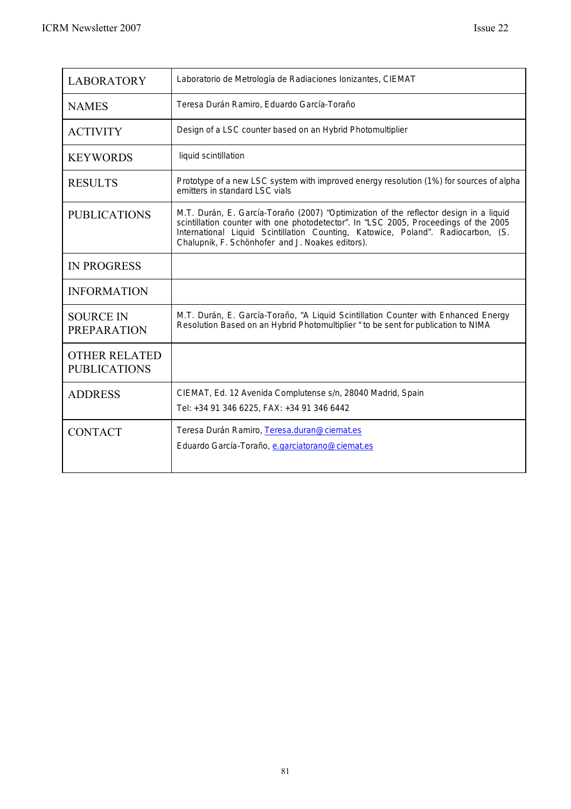| <b>LABORATORY</b>   | Laboratorio de Metrología de Radiaciones Ionizantes, CIEMAT                                                                                                                                                                                                                                                           |
|---------------------|-----------------------------------------------------------------------------------------------------------------------------------------------------------------------------------------------------------------------------------------------------------------------------------------------------------------------|
| <b>NAMES</b>        | Teresa Durán Ramiro, Eduardo García-Toraño                                                                                                                                                                                                                                                                            |
| <b>ACTIVITY</b>     | Design of a LSC counter based on an Hybrid Photomultiplier                                                                                                                                                                                                                                                            |
| <b>KEYWORDS</b>     | liquid scintillation                                                                                                                                                                                                                                                                                                  |
| <b>RESULTS</b>      | Prototype of a new LSC system with improved energy resolution (1%) for sources of alpha<br>emitters in standard LSC vials                                                                                                                                                                                             |
| <b>PUBLICATIONS</b> | M.T. Durán, E. García-Toraño (2007) "Optimization of the reflector design in a liquid<br>scintillation counter with one photodetector". In "LSC 2005, Proceedings of the 2005<br>International Liquid Scintillation Counting, Katowice, Poland". Radiocarbon, (S.<br>Chalupnik, F. Schönhofer and J. Noakes editors). |
|                     |                                                                                                                                                                                                                                                                                                                       |

| <b>IN PROGRESS</b>                          |                                                                                                                                                                          |
|---------------------------------------------|--------------------------------------------------------------------------------------------------------------------------------------------------------------------------|
| <b>INFORMATION</b>                          |                                                                                                                                                                          |
| <b>SOURCE IN</b><br><b>PREPARATION</b>      | M.T. Durán, E. García-Toraño, "A Liquid Scintillation Counter with Enhanced Energy<br>Resolution Based on an Hybrid Photomultiplier " to be sent for publication to NIMA |
| <b>OTHER RELATED</b><br><b>PUBLICATIONS</b> |                                                                                                                                                                          |
| <b>ADDRESS</b>                              | CIEMAT, Ed. 12 Avenida Complutense s/n, 28040 Madrid, Spain<br>Tel: +34 91 346 6225, FAX: +34 91 346 6442                                                                |
| <b>CONTACT</b>                              | Teresa Durán Ramiro, Teresa.duran@ciemat.es<br>Eduardo García-Toraño, e garciatorano@ciemat.es                                                                           |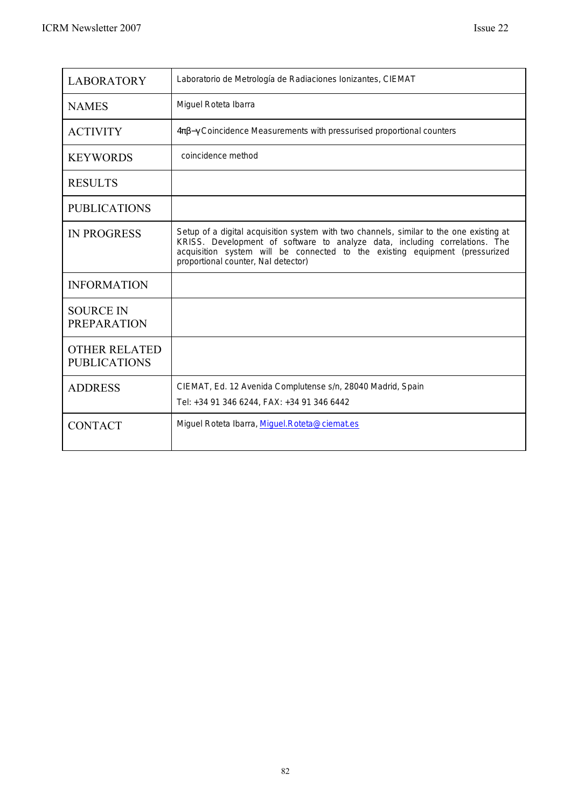| <b>LABORATORY</b>                           | Laboratorio de Metrología de Radiaciones Ionizantes, CIEMAT                                                                                                                                                                                                                                  |
|---------------------------------------------|----------------------------------------------------------------------------------------------------------------------------------------------------------------------------------------------------------------------------------------------------------------------------------------------|
| <b>NAMES</b>                                | Miguel Roteta Ibarra                                                                                                                                                                                                                                                                         |
| <b>ACTIVITY</b>                             | $4\pi\beta-\gamma$ Coincidence Measurements with pressurised proportional counters                                                                                                                                                                                                           |
| <b>KEYWORDS</b>                             | coincidence method                                                                                                                                                                                                                                                                           |
| <b>RESULTS</b>                              |                                                                                                                                                                                                                                                                                              |
| <b>PUBLICATIONS</b>                         |                                                                                                                                                                                                                                                                                              |
| <b>IN PROGRESS</b>                          | Setup of a digital acquisition system with two channels, similar to the one existing at<br>KRISS. Development of software to analyze data, including correlations. The<br>acquisition system will be connected to the existing equipment (pressurized<br>proportional counter, Nal detector) |
| <b>INFORMATION</b>                          |                                                                                                                                                                                                                                                                                              |
| <b>SOURCE IN</b><br><b>PREPARATION</b>      |                                                                                                                                                                                                                                                                                              |
| <b>OTHER RELATED</b><br><b>PUBLICATIONS</b> |                                                                                                                                                                                                                                                                                              |
| <b>ADDRESS</b>                              | CIEMAT, Ed. 12 Avenida Complutense s/n, 28040 Madrid, Spain<br>Tel: +34 91 346 6244, FAX: +34 91 346 6442                                                                                                                                                                                    |
| <b>CONTACT</b>                              | Miguel Roteta Ibarra, Miquel.Roteta@ciemat.es                                                                                                                                                                                                                                                |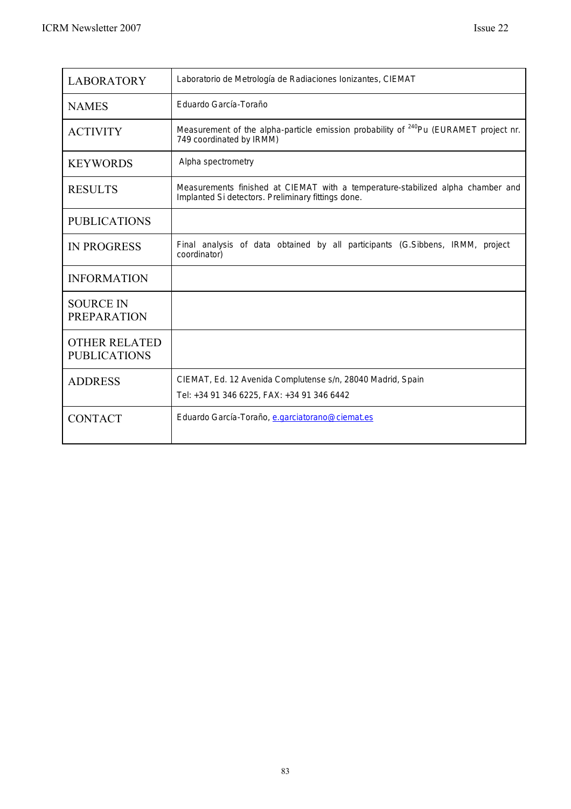OTHER RELATED PUBLICATIONS

| <b>LABORATORY</b>                      | Laboratorio de Metrología de Radiaciones Ionizantes, CIEMAT                                                                           |
|----------------------------------------|---------------------------------------------------------------------------------------------------------------------------------------|
| <b>NAMES</b>                           | Eduardo García-Toraño                                                                                                                 |
| <b>ACTIVITY</b>                        | Measurement of the alpha-particle emission probability of <sup>240</sup> Pu (EURAMET project nr.<br>749 coordinated by IRMM)          |
| <b>KEYWORDS</b>                        | Alpha spectrometry                                                                                                                    |
| <b>RESULTS</b>                         | Measurements finished at CIEMAT with a temperature-stabilized alpha chamber and<br>Implanted Si detectors. Preliminary fittings done. |
| <b>PUBLICATIONS</b>                    |                                                                                                                                       |
| <b>IN PROGRESS</b>                     | Final analysis of data obtained by all participants (G. Sibbens, IRMM, project<br>coordinator)                                        |
| <b>INFORMATION</b>                     |                                                                                                                                       |
| <b>SOURCE IN</b><br><b>PREPARATION</b> |                                                                                                                                       |

ADDRESS CIEMAT, Ed. 12 Avenida Complutense s/n, 28040 Madrid, Spain

CONTACT Eduardo García-Toraño, e.garciatorano@ciemat.es

Tel: +34 91 346 6225, FAX: +34 91 346 6442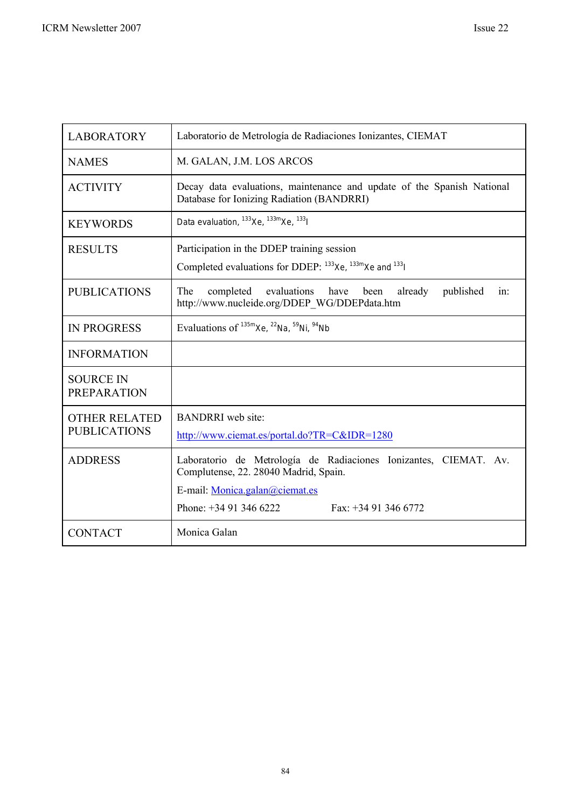| <b>LABORATORY</b>                           | Laboratorio de Metrología de Radiaciones Ionizantes, CIEMAT                                                                                                                                   |
|---------------------------------------------|-----------------------------------------------------------------------------------------------------------------------------------------------------------------------------------------------|
| <b>NAMES</b>                                | M. GALAN, J.M. LOS ARCOS                                                                                                                                                                      |
| <b>ACTIVITY</b>                             | Decay data evaluations, maintenance and update of the Spanish National<br>Database for Ionizing Radiation (BANDRRI)                                                                           |
| <b>KEYWORDS</b>                             | Data evaluation, $133$ Xe, $133$ mXe, $133$ l                                                                                                                                                 |
| <b>RESULTS</b>                              | Participation in the DDEP training session<br>Completed evaluations for DDEP: $^{133}$ Xe, $^{133m}$ Xe and $^{133}$ I                                                                        |
| <b>PUBLICATIONS</b>                         | The<br>completed<br>evaluations<br>have<br>already<br>published<br>been<br>in:<br>http://www.nucleide.org/DDEP WG/DDEPdata.htm                                                                |
| <b>IN PROGRESS</b>                          | Evaluations of $135m$ Xe, $22$ Na, $59$ Ni, $94$ Nb                                                                                                                                           |
| <b>INFORMATION</b>                          |                                                                                                                                                                                               |
| <b>SOURCE IN</b><br><b>PREPARATION</b>      |                                                                                                                                                                                               |
| <b>OTHER RELATED</b><br><b>PUBLICATIONS</b> | <b>BANDRRI</b> web site:<br>http://www.ciemat.es/portal.do?TR=C&IDR=1280                                                                                                                      |
| <b>ADDRESS</b>                              | Laboratorio de Metrología de Radiaciones Ionizantes, CIEMAT. Av.<br>Complutense, 22. 28040 Madrid, Spain.<br>E-mail: Monica.galan@ciemat.es<br>Phone: +34 91 346 6222<br>Fax: +34 91 346 6772 |
| <b>CONTACT</b>                              | Monica Galan                                                                                                                                                                                  |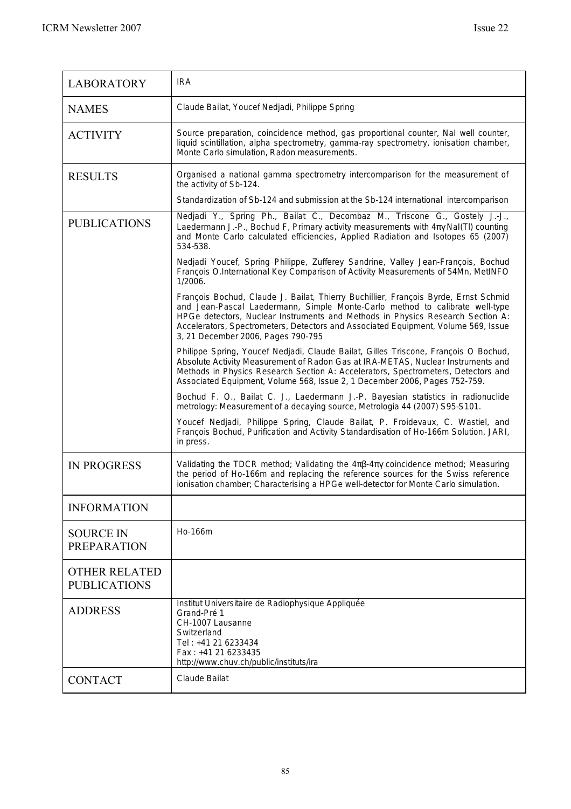| <b>LABORATORY</b>                           | <b>IRA</b>                                                                                                                                                                                                                                                                                                                                                                        |
|---------------------------------------------|-----------------------------------------------------------------------------------------------------------------------------------------------------------------------------------------------------------------------------------------------------------------------------------------------------------------------------------------------------------------------------------|
| <b>NAMES</b>                                | Claude Bailat, Youcef Nedjadi, Philippe Spring                                                                                                                                                                                                                                                                                                                                    |
| <b>ACTIVITY</b>                             | Source preparation, coincidence method, gas proportional counter, NaI well counter,<br>liquid scintillation, alpha spectrometry, gamma-ray spectrometry, ionisation chamber,<br>Monte Carlo simulation, Radon measurements.                                                                                                                                                       |
| <b>RESULTS</b>                              | Organised a national gamma spectrometry intercomparison for the measurement of<br>the activity of Sb-124.                                                                                                                                                                                                                                                                         |
|                                             | Standardization of Sb-124 and submission at the Sb-124 international intercomparison                                                                                                                                                                                                                                                                                              |
| <b>PUBLICATIONS</b>                         | Nedjadi Y., Spring Ph., Bailat C., Decombaz M., Triscone G., Gostely J.-J.,<br>Laedermann J.-P., Bochud F, Primary activity measurements with $4\pi\gamma$ NaI(TI) counting<br>and Monte Carlo calculated efficiencies, Applied Radiation and Isotopes 65 (2007)<br>534-538.                                                                                                      |
|                                             | Nedjadi Youcef, Spring Philippe, Zufferey Sandrine, Valley Jean-François, Bochud<br>François O.International Key Comparison of Activity Measurements of 54Mn, MetINFO<br>1/2006.                                                                                                                                                                                                  |
|                                             | François Bochud, Claude J. Bailat, Thierry Buchillier, François Byrde, Ernst Schmid<br>and Jean-Pascal Laedermann, Simple Monte-Carlo method to calibrate well-type<br>HPGe detectors, Nuclear Instruments and Methods in Physics Research Section A:<br>Accelerators, Spectrometers, Detectors and Associated Equipment, Volume 569, Issue<br>3, 21 December 2006, Pages 790-795 |
|                                             | Philippe Spring, Youcef Nedjadi, Claude Bailat, Gilles Triscone, François O Bochud,<br>Absolute Activity Measurement of Radon Gas at IRA-METAS, Nuclear Instruments and<br>Methods in Physics Research Section A: Accelerators, Spectrometers, Detectors and<br>Associated Equipment, Volume 568, Issue 2, 1 December 2006, Pages 752-759.                                        |
|                                             | Bochud F. O., Bailat C. J., Laedermann J.-P. Bayesian statistics in radionuclide<br>metrology: Measurement of a decaying source, Metrologia 44 (2007) S95-S101.                                                                                                                                                                                                                   |
|                                             | Youcef Nedjadi, Philippe Spring, Claude Bailat, P. Froidevaux, C. Wastiel, and<br>François Bochud, Purification and Activity Standardisation of Ho-166m Solution, JARI,<br>in press.                                                                                                                                                                                              |
| <b>IN PROGRESS</b>                          | Validating the TDCR method; Validating the $4\pi\beta$ - $4\pi\gamma$ coincidence method; Measuring<br>the period of Ho-166m and replacing the reference sources for the Swiss reference<br>ionisation chamber; Characterising a HPGe well-detector for Monte Carlo simulation.                                                                                                   |
| <b>INFORMATION</b>                          |                                                                                                                                                                                                                                                                                                                                                                                   |
| <b>SOURCE IN</b><br><b>PREPARATION</b>      | Ho-166m                                                                                                                                                                                                                                                                                                                                                                           |
| <b>OTHER RELATED</b><br><b>PUBLICATIONS</b> |                                                                                                                                                                                                                                                                                                                                                                                   |
| <b>ADDRESS</b>                              | Institut Universitaire de Radiophysique Appliquée<br>Grand-Pré 1<br>CH-1007 Lausanne<br>Switzerland<br>Tel: +41 21 6233434<br>Fax: +41 21 6233435<br>http://www.chuv.ch/public/instituts/ira                                                                                                                                                                                      |
| <b>CONTACT</b>                              | Claude Bailat                                                                                                                                                                                                                                                                                                                                                                     |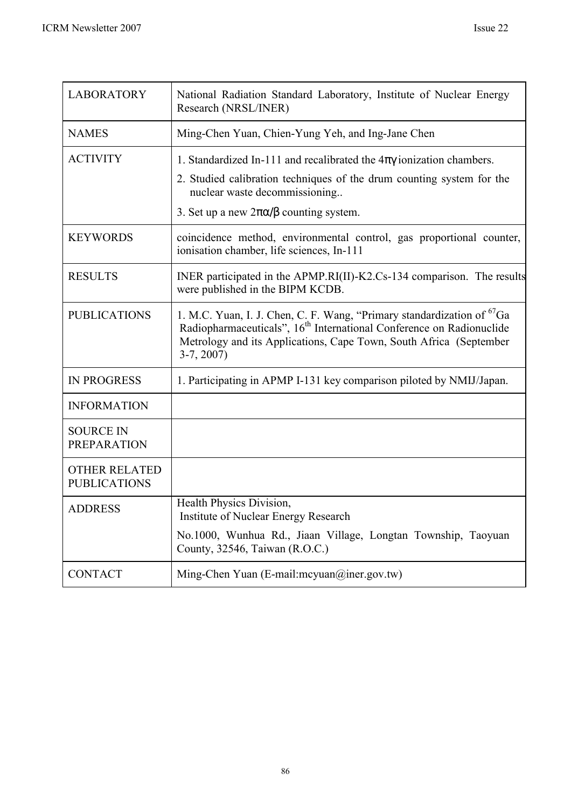| <b>LABORATORY</b>                           | National Radiation Standard Laboratory, Institute of Nuclear Energy<br>Research (NRSL/INER)                                                                                                                                                                 |
|---------------------------------------------|-------------------------------------------------------------------------------------------------------------------------------------------------------------------------------------------------------------------------------------------------------------|
| <b>NAMES</b>                                | Ming-Chen Yuan, Chien-Yung Yeh, and Ing-Jane Chen                                                                                                                                                                                                           |
| <b>ACTIVITY</b>                             | 1. Standardized In-111 and recalibrated the $4\pi\gamma$ ionization chambers.                                                                                                                                                                               |
|                                             | 2. Studied calibration techniques of the drum counting system for the<br>nuclear waste decommissioning                                                                                                                                                      |
|                                             | 3. Set up a new $2\pi\alpha/\beta$ counting system.                                                                                                                                                                                                         |
| <b>KEYWORDS</b>                             | coincidence method, environmental control, gas proportional counter,<br>ionisation chamber, life sciences, In-111                                                                                                                                           |
| <b>RESULTS</b>                              | INER participated in the APMP.RI(II)-K2.Cs-134 comparison. The results<br>were published in the BIPM KCDB.                                                                                                                                                  |
| <b>PUBLICATIONS</b>                         | 1. M.C. Yuan, I. J. Chen, C. F. Wang, "Primary standardization of <sup>67</sup> Ga<br>Radiopharmaceuticals", 16 <sup>th</sup> International Conference on Radionuclide<br>Metrology and its Applications, Cape Town, South Africa (September<br>$3-7, 2007$ |
| <b>IN PROGRESS</b>                          | 1. Participating in APMP I-131 key comparison piloted by NMIJ/Japan.                                                                                                                                                                                        |
| <b>INFORMATION</b>                          |                                                                                                                                                                                                                                                             |
| <b>SOURCE IN</b><br><b>PREPARATION</b>      |                                                                                                                                                                                                                                                             |
| <b>OTHER RELATED</b><br><b>PUBLICATIONS</b> |                                                                                                                                                                                                                                                             |
| <b>ADDRESS</b>                              | Health Physics Division,<br>Institute of Nuclear Energy Research                                                                                                                                                                                            |
|                                             | No.1000, Wunhua Rd., Jiaan Village, Longtan Township, Taoyuan<br>County, 32546, Taiwan (R.O.C.)                                                                                                                                                             |
| <b>CONTACT</b>                              | Ming-Chen Yuan (E-mail:mcyuan@iner.gov.tw)                                                                                                                                                                                                                  |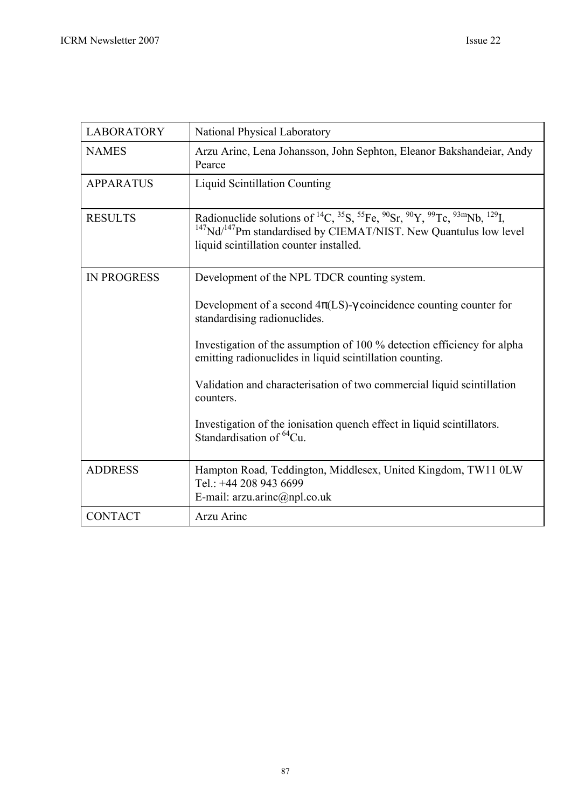| <b>LABORATORY</b>  | National Physical Laboratory                                                                                                                                                                                                                                                                  |
|--------------------|-----------------------------------------------------------------------------------------------------------------------------------------------------------------------------------------------------------------------------------------------------------------------------------------------|
| <b>NAMES</b>       | Arzu Arinc, Lena Johansson, John Sephton, Eleanor Bakshandeiar, Andy<br>Pearce                                                                                                                                                                                                                |
| <b>APPARATUS</b>   | <b>Liquid Scintillation Counting</b>                                                                                                                                                                                                                                                          |
| <b>RESULTS</b>     | Radionuclide solutions of <sup>14</sup> C, <sup>35</sup> S, <sup>55</sup> Fe, <sup>90</sup> Sr, <sup>90</sup> Y, <sup>99</sup> Tc, <sup>93m</sup> Nb, <sup>129</sup> I,<br>$147$ Nd/ $147$ Pm standardised by CIEMAT/NIST. New Quantulus low level<br>liquid scintillation counter installed. |
| <b>IN PROGRESS</b> | Development of the NPL TDCR counting system.                                                                                                                                                                                                                                                  |
|                    | Development of a second $4\pi$ (LS)- $\gamma$ coincidence counting counter for<br>standardising radionuclides.                                                                                                                                                                                |
|                    | Investigation of the assumption of 100 % detection efficiency for alpha<br>emitting radionuclides in liquid scintillation counting.                                                                                                                                                           |
|                    | Validation and characterisation of two commercial liquid scintillation<br>counters.                                                                                                                                                                                                           |
|                    | Investigation of the ionisation quench effect in liquid scintillators.<br>Standardisation of <sup>64</sup> Cu.                                                                                                                                                                                |
| <b>ADDRESS</b>     | Hampton Road, Teddington, Middlesex, United Kingdom, TW11 0LW<br>Tel.: +44 208 943 6699<br>E-mail: arzu.arinc@npl.co.uk                                                                                                                                                                       |
| <b>CONTACT</b>     | <b>Arzu Arinc</b>                                                                                                                                                                                                                                                                             |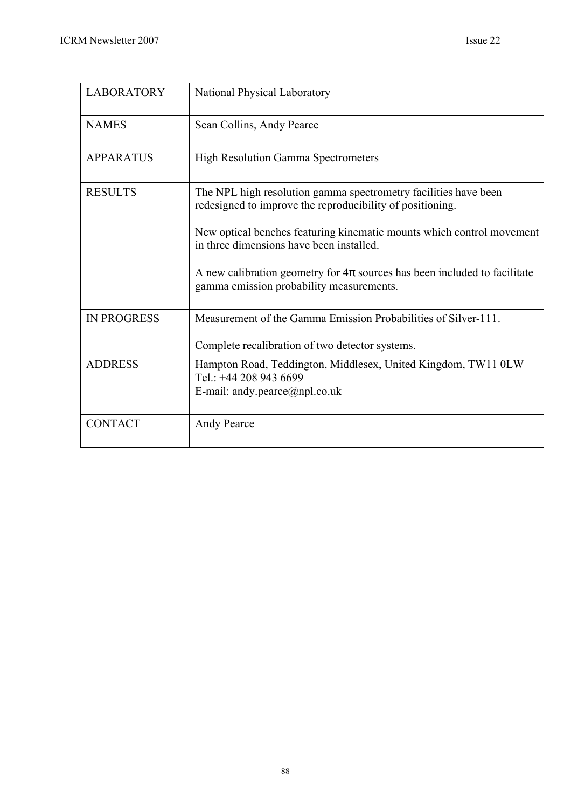| <b>LABORATORY</b>  | National Physical Laboratory                                                                                                                 |
|--------------------|----------------------------------------------------------------------------------------------------------------------------------------------|
| <b>NAMES</b>       | Sean Collins, Andy Pearce                                                                                                                    |
| <b>APPARATUS</b>   | <b>High Resolution Gamma Spectrometers</b>                                                                                                   |
| <b>RESULTS</b>     | The NPL high resolution gamma spectrometry facilities have been<br>redesigned to improve the reproducibility of positioning.                 |
|                    | New optical benches featuring kinematic mounts which control movement<br>in three dimensions have been installed.                            |
|                    | A new calibration geometry for $4\pi$ sources has been included to facilitate<br>gamma emission probability measurements.                    |
| <b>IN PROGRESS</b> | Measurement of the Gamma Emission Probabilities of Silver-111.                                                                               |
|                    | Complete recalibration of two detector systems.                                                                                              |
| <b>ADDRESS</b>     | Hampton Road, Teddington, Middlesex, United Kingdom, TW11 0LW<br>Tel.: +44 208 943 6699<br>E-mail: andy pearce $(\partial \text{ppl.co.uk})$ |
| <b>CONTACT</b>     | <b>Andy Pearce</b>                                                                                                                           |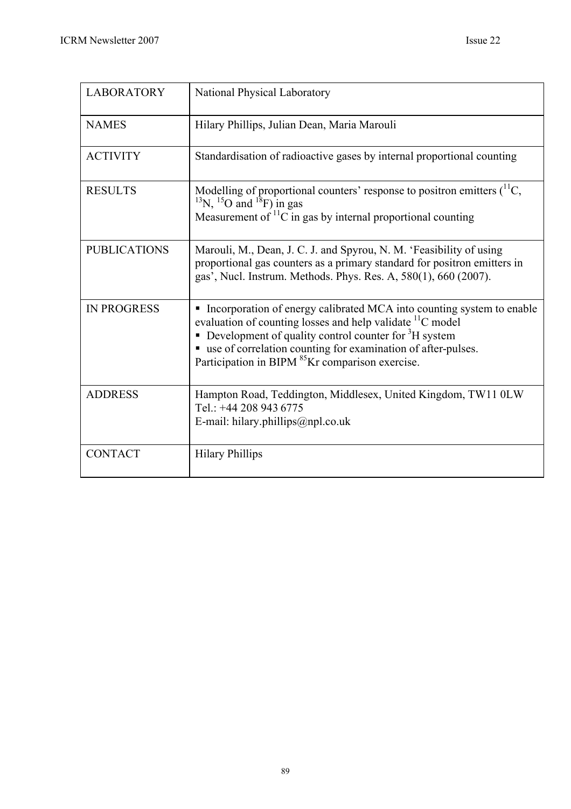| <b>LABORATORY</b>   | National Physical Laboratory                                                                                                                                                                                                                                                                                                                                    |
|---------------------|-----------------------------------------------------------------------------------------------------------------------------------------------------------------------------------------------------------------------------------------------------------------------------------------------------------------------------------------------------------------|
| <b>NAMES</b>        | Hilary Phillips, Julian Dean, Maria Marouli                                                                                                                                                                                                                                                                                                                     |
| <b>ACTIVITY</b>     | Standardisation of radioactive gases by internal proportional counting                                                                                                                                                                                                                                                                                          |
| <b>RESULTS</b>      | Modelling of proportional counters' response to positron emitters $({}^{11}C,$<br>$^{13}$ N, $^{15}$ O and $^{18}$ F) in gas<br>Measurement of ${}^{11}C$ in gas by internal proportional counting                                                                                                                                                              |
| <b>PUBLICATIONS</b> | Marouli, M., Dean, J. C. J. and Spyrou, N. M. 'Feasibility of using<br>proportional gas counters as a primary standard for positron emitters in<br>gas', Nucl. Instrum. Methods. Phys. Res. A, 580(1), 660 (2007).                                                                                                                                              |
| <b>IN PROGRESS</b>  | • Incorporation of energy calibrated MCA into counting system to enable<br>evaluation of counting losses and help validate <sup>11</sup> C model<br>$\blacksquare$ Development of quality control counter for ${}^{3}H$ system<br>• use of correlation counting for examination of after-pulses.<br>Participation in BIPM <sup>85</sup> Kr comparison exercise. |
| <b>ADDRESS</b>      | Hampton Road, Teddington, Middlesex, United Kingdom, TW11 0LW<br>Tel.: +44 208 943 6775<br>E-mail: hilary.phillips@npl.co.uk                                                                                                                                                                                                                                    |
| <b>CONTACT</b>      | <b>Hilary Phillips</b>                                                                                                                                                                                                                                                                                                                                          |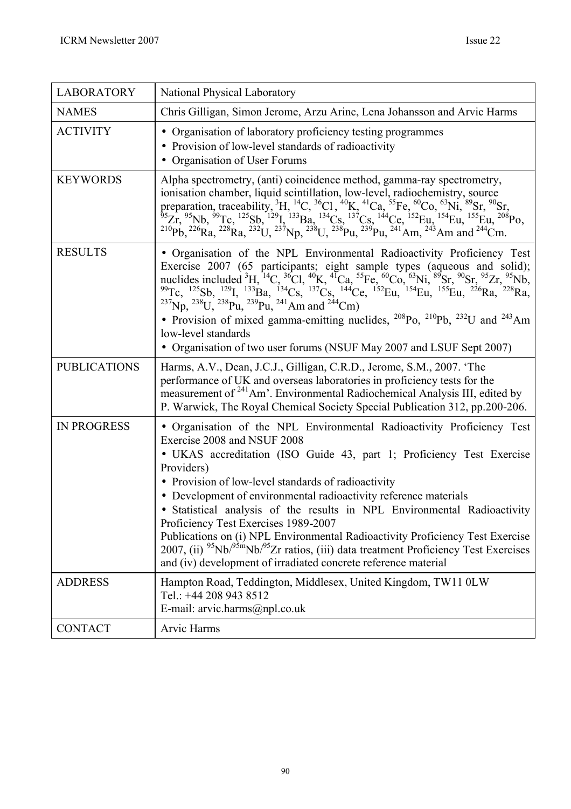| <b>LABORATORY</b>   | National Physical Laboratory                                                                                                                                                                                                                                                                                                                                                                                                                                                                                                                                                                                                                                                                                                                                                                                                                           |
|---------------------|--------------------------------------------------------------------------------------------------------------------------------------------------------------------------------------------------------------------------------------------------------------------------------------------------------------------------------------------------------------------------------------------------------------------------------------------------------------------------------------------------------------------------------------------------------------------------------------------------------------------------------------------------------------------------------------------------------------------------------------------------------------------------------------------------------------------------------------------------------|
| <b>NAMES</b>        | Chris Gilligan, Simon Jerome, Arzu Arinc, Lena Johansson and Arvic Harms                                                                                                                                                                                                                                                                                                                                                                                                                                                                                                                                                                                                                                                                                                                                                                               |
| <b>ACTIVITY</b>     | • Organisation of laboratory proficiency testing programmes<br>• Provision of low-level standards of radioactivity<br>• Organisation of User Forums                                                                                                                                                                                                                                                                                                                                                                                                                                                                                                                                                                                                                                                                                                    |
| <b>KEYWORDS</b>     | Alpha spectrometry, (anti) coincidence method, gamma-ray spectrometry,<br>ionisation chamber, liquid scintillation, low-level, radiochemistry, source<br>preparation, traceability, <sup>3</sup> H, <sup>14</sup> C, <sup>36</sup> Cl, <sup>40</sup> K, <sup>41</sup> Ca, <sup>55</sup> Fe, <sup>60</sup> Co, <sup>63</sup> Ni, <sup>89</sup> Sr, <sup>96</sup> Sr,<br><sup>95</sup> Zr, <sup>95</sup> Nb, <sup>99</sup> Tc, <sup>125</sup> Sb, <sup>129</sup> L, <sup>133</sup> Ba, <sup>134</sup> Cs, <sup>137</sup> Cs, <sup>144</sup> Ce, <sup>152</sup> Eu, <sup>154</sup> Eu, <sup>155</sup> Eu, <sup>208</sup> Po,<br><sup>210</sup>                                                                                                                                                                                                            |
| <b>RESULTS</b>      | • Organisation of the NPL Environmental Radioactivity Proficiency Test<br>Exercise 2007 (65 participants; eight sample types (aqueous and solid);<br>nuclides included <sup>3</sup> H, <sup>14</sup> C, <sup>36</sup> Cl, <sup>40</sup> K, <sup>41</sup> Ca, <sup>55</sup> Fe, <sup>60</sup> Co, <sup>63</sup> Ni, <sup>89</sup> Sr, <sup>96</sup> Sr, <sup>95</sup> Zr, <sup>95</sup> Nb,<br><sup>99</sup> Tc, <sup>125</sup> Sb, <sup>129</sup> I, <sup>133</sup> Ba, <sup>134</sup> Cs, <sup>137</sup> Cs, <sup>144</sup> Ce, <sup>152</sup> Eu, <sup>154</sup> Eu, <sup>155</sup> Eu, <sup>226</sup> Ra, <sup>228</sup> Ra,<br><sup>237</sup><br>• Provision of mixed gamma-emitting nuclides, $^{208}P_0$ , $^{210}P_0$ , $^{232}U$ and $^{243}Am$<br>low-level standards<br>• Organisation of two user forums (NSUF May 2007 and LSUF Sept 2007) |
| <b>PUBLICATIONS</b> | Harms, A.V., Dean, J.C.J., Gilligan, C.R.D., Jerome, S.M., 2007. 'The<br>performance of UK and overseas laboratories in proficiency tests for the<br>measurement of <sup>241</sup> Am'. Environmental Radiochemical Analysis III, edited by<br>P. Warwick, The Royal Chemical Society Special Publication 312, pp.200-206.                                                                                                                                                                                                                                                                                                                                                                                                                                                                                                                             |
| <b>IN PROGRESS</b>  | • Organisation of the NPL Environmental Radioactivity Proficiency Test<br>Exercise 2008 and NSUF 2008<br>• UKAS accreditation (ISO Guide 43, part 1; Proficiency Test Exercise<br>Providers)<br>• Provision of low-level standards of radioactivity<br>• Development of environmental radioactivity reference materials<br>• Statistical analysis of the results in NPL Environmental Radioactivity<br>Proficiency Test Exercises 1989-2007<br>Publications on (i) NPL Environmental Radioactivity Proficiency Test Exercise<br>2007, (ii) $\frac{95}{100}Nb/0.5m}Nb/0.5Zr$ ratios, (iii) data treatment Proficiency Test Exercises<br>and (iv) development of irradiated concrete reference material                                                                                                                                                  |
| <b>ADDRESS</b>      | Hampton Road, Teddington, Middlesex, United Kingdom, TW11 0LW<br>Tel.: +44 208 943 8512<br>E-mail: arvic.harms@npl.co.uk                                                                                                                                                                                                                                                                                                                                                                                                                                                                                                                                                                                                                                                                                                                               |
| <b>CONTACT</b>      | Arvic Harms                                                                                                                                                                                                                                                                                                                                                                                                                                                                                                                                                                                                                                                                                                                                                                                                                                            |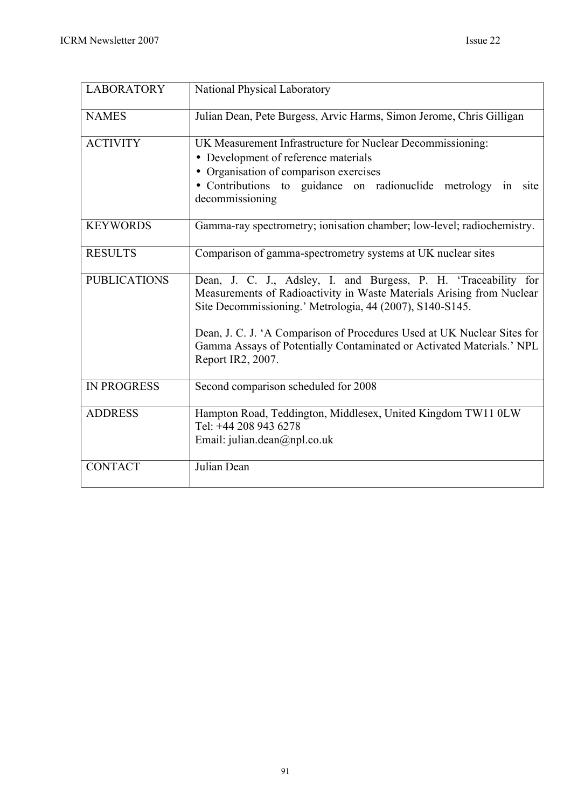| <b>LABORATORY</b>   | National Physical Laboratory                                                                                                                                                                                                                                                                                                                                                  |
|---------------------|-------------------------------------------------------------------------------------------------------------------------------------------------------------------------------------------------------------------------------------------------------------------------------------------------------------------------------------------------------------------------------|
| <b>NAMES</b>        | Julian Dean, Pete Burgess, Arvic Harms, Simon Jerome, Chris Gilligan                                                                                                                                                                                                                                                                                                          |
| <b>ACTIVITY</b>     | UK Measurement Infrastructure for Nuclear Decommissioning:<br>• Development of reference materials<br>• Organisation of comparison exercises<br>· Contributions to guidance on radionuclide metrology in site<br>decommissioning                                                                                                                                              |
| <b>KEYWORDS</b>     | Gamma-ray spectrometry; ionisation chamber; low-level; radiochemistry.                                                                                                                                                                                                                                                                                                        |
| <b>RESULTS</b>      | Comparison of gamma-spectrometry systems at UK nuclear sites                                                                                                                                                                                                                                                                                                                  |
| <b>PUBLICATIONS</b> | Dean, J. C. J., Adsley, I. and Burgess, P. H. 'Traceability for<br>Measurements of Radioactivity in Waste Materials Arising from Nuclear<br>Site Decommissioning.' Metrologia, 44 (2007), S140-S145.<br>Dean, J. C. J. 'A Comparison of Procedures Used at UK Nuclear Sites for<br>Gamma Assays of Potentially Contaminated or Activated Materials.' NPL<br>Report IR2, 2007. |
| <b>IN PROGRESS</b>  | Second comparison scheduled for 2008                                                                                                                                                                                                                                                                                                                                          |
| <b>ADDRESS</b>      | Hampton Road, Teddington, Middlesex, United Kingdom TW11 0LW<br>Tel: +44 208 943 6278<br>Email: julian.dean@npl.co.uk                                                                                                                                                                                                                                                         |
| <b>CONTACT</b>      | Julian Dean                                                                                                                                                                                                                                                                                                                                                                   |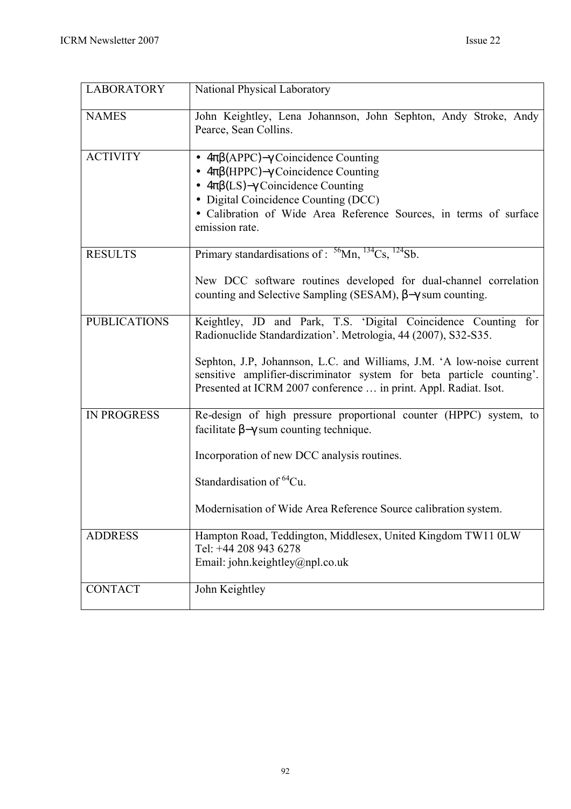| <b>LABORATORY</b>   | National Physical Laboratory                                                                                                                                                                                                                                                                                                                           |
|---------------------|--------------------------------------------------------------------------------------------------------------------------------------------------------------------------------------------------------------------------------------------------------------------------------------------------------------------------------------------------------|
| <b>NAMES</b>        | John Keightley, Lena Johannson, John Sephton, Andy Stroke, Andy<br>Pearce, Sean Collins.                                                                                                                                                                                                                                                               |
| <b>ACTIVITY</b>     | • $4\pi\beta$ (APPC)–γ Coincidence Counting<br>• $4\pi\beta$ (HPPC)-γ Coincidence Counting<br>• $4\pi\beta$ (LS)-γ Coincidence Counting<br>• Digital Coincidence Counting (DCC)<br>· Calibration of Wide Area Reference Sources, in terms of surface<br>emission rate.                                                                                 |
| <b>RESULTS</b>      | Primary standardisations of : $^{56}$ Mn, $^{134}$ Cs, $^{124}$ Sb.<br>New DCC software routines developed for dual-channel correlation<br>counting and Selective Sampling (SESAM), $\beta-\gamma$ sum counting.                                                                                                                                       |
| <b>PUBLICATIONS</b> | Keightley, JD and Park, T.S. 'Digital Coincidence Counting for<br>Radionuclide Standardization'. Metrologia, 44 (2007), S32-S35.<br>Sephton, J.P, Johannson, L.C. and Williams, J.M. 'A low-noise current<br>sensitive amplifier-discriminator system for beta particle counting'.<br>Presented at ICRM 2007 conference  in print. Appl. Radiat. Isot. |
| <b>IN PROGRESS</b>  | Re-design of high pressure proportional counter (HPPC) system, to<br>facilitate $\beta-\gamma$ sum counting technique.<br>Incorporation of new DCC analysis routines.<br>Standardisation of <sup>64</sup> Cu.<br>Modernisation of Wide Area Reference Source calibration system.                                                                       |
| <b>ADDRESS</b>      | Hampton Road, Teddington, Middlesex, United Kingdom TW11 0LW<br>Tel: +44 208 943 6278<br>Email: john.keightley@npl.co.uk                                                                                                                                                                                                                               |
| <b>CONTACT</b>      | John Keightley                                                                                                                                                                                                                                                                                                                                         |